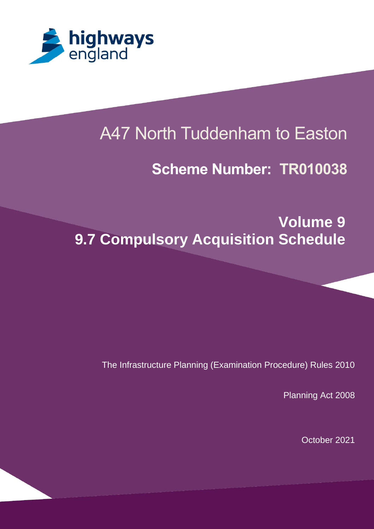

Planning Inspectorate Scheme Ref: TR010038

# A47 North Tuddenham to Easton

# **Scheme Number: TR010038**

**Volume 9 9.7 Compulsory Acquisition Schedule** 

The Infrastructure Planning (Examination Procedure) Rules 2010

Planning Act 2008

October 2021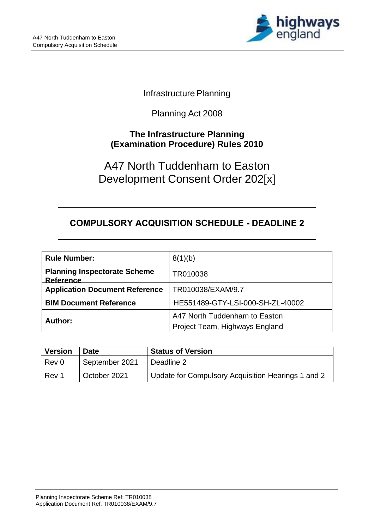

## **Infrastructure Planning**

# Planning Act 2008

## **The Infrastructure Planning (Examination Procedure) Rules 2010**

# A47 North Tuddenham to Easton Development Consent Order 202[x]

# **COMPULSORY ACQUISITION SCHEDULE - DEADLINE 2**

| <b>Rule Number:</b>                              | 8(1)(b)                                                         |
|--------------------------------------------------|-----------------------------------------------------------------|
| <b>Planning Inspectorate Scheme</b><br>Reference | TR010038                                                        |
| <b>Application Document Reference</b>            | TR010038/EXAM/9.7                                               |
| <b>BIM Document Reference</b>                    | HE551489-GTY-LSI-000-SH-ZL-40002                                |
| Author:                                          | A47 North Tuddenham to Easton<br>Project Team, Highways England |

| <b>Version</b> | <b>Date</b>    | <b>Status of Version</b>                           |
|----------------|----------------|----------------------------------------------------|
| Rev 0          | September 2021 | Deadline 2                                         |
| l Rev 1        | October 2021   | Update for Compulsory Acquisition Hearings 1 and 2 |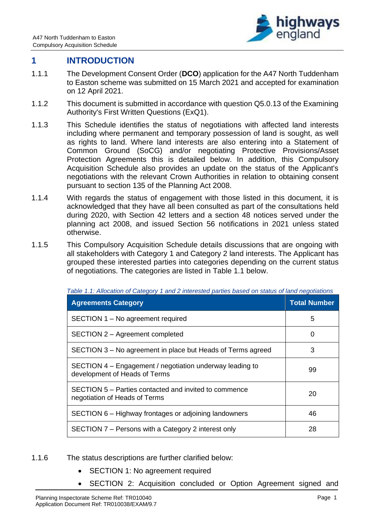

### **1 INTRODUCTION**

- 1.1.1 The Development Consent Order (**DCO**) application for the A47 North Tuddenham to Easton scheme was submitted on 15 March 2021 and accepted for examination on 12 April 2021.
- 1.1.2 This document is submitted in accordance with question Q5.0.13 of the Examining Authority's First Written Questions (ExQ1).
- 1.1.3 This Schedule identifies the status of negotiations with affected land interests including where permanent and temporary possession of land is sought, as well as rights to land. Where land interests are also entering into a Statement of Common Ground (SoCG) and/or negotiating Protective Provisions/Asset Protection Agreements this is detailed below. In addition, this Compulsory Acquisition Schedule also provides an update on the status of the Applicant's negotiations with the relevant Crown Authorities in relation to obtaining consent pursuant to section 135 of the Planning Act 2008.
- 1.1.4 With regards the status of engagement with those listed in this document, it is acknowledged that they have all been consulted as part of the consultations held during 2020, with Section 42 letters and a section 48 notices served under the planning act 2008, and issued Section 56 notifications in 2021 unless stated otherwise.
- 1.1.5 This Compulsory Acquisition Schedule details discussions that are ongoing with all stakeholders with Category 1 and Category 2 land interests. The Applicant has grouped these interested parties into categories depending on the current status of negotiations. The categories are listed in Table 1.1 below.

| <b>Agreements Category</b>                                                                | <b>Total Number</b> |
|-------------------------------------------------------------------------------------------|---------------------|
| SECTION 1 – No agreement required                                                         | 5                   |
| SECTION 2 - Agreement completed                                                           | 0                   |
| SECTION 3 – No agreement in place but Heads of Terms agreed                               | 3                   |
| SECTION 4 – Engagement / negotiation underway leading to<br>development of Heads of Terms | 99                  |
| SECTION 5 – Parties contacted and invited to commence<br>negotiation of Heads of Terms    | 20                  |
| SECTION 6 – Highway frontages or adjoining landowners                                     | 46                  |
| SECTION 7 – Persons with a Category 2 interest only                                       | 28                  |

*Table 1.1: Allocation of Category 1 and 2 interested parties based on status of land negotiations*

- 1.1.6 The status descriptions are further clarified below:
	- SECTION 1: No agreement required
	- SECTION 2: Acquisition concluded or Option Agreement signed and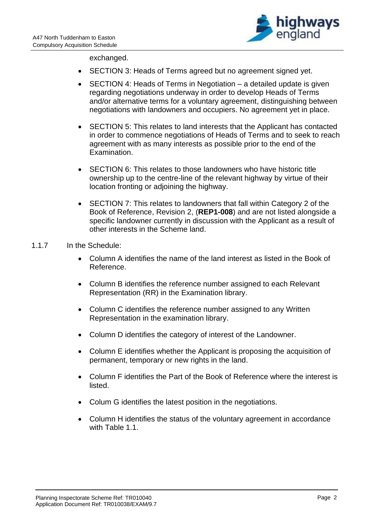

exchanged.

- SECTION 3: Heads of Terms agreed but no agreement signed yet.
- SECTION 4: Heads of Terms in Negotiation a detailed update is given regarding negotiations underway in order to develop Heads of Terms and/or alternative terms for a voluntary agreement, distinguishing between negotiations with landowners and occupiers. No agreement yet in place.
- SECTION 5: This relates to land interests that the Applicant has contacted in order to commence negotiations of Heads of Terms and to seek to reach agreement with as many interests as possible prior to the end of the Examination.
- SECTION 6: This relates to those landowners who have historic title ownership up to the centre-line of the relevant highway by virtue of their location fronting or adjoining the highway.
- SECTION 7: This relates to landowners that fall within Category 2 of the Book of Reference, Revision 2, (**REP1-008**) and are not listed alongside a specific landowner currently in discussion with the Applicant as a result of other interests in the Scheme land.

### 1.1.7 In the Schedule:

- Column A identifies the name of the land interest as listed in the Book of Reference.
- Column B identifies the reference number assigned to each Relevant Representation (RR) in the Examination library.
- Column C identifies the reference number assigned to any Written Representation in the examination library.
- Column D identifies the category of interest of the Landowner.
- Column E identifies whether the Applicant is proposing the acquisition of permanent, temporary or new rights in the land.
- Column F identifies the Part of the Book of Reference where the interest is listed.
- Colum G identifies the latest position in the negotiations.
- Column H identifies the status of the voluntary agreement in accordance with Table 1.1.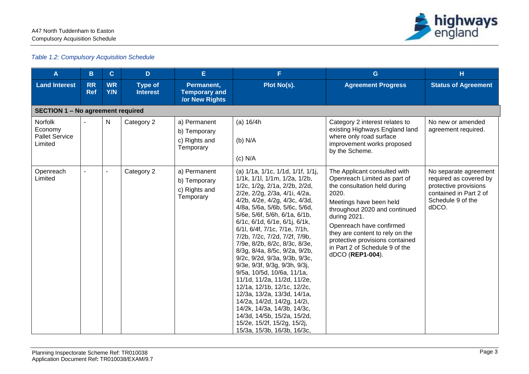

#### *Table 1.2: Compulsory Acquisition Schedule*

| A                                                      | B                                        | $\mathbf{C}$            | D                                 | E.                                                          | F.                                                                                                                                                                                                                                                                                                                                                                                                                                                                                                                                                                                                                                                                                                                                                                   | G                                                                                                                                                                                                                                                                                                                                         | H                                                                                                                                |  |  |  |
|--------------------------------------------------------|------------------------------------------|-------------------------|-----------------------------------|-------------------------------------------------------------|----------------------------------------------------------------------------------------------------------------------------------------------------------------------------------------------------------------------------------------------------------------------------------------------------------------------------------------------------------------------------------------------------------------------------------------------------------------------------------------------------------------------------------------------------------------------------------------------------------------------------------------------------------------------------------------------------------------------------------------------------------------------|-------------------------------------------------------------------------------------------------------------------------------------------------------------------------------------------------------------------------------------------------------------------------------------------------------------------------------------------|----------------------------------------------------------------------------------------------------------------------------------|--|--|--|
| <b>Land Interest</b>                                   | <b>RR</b><br><b>Ref</b>                  | <b>WR</b><br><b>Y/N</b> | <b>Type of</b><br><b>Interest</b> | Permanent,<br><b>Temporary and</b><br><b>/or New Rights</b> | Plot No(s).                                                                                                                                                                                                                                                                                                                                                                                                                                                                                                                                                                                                                                                                                                                                                          | <b>Agreement Progress</b>                                                                                                                                                                                                                                                                                                                 | <b>Status of Agreement</b>                                                                                                       |  |  |  |
|                                                        | <b>SECTION 1 - No agreement required</b> |                         |                                   |                                                             |                                                                                                                                                                                                                                                                                                                                                                                                                                                                                                                                                                                                                                                                                                                                                                      |                                                                                                                                                                                                                                                                                                                                           |                                                                                                                                  |  |  |  |
| Norfolk<br>Economy<br><b>Pallet Service</b><br>Limited |                                          | N                       | Category 2                        | a) Permanent<br>b) Temporary<br>c) Rights and<br>Temporary  | (a) 16/4h<br>$(b)$ N/A<br>$(c)$ N/A                                                                                                                                                                                                                                                                                                                                                                                                                                                                                                                                                                                                                                                                                                                                  | Category 2 interest relates to<br>existing Highways England land<br>where only road surface<br>improvement works proposed<br>by the Scheme.                                                                                                                                                                                               | No new or amended<br>agreement required.                                                                                         |  |  |  |
| Openreach<br>Limited                                   |                                          |                         | Category 2                        | a) Permanent<br>b) Temporary<br>c) Rights and<br>Temporary  | (a) 1/1a, 1/1c, 1/1d, 1/1f, 1/1j,<br>1/1k, 1/1l, 1/1m, 1/2a, 1/2b,<br>1/2c, 1/2g, 2/1a, 2/2b, 2/2d,<br>2/2e, 2/2g, 2/3a, 4/1i, 4/2a,<br>4/2b, 4/2e, 4/2g, 4/3c, 4/3d,<br>4/8a, 5/6a, 5/6b, 5/6c, 5/6d,<br>5/6e, 5/6f, 5/6h, 6/1a, 6/1b,<br>6/1c, 6/1d, 6/1e, 6/1j, 6/1k,<br>6/1l, 6/4f, 7/1c, 7/1e, 7/1h,<br>7/2b, 7/2c, 7/2d, 7/2f, 7/9b,<br>7/9e, 8/2b, 8/2c, 8/3c, 8/3e,<br>8/3g, 8/4a, 8/5c, 9/2a, 9/2b,<br>9/2c, 9/2d, 9/3a, 9/3b, 9/3c,<br>9/3e, 9/3f, 9/3g, 9/3h, 9/3j,<br>9/5a, 10/5d, 10/6a, 11/1a,<br>11/1d, 11/2a, 11/2d, 11/2e,<br>12/1a, 12/1b, 12/1c, 12/2c,<br>12/3a, 13/2a, 13/3d, 14/1a,<br>14/2a, 14/2d, 14/2g, 14/2i,<br>14/2k, 14/3a, 14/3b, 14/3c,<br>14/3d, 14/5b, 15/2a, 15/2d,<br>15/2e, 15/2f, 15/2g, 15/2j,<br>15/3a, 15/3b, 16/3b, 16/3c, | The Applicant consulted with<br>Openreach Limited as part of<br>the consultation held during<br>2020.<br>Meetings have been held<br>throughout 2020 and continued<br>during 2021.<br>Openreach have confirmed<br>they are content to rely on the<br>protective provisions contained<br>in Part 2 of Schedule 9 of the<br>dDCO (REP1-004). | No separate agreement<br>required as covered by<br>protective provisions<br>contained in Part 2 of<br>Schedule 9 of the<br>dDCO. |  |  |  |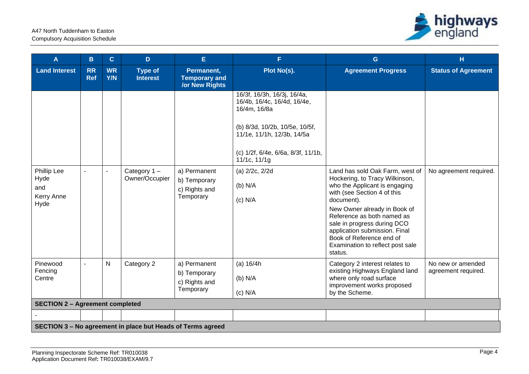

| A                                                | $\mathbf B$             | $\mathbf{C}$            | D                                                           | E                                                           | F.                                                                                                                                                                                               | $\mathbf{G}$                                                                                                                                                                                                                                                                                                                                             | H                                        |
|--------------------------------------------------|-------------------------|-------------------------|-------------------------------------------------------------|-------------------------------------------------------------|--------------------------------------------------------------------------------------------------------------------------------------------------------------------------------------------------|----------------------------------------------------------------------------------------------------------------------------------------------------------------------------------------------------------------------------------------------------------------------------------------------------------------------------------------------------------|------------------------------------------|
| <b>Land Interest</b>                             | <b>RR</b><br><b>Ref</b> | <b>WR</b><br><b>Y/N</b> | <b>Type of</b><br><b>Interest</b>                           | Permanent,<br><b>Temporary and</b><br><b>/or New Rights</b> | Plot No(s).                                                                                                                                                                                      | <b>Agreement Progress</b>                                                                                                                                                                                                                                                                                                                                | <b>Status of Agreement</b>               |
|                                                  |                         |                         |                                                             |                                                             | 16/3f, 16/3h, 16/3j, 16/4a,<br>16/4b, 16/4c, 16/4d, 16/4e,<br>16/4m, 16/8a<br>(b) 8/3d, 10/2b, 10/5e, 10/5f,<br>11/1e, 11/1h, 12/3b, 14/5a<br>(c) 1/2f, 6/4e, 6/6a, 8/3f, 11/1b,<br>11/1c, 11/1g |                                                                                                                                                                                                                                                                                                                                                          |                                          |
| Phillip Lee<br>Hyde<br>and<br>Kerry Anne<br>Hyde |                         |                         | Category 1-<br>Owner/Occupier                               | a) Permanent<br>b) Temporary<br>c) Rights and<br>Temporary  | (a) 2/2c, 2/2d<br>$(b)$ N/A<br>$(c)$ N/A                                                                                                                                                         | Land has sold Oak Farm, west of<br>Hockering, to Tracy Wilkinson,<br>who the Applicant is engaging<br>with (see Section 4 of this<br>document).<br>New Owner already in Book of<br>Reference as both named as<br>sale in progress during DCO<br>application submission. Final<br>Book of Reference end of<br>Examination to reflect post sale<br>status. | No agreement required.                   |
| Pinewood<br>Fencing<br>Centre                    | $\blacksquare$          | $\mathsf{N}$            | Category 2                                                  | a) Permanent<br>b) Temporary<br>c) Rights and<br>Temporary  | (a) 16/4h<br>$(b)$ N/A<br>$(c)$ N/A                                                                                                                                                              | Category 2 interest relates to<br>existing Highways England land<br>where only road surface<br>improvement works proposed<br>by the Scheme.                                                                                                                                                                                                              | No new or amended<br>agreement required. |
| <b>SECTION 2 - Agreement completed</b>           |                         |                         |                                                             |                                                             |                                                                                                                                                                                                  |                                                                                                                                                                                                                                                                                                                                                          |                                          |
|                                                  |                         |                         |                                                             |                                                             |                                                                                                                                                                                                  |                                                                                                                                                                                                                                                                                                                                                          |                                          |
|                                                  |                         |                         | SECTION 3 - No agreement in place but Heads of Terms agreed |                                                             |                                                                                                                                                                                                  |                                                                                                                                                                                                                                                                                                                                                          |                                          |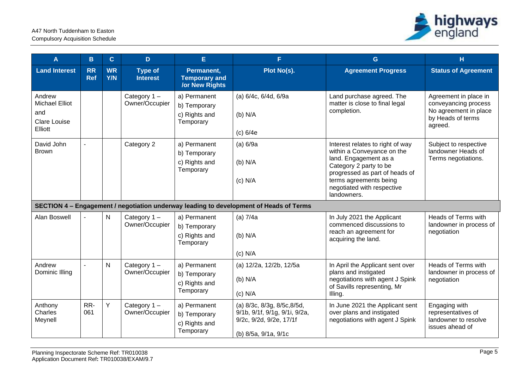

| A                                                                        | B                       | $\mathbf{C}$            | D                                 | E                                                           | F.                                                                                                              | G                                                                                                                                                                                                                          | H                                                                                                      |
|--------------------------------------------------------------------------|-------------------------|-------------------------|-----------------------------------|-------------------------------------------------------------|-----------------------------------------------------------------------------------------------------------------|----------------------------------------------------------------------------------------------------------------------------------------------------------------------------------------------------------------------------|--------------------------------------------------------------------------------------------------------|
| <b>Land Interest</b>                                                     | <b>RR</b><br><b>Ref</b> | <b>WR</b><br><b>Y/N</b> | <b>Type of</b><br><b>Interest</b> | Permanent,<br><b>Temporary and</b><br><b>/or New Rights</b> | Plot No(s).                                                                                                     | <b>Agreement Progress</b>                                                                                                                                                                                                  | <b>Status of Agreement</b>                                                                             |
| Andrew<br><b>Michael Elliot</b><br>and<br><b>Clare Louise</b><br>Elliott |                         |                         | Category $1 -$<br>Owner/Occupier  | a) Permanent<br>b) Temporary<br>c) Rights and<br>Temporary  | (a) 6/4c, 6/4d, 6/9a<br>$(b)$ N/A<br>(c) 6/4e                                                                   | Land purchase agreed. The<br>matter is close to final legal<br>completion.                                                                                                                                                 | Agreement in place in<br>conveyancing process<br>No agreement in place<br>by Heads of terms<br>agreed. |
| David John<br><b>Brown</b>                                               |                         |                         | Category 2                        | a) Permanent<br>b) Temporary<br>c) Rights and<br>Temporary  | (a) 6/9a<br>$(b)$ N/A<br>$(c)$ N/A                                                                              | Interest relates to right of way<br>within a Conveyance on the<br>land. Engagement as a<br>Category 2 party to be<br>progressed as part of heads of<br>terms agreements being<br>negotiated with respective<br>landowners. | Subject to respective<br>landowner Heads of<br>Terms negotiations.                                     |
|                                                                          |                         |                         |                                   |                                                             | SECTION 4 - Engagement / negotiation underway leading to development of Heads of Terms                          |                                                                                                                                                                                                                            |                                                                                                        |
| <b>Alan Boswell</b>                                                      |                         | N                       | Category $1 -$<br>Owner/Occupier  | a) Permanent<br>b) Temporary<br>c) Rights and<br>Temporary  | (a) $7/4a$<br>$(b)$ N/A<br>$(c)$ N/A                                                                            | In July 2021 the Applicant<br>commenced discussions to<br>reach an agreement for<br>acquiring the land.                                                                                                                    | Heads of Terms with<br>landowner in process of<br>negotiation                                          |
| Andrew<br>Dominic Illing                                                 |                         | N                       | Category $1 -$<br>Owner/Occupier  | a) Permanent<br>b) Temporary<br>c) Rights and<br>Temporary  | (a) 12/2a, 12/2b, 12/5a<br>$(b)$ N/A<br>$(c)$ N/A                                                               | In April the Applicant sent over<br>plans and instigated<br>negotiations with agent J Spink<br>of Savills representing, Mr<br>Illing.                                                                                      | Heads of Terms with<br>landowner in process of<br>negotiation                                          |
| Anthony<br>Charles<br>Meynell                                            | RR-<br>061              | Υ                       | Category 1-<br>Owner/Occupier     | a) Permanent<br>b) Temporary<br>c) Rights and<br>Temporary  | (a) 8/3c, 8/3g, 8/5c, 8/5d,<br>9/1b, 9/1f, 9/1g, 9/1i, 9/2a,<br>9/2c, 9/2d, 9/2e, 17/1f<br>(b) 8/5a, 9/1a, 9/1c | In June 2021 the Applicant sent<br>over plans and instigated<br>negotiations with agent J Spink                                                                                                                            | Engaging with<br>representatives of<br>landowner to resolve<br>issues ahead of                         |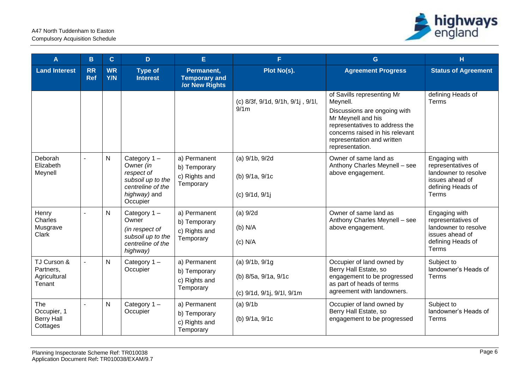

| A                                                   | B                       | $\mathbf{C}$            | D                                                                                                               | E                                                           | F                                                                         | G                                                                                                                                                                                                                  | H                                                                                                            |
|-----------------------------------------------------|-------------------------|-------------------------|-----------------------------------------------------------------------------------------------------------------|-------------------------------------------------------------|---------------------------------------------------------------------------|--------------------------------------------------------------------------------------------------------------------------------------------------------------------------------------------------------------------|--------------------------------------------------------------------------------------------------------------|
| <b>Land Interest</b>                                | <b>RR</b><br><b>Ref</b> | <b>WR</b><br><b>Y/N</b> | <b>Type of</b><br><b>Interest</b>                                                                               | Permanent,<br><b>Temporary and</b><br><b>/or New Rights</b> | Plot No(s).                                                               | <b>Agreement Progress</b>                                                                                                                                                                                          | <b>Status of Agreement</b>                                                                                   |
|                                                     |                         |                         |                                                                                                                 |                                                             | (c) 8/3f, 9/1d, 9/1h, 9/1j, 9/1l,<br>9/1m                                 | of Savills representing Mr<br>Meynell.<br>Discussions are ongoing with<br>Mr Meynell and his<br>representatives to address the<br>concerns raised in his relevant<br>representation and written<br>representation. | defining Heads of<br>Terms                                                                                   |
| Deborah<br>Elizabeth<br>Meynell                     | $\sim$                  | N                       | Category $1 -$<br>Owner (in<br>respect of<br>subsoil up to the<br>centreline of the<br>highway) and<br>Occupier | a) Permanent<br>b) Temporary<br>c) Rights and<br>Temporary  | (a) 9/1b, 9/2d<br>(b) 9/1a, 9/1c<br>(c) 9/1d, 9/1j                        | Owner of same land as<br>Anthony Charles Meynell - see<br>above engagement.                                                                                                                                        | Engaging with<br>representatives of<br>landowner to resolve<br>issues ahead of<br>defining Heads of<br>Terms |
| Henry<br>Charles<br>Musgrave<br>Clark               |                         | N                       | Category $1 -$<br>Owner<br>(in respect of<br>subsoil up to the<br>centreline of the<br>highway)                 | a) Permanent<br>b) Temporary<br>c) Rights and<br>Temporary  | $(a)$ 9/2d<br>$(b)$ N/A<br>$(c)$ N/A                                      | Owner of same land as<br>Anthony Charles Meynell - see<br>above engagement.                                                                                                                                        | Engaging with<br>representatives of<br>landowner to resolve<br>issues ahead of<br>defining Heads of<br>Terms |
| TJ Curson &<br>Partners,<br>Agricultural<br>Tenant  |                         | N                       | Category 1-<br>Occupier                                                                                         | a) Permanent<br>b) Temporary<br>c) Rights and<br>Temporary  | (a) $9/1b$ , $9/1g$<br>(b) 8/5a, 9/1a, 9/1c<br>(c) 9/1d, 9/1j, 9/1l, 9/1m | Occupier of land owned by<br>Berry Hall Estate, so<br>engagement to be progressed<br>as part of heads of terms<br>agreement with landowners.                                                                       | Subject to<br>landowner's Heads of<br>Terms                                                                  |
| The<br>Occupier, 1<br><b>Berry Hall</b><br>Cottages | $\overline{a}$          | N                       | Category $1 -$<br>Occupier                                                                                      | a) Permanent<br>b) Temporary<br>c) Rights and<br>Temporary  | $(a)$ 9/1b<br>(b) 9/1a, 9/1c                                              | Occupier of land owned by<br>Berry Hall Estate, so<br>engagement to be progressed                                                                                                                                  | Subject to<br>landowner's Heads of<br>Terms                                                                  |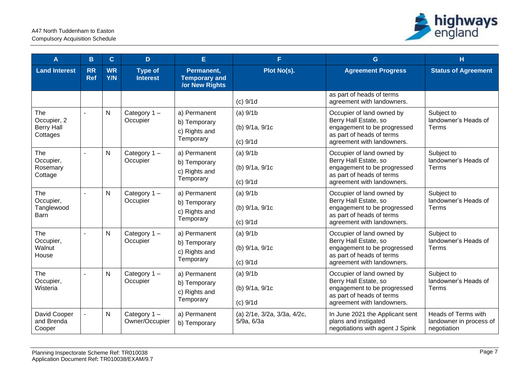

| A                                                   | B                       | $\mathbf{C}$            | D.                                | E                                                           | F.                                         | G                                                                                                                                            | H                                                             |
|-----------------------------------------------------|-------------------------|-------------------------|-----------------------------------|-------------------------------------------------------------|--------------------------------------------|----------------------------------------------------------------------------------------------------------------------------------------------|---------------------------------------------------------------|
| <b>Land Interest</b>                                | <b>RR</b><br><b>Ref</b> | <b>WR</b><br><b>Y/N</b> | <b>Type of</b><br><b>Interest</b> | Permanent,<br><b>Temporary and</b><br><b>/or New Rights</b> | Plot No(s).                                | <b>Agreement Progress</b>                                                                                                                    | <b>Status of Agreement</b>                                    |
|                                                     |                         |                         |                                   |                                                             | $(c)$ 9/1d                                 | as part of heads of terms<br>agreement with landowners.                                                                                      |                                                               |
| The<br>Occupier, 2<br><b>Berry Hall</b><br>Cottages | $\mathbf{r}$            | $\mathsf{N}$            | Category $1 -$<br>Occupier        | a) Permanent<br>b) Temporary<br>c) Rights and<br>Temporary  | $(a)$ 9/1b<br>(b) 9/1a, 9/1c<br>$(c)$ 9/1d | Occupier of land owned by<br>Berry Hall Estate, so<br>engagement to be progressed<br>as part of heads of terms<br>agreement with landowners. | Subject to<br>landowner's Heads of<br>Terms                   |
| The<br>Occupier,<br>Rosemary<br>Cottage             | $\mathbf{r}$            | $\mathsf{N}$            | Category $1 -$<br>Occupier        | a) Permanent<br>b) Temporary<br>c) Rights and<br>Temporary  | $(a)$ 9/1b<br>(b) 9/1a, 9/1c<br>$(c)$ 9/1d | Occupier of land owned by<br>Berry Hall Estate, so<br>engagement to be progressed<br>as part of heads of terms<br>agreement with landowners. | Subject to<br>landowner's Heads of<br>Terms                   |
| The<br>Occupier,<br>Tanglewood<br>Barn              |                         | N                       | Category $1 -$<br>Occupier        | a) Permanent<br>b) Temporary<br>c) Rights and<br>Temporary  | $(a)$ 9/1b<br>(b) 9/1a, 9/1c<br>$(c)$ 9/1d | Occupier of land owned by<br>Berry Hall Estate, so<br>engagement to be progressed<br>as part of heads of terms<br>agreement with landowners. | Subject to<br>landowner's Heads of<br>Terms                   |
| The<br>Occupier,<br>Walnut<br>House                 |                         | $\mathsf{N}$            | Category $1 -$<br>Occupier        | a) Permanent<br>b) Temporary<br>c) Rights and<br>Temporary  | $(a)$ 9/1b<br>(b) 9/1a, 9/1c<br>$(c)$ 9/1d | Occupier of land owned by<br>Berry Hall Estate, so<br>engagement to be progressed<br>as part of heads of terms<br>agreement with landowners. | Subject to<br>landowner's Heads of<br>Terms                   |
| The<br>Occupier,<br>Wisteria                        |                         | N                       | Category 1-<br>Occupier           | a) Permanent<br>b) Temporary<br>c) Rights and<br>Temporary  | $(a)$ 9/1b<br>(b) 9/1a, 9/1c<br>$(c)$ 9/1d | Occupier of land owned by<br>Berry Hall Estate, so<br>engagement to be progressed<br>as part of heads of terms<br>agreement with landowners. | Subject to<br>landowner's Heads of<br>Terms                   |
| David Cooper<br>and Brenda<br>Cooper                |                         | $\mathsf{N}$            | Category $1 -$<br>Owner/Occupier  | a) Permanent<br>b) Temporary                                | (a) 2/1e, 3/2a, 3/3a, 4/2c,<br>5/9a, 6/3a  | In June 2021 the Applicant sent<br>plans and instigated<br>negotiations with agent J Spink                                                   | Heads of Terms with<br>landowner in process of<br>negotiation |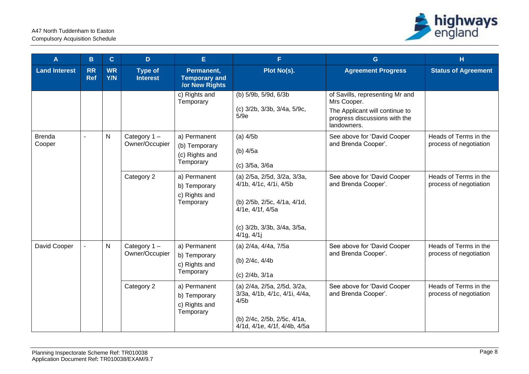

| A                       | B                       | $\mathbf{C}$            | D                                 | E.                                                          | F.                                                                                                                                                         | G                                                                                                                                | H                                                        |                                                    |                                                 |
|-------------------------|-------------------------|-------------------------|-----------------------------------|-------------------------------------------------------------|------------------------------------------------------------------------------------------------------------------------------------------------------------|----------------------------------------------------------------------------------------------------------------------------------|----------------------------------------------------------|----------------------------------------------------|-------------------------------------------------|
| <b>Land Interest</b>    | <b>RR</b><br><b>Ref</b> | <b>WR</b><br><b>Y/N</b> | <b>Type of</b><br><b>Interest</b> | Permanent,<br><b>Temporary and</b><br><b>/or New Rights</b> | Plot No(s).                                                                                                                                                | <b>Agreement Progress</b>                                                                                                        | <b>Status of Agreement</b>                               |                                                    |                                                 |
|                         |                         |                         |                                   | c) Rights and<br>Temporary                                  | (b) 5/9b, 5/9d, 6/3b<br>(c) 3/2b, 3/3b, 3/4a, 5/9c,<br>5/9e                                                                                                | of Savills, representing Mr and<br>Mrs Cooper.<br>The Applicant will continue to<br>progress discussions with the<br>landowners. |                                                          |                                                    |                                                 |
| <b>Brenda</b><br>Cooper |                         |                         | $\mathsf{N}$                      | Category $1 -$<br>Owner/Occupier                            | a) Permanent<br>(b) Temporary<br>(c) Rights and<br>Temporary                                                                                               | $(a)$ 4/5b<br>(b) 4/5a<br>(c) 3/5a, 3/6a                                                                                         | See above for 'David Cooper<br>and Brenda Cooper'.       | Heads of Terms in the<br>process of negotiation    |                                                 |
|                         |                         |                         | Category 2                        | a) Permanent<br>b) Temporary<br>c) Rights and<br>Temporary  | (a) 2/5a, 2/5d, 3/2a, 3/3a,<br>4/1b, 4/1c, 4/1i, 4/5b<br>(b) 2/5b, 2/5c, 4/1a, 4/1d,<br>4/1e, 4/1f, 4/5a<br>(c) 3/2b, 3/3b, 3/4a, 3/5a,<br>$4/1g$ , $4/1j$ | See above for 'David Cooper<br>and Brenda Cooper'.                                                                               | Heads of Terms in the<br>process of negotiation          |                                                    |                                                 |
| David Cooper            |                         |                         |                                   | $\mathsf{N}$                                                | Category 1-<br>Owner/Occupier                                                                                                                              | a) Permanent<br>b) Temporary<br>c) Rights and<br>Temporary                                                                       | (a) 2/4a, 4/4a, 7/5a<br>(b) 2/4c, 4/4b<br>(c) 2/4b, 3/1a | See above for 'David Cooper<br>and Brenda Cooper'. | Heads of Terms in the<br>process of negotiation |
|                         |                         |                         | Category 2                        | a) Permanent<br>b) Temporary<br>c) Rights and<br>Temporary  | (a) 2/4a, 2/5a, 2/5d, 3/2a,<br>3/3a, 4/1b, 4/1c, 4/1i, 4/4a,<br>4/5 <sub>b</sub><br>(b) 2/4c, 2/5b, 2/5c, 4/1a,<br>4/1d, 4/1e, 4/1f, 4/4b, 4/5a            | See above for 'David Cooper<br>and Brenda Cooper'.                                                                               | Heads of Terms in the<br>process of negotiation          |                                                    |                                                 |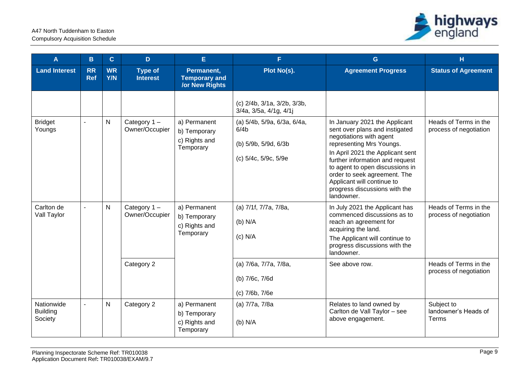

| A                                        | B                       | $\mathbf{C}$            | D                                           | E                                                           | F                                                                                               | G                                                                                                                                                                                                                                                                                                                                             | н                                                                        |
|------------------------------------------|-------------------------|-------------------------|---------------------------------------------|-------------------------------------------------------------|-------------------------------------------------------------------------------------------------|-----------------------------------------------------------------------------------------------------------------------------------------------------------------------------------------------------------------------------------------------------------------------------------------------------------------------------------------------|--------------------------------------------------------------------------|
| <b>Land Interest</b>                     | <b>RR</b><br><b>Ref</b> | <b>WR</b><br><b>Y/N</b> | <b>Type of</b><br><b>Interest</b>           | Permanent,<br><b>Temporary and</b><br><b>/or New Rights</b> | Plot No(s).                                                                                     | <b>Agreement Progress</b>                                                                                                                                                                                                                                                                                                                     | <b>Status of Agreement</b>                                               |
|                                          |                         |                         |                                             |                                                             | (c) 2/4b, 3/1a, 3/2b, 3/3b,<br>3/4a, 3/5a, 4/1g, 4/1j                                           |                                                                                                                                                                                                                                                                                                                                               |                                                                          |
| <b>Bridget</b><br>Youngs                 |                         | ${\sf N}$               | Category 1-<br>Owner/Occupier               | a) Permanent<br>b) Temporary<br>c) Rights and<br>Temporary  | (a) 5/4b, 5/9a, 6/3a, 6/4a,<br>6/4 <sub>b</sub><br>(b) 5/9b, 5/9d, 6/3b<br>(c) 5/4c, 5/9c, 5/9e | In January 2021 the Applicant<br>sent over plans and instigated<br>negotiations with agent<br>representing Mrs Youngs.<br>In April 2021 the Applicant sent<br>further information and request<br>to agent to open discussions in<br>order to seek agreement. The<br>Applicant will continue to<br>progress discussions with the<br>landowner. | Heads of Terms in the<br>process of negotiation                          |
| Carlton de<br>Vall Taylor                |                         | $\mathsf{N}$            | Category 1-<br>Owner/Occupier<br>Category 2 | a) Permanent<br>b) Temporary<br>c) Rights and<br>Temporary  | (a) 7/1f, 7/7a, 7/8a,<br>$(b)$ N/A<br>$(c)$ N/A<br>(a) 7/6a, 7/7a, 7/8a,                        | In July 2021 the Applicant has<br>commenced discussions as to<br>reach an agreement for<br>acquiring the land.<br>The Applicant will continue to<br>progress discussions with the<br>landowner.<br>See above row.                                                                                                                             | Heads of Terms in the<br>process of negotiation<br>Heads of Terms in the |
|                                          |                         |                         |                                             |                                                             | (b) 7/6c, 7/6d<br>(c) 7/6b, 7/6e                                                                |                                                                                                                                                                                                                                                                                                                                               | process of negotiation                                                   |
| Nationwide<br><b>Building</b><br>Society |                         | $\mathsf{N}$            | Category 2                                  | a) Permanent<br>b) Temporary<br>c) Rights and<br>Temporary  | (a) 7/7a, 7/8a<br>$(b)$ N/A                                                                     | Relates to land owned by<br>Carlton de Vall Taylor - see<br>above engagement.                                                                                                                                                                                                                                                                 | Subject to<br>landowner's Heads of<br>Terms                              |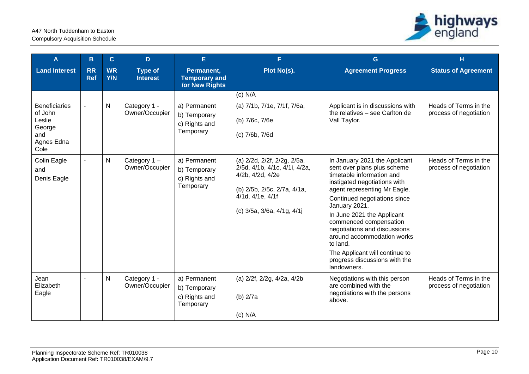

| A                                                                                | B                       | $\mathbf{C}$            | D                                 | E                                                          | F.                                                                                                                                                                | G                                                                                                                                                                                                                                                                                                                                                                                                                              | н                                               |
|----------------------------------------------------------------------------------|-------------------------|-------------------------|-----------------------------------|------------------------------------------------------------|-------------------------------------------------------------------------------------------------------------------------------------------------------------------|--------------------------------------------------------------------------------------------------------------------------------------------------------------------------------------------------------------------------------------------------------------------------------------------------------------------------------------------------------------------------------------------------------------------------------|-------------------------------------------------|
| <b>Land Interest</b>                                                             | <b>RR</b><br><b>Ref</b> | <b>WR</b><br><b>Y/N</b> | <b>Type of</b><br><b>Interest</b> | Permanent,<br><b>Temporary and</b><br>/or New Rights       | Plot No(s).                                                                                                                                                       | <b>Agreement Progress</b>                                                                                                                                                                                                                                                                                                                                                                                                      | <b>Status of Agreement</b>                      |
| <b>Beneficiaries</b><br>of John<br>Leslie<br>George<br>and<br>Agnes Edna<br>Cole |                         | $\mathsf{N}$            | Category 1 -<br>Owner/Occupier    | a) Permanent<br>b) Temporary<br>c) Rights and<br>Temporary | $(c)$ N/A<br>(a) 7/1b, 7/1e, 7/1f, 7/6a,<br>(b) 7/6c, 7/6e<br>(c) 7/6b, 7/6d                                                                                      | Applicant is in discussions with<br>the relatives - see Carlton de<br>Vall Taylor.                                                                                                                                                                                                                                                                                                                                             | Heads of Terms in the<br>process of negotiation |
| Colin Eagle<br>and<br>Denis Eagle                                                | $\blacksquare$          | N                       | Category $1 -$<br>Owner/Occupier  | a) Permanent<br>b) Temporary<br>c) Rights and<br>Temporary | (a) 2/2d, 2/2f, 2/2g, 2/5a,<br>2/5d, 4/1b, 4/1c, 4/1i, 4/2a,<br>4/2b, 4/2d, 4/2e<br>(b) 2/5b, 2/5c, 2/7a, 4/1a,<br>4/1d, 4/1e, 4/1f<br>(c) 3/5a, 3/6a, 4/1g, 4/1j | In January 2021 the Applicant<br>sent over plans plus scheme<br>timetable information and<br>instigated negotiations with<br>agent representing Mr Eagle.<br>Continued negotiations since<br>January 2021.<br>In June 2021 the Applicant<br>commenced compensation<br>negotiations and discussions<br>around accommodation works<br>to land.<br>The Applicant will continue to<br>progress discussions with the<br>landowners. | Heads of Terms in the<br>process of negotiation |
| Jean<br>Elizabeth<br>Eagle                                                       | $\sim$                  | $\mathsf{N}$            | Category 1 -<br>Owner/Occupier    | a) Permanent<br>b) Temporary<br>c) Rights and<br>Temporary | (a) 2/2f, 2/2g, 4/2a, 4/2b<br>(b) 2/7a<br>$(c)$ N/A                                                                                                               | Negotiations with this person<br>are combined with the<br>negotiations with the persons<br>above.                                                                                                                                                                                                                                                                                                                              | Heads of Terms in the<br>process of negotiation |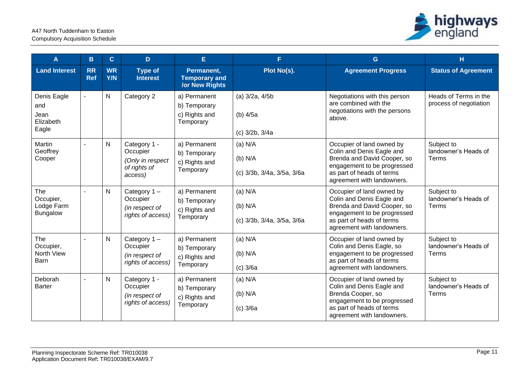

| A                                                 | в                       | $\mathbf{C}$            | D                                                                       | E                                                           | F.                                                   | G                                                                                                                                                                               | H                                               |
|---------------------------------------------------|-------------------------|-------------------------|-------------------------------------------------------------------------|-------------------------------------------------------------|------------------------------------------------------|---------------------------------------------------------------------------------------------------------------------------------------------------------------------------------|-------------------------------------------------|
| <b>Land Interest</b>                              | <b>RR</b><br><b>Ref</b> | <b>WR</b><br><b>Y/N</b> | <b>Type of</b><br><b>Interest</b>                                       | Permanent,<br><b>Temporary and</b><br><b>/or New Rights</b> | Plot No(s).                                          | <b>Agreement Progress</b>                                                                                                                                                       | <b>Status of Agreement</b>                      |
| Denis Eagle<br>and<br>Jean<br>Elizabeth<br>Eagle  |                         | ${\sf N}$               | Category 2                                                              | a) Permanent<br>b) Temporary<br>c) Rights and<br>Temporary  | $(a)$ 3/2a, 4/5b<br>(b) 4/5a<br>(c) 3/2b, 3/4a       | Negotiations with this person<br>are combined with the<br>negotiations with the persons<br>above.                                                                               | Heads of Terms in the<br>process of negotiation |
| Martin<br>Geoffrey<br>Cooper                      | $\blacksquare$          | $\mathsf{N}$            | Category 1 -<br>Occupier<br>(Only in respect<br>of rights of<br>access) | a) Permanent<br>b) Temporary<br>c) Rights and<br>Temporary  | $(a)$ N/A<br>$(b)$ N/A<br>(c) 3/3b, 3/4a, 3/5a, 3/6a | Occupier of land owned by<br>Colin and Denis Eagle and<br>Brenda and David Cooper, so<br>engagement to be progressed<br>as part of heads of terms<br>agreement with landowners. | Subject to<br>landowner's Heads of<br>Terms     |
| The<br>Occupier,<br>Lodge Farm<br><b>Bungalow</b> | $\overline{a}$          | $\mathsf{N}$            | Category $1 -$<br>Occupier<br>(in respect of<br>rights of access)       | a) Permanent<br>b) Temporary<br>c) Rights and<br>Temporary  | $(a)$ N/A<br>$(b)$ N/A<br>(c) 3/3b, 3/4a, 3/5a, 3/6a | Occupier of land owned by<br>Colin and Denis Eagle and<br>Brenda and David Cooper, so<br>engagement to be progressed<br>as part of heads of terms<br>agreement with landowners. | Subject to<br>landowner's Heads of<br>Terms     |
| The<br>Occupier,<br>North View<br>Barn            |                         | $\mathsf{N}$            | Category $1 -$<br>Occupier<br>(in respect of<br>rights of access)       | a) Permanent<br>b) Temporary<br>c) Rights and<br>Temporary  | $(a)$ N/A<br>(b) N/A<br>$(c)$ 3/6a                   | Occupier of land owned by<br>Colin and Denis Eagle, so<br>engagement to be progressed<br>as part of heads of terms<br>agreement with landowners.                                | Subject to<br>landowner's Heads of<br>Terms     |
| Deborah<br><b>Barter</b>                          |                         | N                       | Category 1 -<br>Occupier<br>(in respect of<br>rights of access)         | a) Permanent<br>b) Temporary<br>c) Rights and<br>Temporary  | $(a)$ N/A<br>$(b)$ N/A<br>$(c)$ 3/6a                 | Occupier of land owned by<br>Colin and Denis Eagle and<br>Brenda Cooper, so<br>engagement to be progressed<br>as part of heads of terms<br>agreement with landowners.           | Subject to<br>landowner's Heads of<br>Terms     |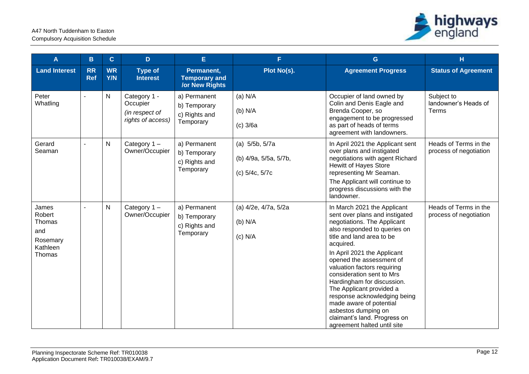

| $\mathbf{A}$                                                       | B                       | $\mathbf{C}$     | D                                                               | E.                                                          | F.                                                        | G.                                                                                                                                                                                                                                                                                                                                                                                                                                                                                                       | $\mathbf H$                                     |
|--------------------------------------------------------------------|-------------------------|------------------|-----------------------------------------------------------------|-------------------------------------------------------------|-----------------------------------------------------------|----------------------------------------------------------------------------------------------------------------------------------------------------------------------------------------------------------------------------------------------------------------------------------------------------------------------------------------------------------------------------------------------------------------------------------------------------------------------------------------------------------|-------------------------------------------------|
| <b>Land Interest</b>                                               | <b>RR</b><br><b>Ref</b> | <b>WR</b><br>Y/N | <b>Type of</b><br><b>Interest</b>                               | Permanent,<br><b>Temporary and</b><br><b>/or New Rights</b> | Plot No(s).                                               | <b>Agreement Progress</b>                                                                                                                                                                                                                                                                                                                                                                                                                                                                                | <b>Status of Agreement</b>                      |
| Peter<br>Whatling                                                  |                         | N                | Category 1 -<br>Occupier<br>(in respect of<br>rights of access) | a) Permanent<br>b) Temporary<br>c) Rights and<br>Temporary  | $(a)$ N/A<br>(b) N/A<br>$(c)$ 3/6a                        | Occupier of land owned by<br>Colin and Denis Eagle and<br>Brenda Cooper, so<br>engagement to be progressed<br>as part of heads of terms<br>agreement with landowners.                                                                                                                                                                                                                                                                                                                                    | Subject to<br>landowner's Heads of<br>Terms     |
| Gerard<br>Seaman                                                   | $\overline{a}$          | N                | Category $1 -$<br>Owner/Occupier                                | a) Permanent<br>b) Temporary<br>c) Rights and<br>Temporary  | (a) 5/5b, 5/7a<br>(b) 4/9a, 5/5a, 5/7b,<br>(c) 5/4c, 5/7c | In April 2021 the Applicant sent<br>over plans and instigated<br>negotiations with agent Richard<br><b>Hewitt of Hayes Store</b><br>representing Mr Seaman.<br>The Applicant will continue to<br>progress discussions with the<br>landowner.                                                                                                                                                                                                                                                             | Heads of Terms in the<br>process of negotiation |
| James<br>Robert<br>Thomas<br>and<br>Rosemary<br>Kathleen<br>Thomas |                         | N                | Category $1 -$<br>Owner/Occupier                                | a) Permanent<br>b) Temporary<br>c) Rights and<br>Temporary  | (a) 4/2e, 4/7a, 5/2a<br>(b) N/A<br>$(c)$ N/A              | In March 2021 the Applicant<br>sent over plans and instigated<br>negotiations. The Applicant<br>also responded to queries on<br>title and land area to be<br>acquired.<br>In April 2021 the Applicant<br>opened the assessment of<br>valuation factors requiring<br>consideration sent to Mrs<br>Hardingham for discussion.<br>The Applicant provided a<br>response acknowledging being<br>made aware of potential<br>asbestos dumping on<br>claimant's land. Progress on<br>agreement halted until site | Heads of Terms in the<br>process of negotiation |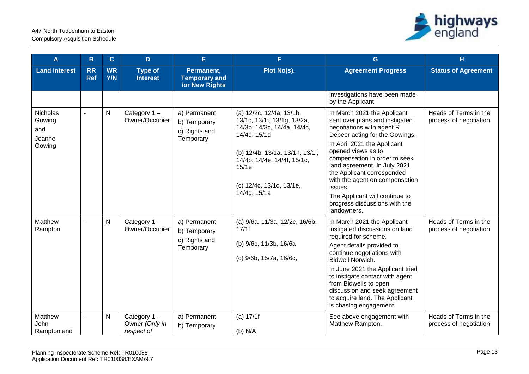

| A                                                    | $\mathbf{B}$            | $\mathbf{C}$            | D.                                          | E.                                                         | F.                                                                                                                                                                                                                            | G                                                                                                                                                                                                                                                                                                                                                                                                               | H                                               |
|------------------------------------------------------|-------------------------|-------------------------|---------------------------------------------|------------------------------------------------------------|-------------------------------------------------------------------------------------------------------------------------------------------------------------------------------------------------------------------------------|-----------------------------------------------------------------------------------------------------------------------------------------------------------------------------------------------------------------------------------------------------------------------------------------------------------------------------------------------------------------------------------------------------------------|-------------------------------------------------|
| <b>Land Interest</b>                                 | <b>RR</b><br><b>Ref</b> | <b>WR</b><br><b>Y/N</b> | <b>Type of</b><br><b>Interest</b>           | Permanent,<br><b>Temporary and</b><br>/or New Rights       | Plot No(s).                                                                                                                                                                                                                   | <b>Agreement Progress</b>                                                                                                                                                                                                                                                                                                                                                                                       | <b>Status of Agreement</b>                      |
|                                                      |                         |                         |                                             |                                                            |                                                                                                                                                                                                                               | investigations have been made<br>by the Applicant.                                                                                                                                                                                                                                                                                                                                                              |                                                 |
| <b>Nicholas</b><br>Gowing<br>and<br>Joanne<br>Gowing |                         | $\mathsf{N}$            | Category 1-<br>Owner/Occupier               | a) Permanent<br>b) Temporary<br>c) Rights and<br>Temporary | (a) 12/2c, 12/4a, 13/1b,<br>13/1c, 13/1f, 13/1g, 13/2a,<br>14/3b, 14/3c, 14/4a, 14/4c,<br>14/4d, 15/1d<br>(b) 12/4b, 13/1a, 13/1h, 13/1i,<br>14/4b, 14/4e, 14/4f, 15/1c,<br>15/1e<br>(c) 12/4c, 13/1d, 13/1e,<br>14/4g, 15/1a | In March 2021 the Applicant<br>sent over plans and instigated<br>negotiations with agent R<br>Debeer acting for the Gowings.<br>In April 2021 the Applicant<br>opened views as to<br>compensation in order to seek<br>land agreement. In July 2021<br>the Applicant corresponded<br>with the agent on compensation<br>issues.<br>The Applicant will continue to<br>progress discussions with the<br>landowners. | Heads of Terms in the<br>process of negotiation |
| Matthew<br>Rampton                                   |                         | $\mathsf{N}$            | Category 1-<br>Owner/Occupier               | a) Permanent<br>b) Temporary<br>c) Rights and<br>Temporary | (a) 9/6a, 11/3a, 12/2c, 16/6b,<br>17/1f<br>(b) 9/6c, 11/3b, 16/6a<br>(c) 9/6b, 15/7a, 16/6c,                                                                                                                                  | In March 2021 the Applicant<br>instigated discussions on land<br>required for scheme.<br>Agent details provided to<br>continue negotiations with<br><b>Bidwell Norwich.</b><br>In June 2021 the Applicant tried<br>to instigate contact with agent<br>from Bidwells to open<br>discussion and seek agreement<br>to acquire land. The Applicant<br>is chasing engagement.                                        | Heads of Terms in the<br>process of negotiation |
| Matthew<br>John<br>Rampton and                       |                         | $\mathsf{N}$            | Category 1-<br>Owner (Only in<br>respect of | a) Permanent<br>b) Temporary                               | (a) 17/1f<br>$(b)$ N/A                                                                                                                                                                                                        | See above engagement with<br>Matthew Rampton.                                                                                                                                                                                                                                                                                                                                                                   | Heads of Terms in the<br>process of negotiation |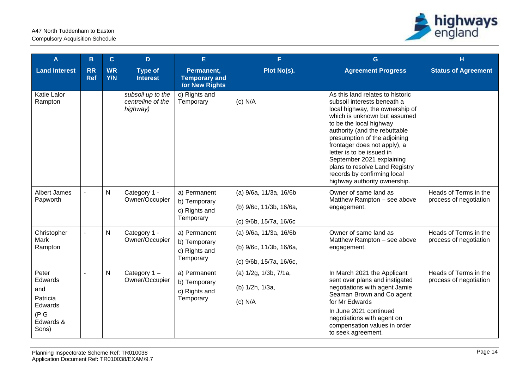

| A                                                                             | B                       | $\mathbf{C}$            | D                                                  | E.                                                          | F.                                                                           | G                                                                                                                                                                                                                                                                                                                                                                                                                         | H                                               |
|-------------------------------------------------------------------------------|-------------------------|-------------------------|----------------------------------------------------|-------------------------------------------------------------|------------------------------------------------------------------------------|---------------------------------------------------------------------------------------------------------------------------------------------------------------------------------------------------------------------------------------------------------------------------------------------------------------------------------------------------------------------------------------------------------------------------|-------------------------------------------------|
| <b>Land Interest</b>                                                          | <b>RR</b><br><b>Ref</b> | <b>WR</b><br><b>Y/N</b> | <b>Type of</b><br><b>Interest</b>                  | Permanent,<br><b>Temporary and</b><br><b>/or New Rights</b> | Plot No(s).                                                                  | <b>Agreement Progress</b>                                                                                                                                                                                                                                                                                                                                                                                                 | <b>Status of Agreement</b>                      |
| Katie Lalor<br>Rampton                                                        |                         |                         | subsoil up to the<br>centreline of the<br>highway) | c) Rights and<br>Temporary                                  | $(c)$ N/A                                                                    | As this land relates to historic<br>subsoil interests beneath a<br>local highway, the ownership of<br>which is unknown but assumed<br>to be the local highway<br>authority (and the rebuttable<br>presumption of the adjoining<br>frontager does not apply), a<br>letter is to be issued in<br>September 2021 explaining<br>plans to resolve Land Registry<br>records by confirming local<br>highway authority ownership. |                                                 |
| Albert James<br>Papworth                                                      |                         | $\mathsf{N}$            | Category 1 -<br>Owner/Occupier                     | a) Permanent<br>b) Temporary<br>c) Rights and<br>Temporary  | (a) 9/6a, 11/3a, 16/6b<br>(b) 9/6c, 11/3b, 16/6a,<br>(c) 9/6b, 15/7a, 16/6c  | Owner of same land as<br>Matthew Rampton - see above<br>engagement.                                                                                                                                                                                                                                                                                                                                                       | Heads of Terms in the<br>process of negotiation |
| Christopher<br>Mark<br>Rampton                                                |                         | $\mathsf{N}$            | Category 1 -<br>Owner/Occupier                     | a) Permanent<br>b) Temporary<br>c) Rights and<br>Temporary  | (a) 9/6a, 11/3a, 16/6b<br>(b) 9/6c, 11/3b, 16/6a,<br>(c) 9/6b, 15/7a, 16/6c, | Owner of same land as<br>Matthew Rampton - see above<br>engagement.                                                                                                                                                                                                                                                                                                                                                       | Heads of Terms in the<br>process of negotiation |
| Peter<br>Edwards<br>and<br>Patricia<br>Edwards<br>(P G)<br>Edwards &<br>Sons) |                         | ${\sf N}$               | Category $1 -$<br>Owner/Occupier                   | a) Permanent<br>b) Temporary<br>c) Rights and<br>Temporary  | (a) 1/2g, 1/3b, 7/1a,<br>(b) 1/2h, 1/3a,<br>$(c)$ N/A                        | In March 2021 the Applicant<br>sent over plans and instigated<br>negotiations with agent Jamie<br>Seaman Brown and Co agent<br>for Mr Edwards<br>In June 2021 continued<br>negotiations with agent on<br>compensation values in order<br>to seek agreement.                                                                                                                                                               | Heads of Terms in the<br>process of negotiation |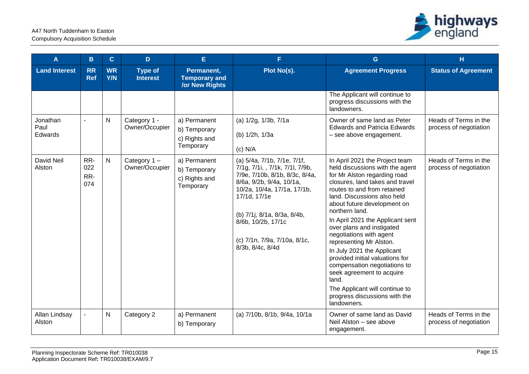

| A                           | B                        | $\mathbf{C}$            | D                                 | E.                                                          | F.                                                                                                                                                                                                                                                                                   | G                                                                                                                                                                                                                                                                                                                                                                                                                                                                                                                                                                                                   | H.                                              |
|-----------------------------|--------------------------|-------------------------|-----------------------------------|-------------------------------------------------------------|--------------------------------------------------------------------------------------------------------------------------------------------------------------------------------------------------------------------------------------------------------------------------------------|-----------------------------------------------------------------------------------------------------------------------------------------------------------------------------------------------------------------------------------------------------------------------------------------------------------------------------------------------------------------------------------------------------------------------------------------------------------------------------------------------------------------------------------------------------------------------------------------------------|-------------------------------------------------|
| <b>Land Interest</b>        | <b>RR</b><br><b>Ref</b>  | <b>WR</b><br><b>Y/N</b> | <b>Type of</b><br><b>Interest</b> | Permanent,<br><b>Temporary and</b><br><b>/or New Rights</b> | Plot No(s).                                                                                                                                                                                                                                                                          | <b>Agreement Progress</b>                                                                                                                                                                                                                                                                                                                                                                                                                                                                                                                                                                           | <b>Status of Agreement</b>                      |
|                             |                          |                         |                                   |                                                             |                                                                                                                                                                                                                                                                                      | The Applicant will continue to<br>progress discussions with the<br>landowners.                                                                                                                                                                                                                                                                                                                                                                                                                                                                                                                      |                                                 |
| Jonathan<br>Paul<br>Edwards | ÷,                       | $\mathsf{N}$            | Category 1 -<br>Owner/Occupier    | a) Permanent<br>b) Temporary<br>c) Rights and<br>Temporary  | (a) 1/2g, 1/3b, 7/1a<br>(b) 1/2h, 1/3a<br>$(c)$ N/A                                                                                                                                                                                                                                  | Owner of same land as Peter<br><b>Edwards and Patricia Edwards</b><br>- see above engagement.                                                                                                                                                                                                                                                                                                                                                                                                                                                                                                       | Heads of Terms in the<br>process of negotiation |
| David Neil<br>Alston        | RR-<br>022<br>RR-<br>074 | $\mathsf{N}$            | Category $1 -$<br>Owner/Occupier  | a) Permanent<br>b) Temporary<br>c) Rights and<br>Temporary  | (a) 5/4a, 7/1b, 7/1e, 7/1f,<br>7/1g, 7/1i, , 7/1k, 7/1l, 7/9b,<br>7/9e, 7/10b, 8/1b, 8/3c, 8/4a,<br>8/6a, 9/2b, 9/4a, 10/1a,<br>10/2a, 10/4a, 17/1a, 17/1b,<br>17/1d, 17/1e<br>(b) 7/1j, 8/1a, 8/3a, 8/4b,<br>8/6b, 10/2b, 17/1c<br>(c) 7/1n, 7/9a, 7/10a, 8/1c,<br>8/3b, 8/4c, 8/4d | In April 2021 the Project team<br>held discussions with the agent<br>for Mr Alston regarding road<br>closures, land takes and travel<br>routes to and from retained<br>land. Discussions also held<br>about future development on<br>northern land.<br>In April 2021 the Applicant sent<br>over plans and instigated<br>negotiations with agent<br>representing Mr Alston.<br>In July 2021 the Applicant<br>provided initial valuations for<br>compensation negotiations to<br>seek agreement to acquire<br>land.<br>The Applicant will continue to<br>progress discussions with the<br>landowners. | Heads of Terms in the<br>process of negotiation |
| Allan Lindsay<br>Alston     | $\overline{a}$           | $\mathsf{N}$            | Category 2                        | a) Permanent<br>b) Temporary                                | (a) 7/10b, 8/1b, 9/4a, 10/1a                                                                                                                                                                                                                                                         | Owner of same land as David<br>Neil Alston - see above<br>engagement.                                                                                                                                                                                                                                                                                                                                                                                                                                                                                                                               | Heads of Terms in the<br>process of negotiation |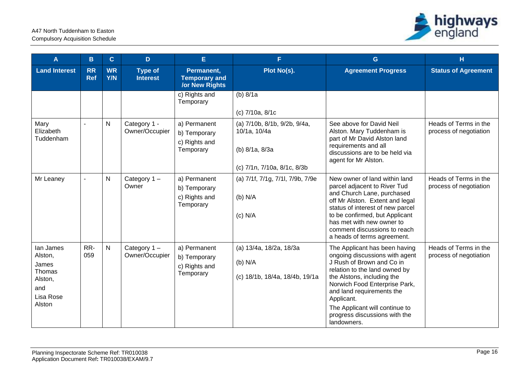

| A                                                                                | B                       | $\mathbf{C}$            | D                                 | E                                                           | F.                                                                                            | G                                                                                                                                                                                                                                                                                                                         | н                                               |
|----------------------------------------------------------------------------------|-------------------------|-------------------------|-----------------------------------|-------------------------------------------------------------|-----------------------------------------------------------------------------------------------|---------------------------------------------------------------------------------------------------------------------------------------------------------------------------------------------------------------------------------------------------------------------------------------------------------------------------|-------------------------------------------------|
| <b>Land Interest</b>                                                             | <b>RR</b><br><b>Ref</b> | <b>WR</b><br><b>Y/N</b> | <b>Type of</b><br><b>Interest</b> | Permanent,<br><b>Temporary and</b><br><b>/or New Rights</b> | Plot No(s).                                                                                   | <b>Agreement Progress</b>                                                                                                                                                                                                                                                                                                 | <b>Status of Agreement</b>                      |
|                                                                                  |                         |                         |                                   | c) Rights and<br>Temporary                                  | (b) $8/1a$<br>(c) 7/10a, 8/1c                                                                 |                                                                                                                                                                                                                                                                                                                           |                                                 |
| Mary<br>Elizabeth<br>Tuddenham                                                   |                         | $\mathsf{N}$            | Category 1 -<br>Owner/Occupier    | a) Permanent<br>b) Temporary<br>c) Rights and<br>Temporary  | (a) 7/10b, 8/1b, 9/2b, 9/4a,<br>10/1a, 10/4a<br>(b) 8/1a, 8/3a<br>(c) 7/1n, 7/10a, 8/1c, 8/3b | See above for David Neil<br>Alston. Mary Tuddenham is<br>part of Mr David Alston land<br>requirements and all<br>discussions are to be held via<br>agent for Mr Alston.                                                                                                                                                   | Heads of Terms in the<br>process of negotiation |
| Mr Leaney                                                                        | $\blacksquare$          | $\mathsf{N}$            | Category $1 -$<br>Owner           | a) Permanent<br>b) Temporary<br>c) Rights and<br>Temporary  | (a) 7/1f, 7/1g, 7/1l, 7/9b, 7/9e<br>$(b)$ N/A<br>$(c)$ N/A                                    | New owner of land within land<br>parcel adjacent to River Tud<br>and Church Lane, purchased<br>off Mr Alston. Extent and legal<br>status of interest of new parcel<br>to be confirmed, but Applicant<br>has met with new owner to<br>comment discussions to reach<br>a heads of terms agreement.                          | Heads of Terms in the<br>process of negotiation |
| lan James<br>Alston,<br>James<br>Thomas<br>Alston,<br>and<br>Lisa Rose<br>Alston | RR-<br>059              | $\mathsf{N}$            | Category $1 -$<br>Owner/Occupier  | a) Permanent<br>b) Temporary<br>c) Rights and<br>Temporary  | (a) 13/4a, 18/2a, 18/3a<br>$(b)$ N/A<br>(c) 18/1b, 18/4a, 18/4b, 19/1a                        | The Applicant has been having<br>ongoing discussions with agent<br>J Rush of Brown and Co in<br>relation to the land owned by<br>the Alstons, including the<br>Norwich Food Enterprise Park,<br>and land requirements the<br>Applicant.<br>The Applicant will continue to<br>progress discussions with the<br>landowners. | Heads of Terms in the<br>process of negotiation |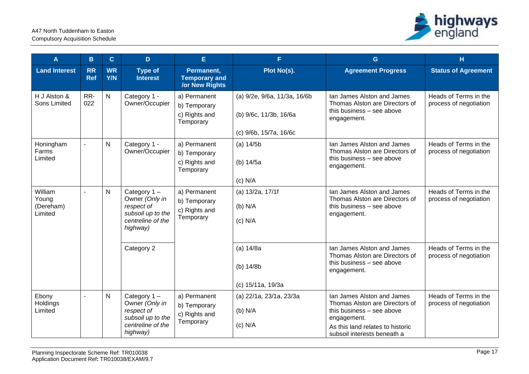

| A                                        | B                       | $\mathbf C$      | D                                                                                                    | Е                                                           | F.                                                                               | G                                                                                                                                                                           | н                                               |
|------------------------------------------|-------------------------|------------------|------------------------------------------------------------------------------------------------------|-------------------------------------------------------------|----------------------------------------------------------------------------------|-----------------------------------------------------------------------------------------------------------------------------------------------------------------------------|-------------------------------------------------|
| <b>Land Interest</b>                     | <b>RR</b><br><b>Ref</b> | <b>WR</b><br>Y/N | <b>Type of</b><br><b>Interest</b>                                                                    | Permanent,<br><b>Temporary and</b><br><b>/or New Rights</b> | Plot No(s).                                                                      | <b>Agreement Progress</b>                                                                                                                                                   | <b>Status of Agreement</b>                      |
| H J Alston &<br>Sons Limited             | RR-<br>022              | $\mathsf{N}$     | Category 1 -<br>Owner/Occupier                                                                       | a) Permanent<br>b) Temporary<br>c) Rights and<br>Temporary  | (a) 9/2e, 9/6a, 11/3a, 16/6b<br>(b) 9/6c, 11/3b, 16/6a<br>(c) 9/6b, 15/7a, 16/6c | Ian James Alston and James<br>Thomas Alston are Directors of<br>this business - see above<br>engagement.                                                                    | Heads of Terms in the<br>process of negotiation |
| Honingham<br>Farms<br>Limited            | $\blacksquare$          | N                | Category 1 -<br>Owner/Occupier                                                                       | a) Permanent<br>b) Temporary<br>c) Rights and<br>Temporary  | (a) 14/5b<br>(b) 14/5a<br>$(c)$ N/A                                              | Ian James Alston and James<br>Thomas Alston are Directors of<br>this business - see above<br>engagement.                                                                    | Heads of Terms in the<br>process of negotiation |
| William<br>Young<br>(Dereham)<br>Limited | $\blacksquare$          | $\mathsf{N}$     | Category $1 -$<br>Owner (Only in<br>respect of<br>subsoil up to the<br>centreline of the<br>highway) | a) Permanent<br>b) Temporary<br>c) Rights and<br>Temporary  | (a) 13/2a, 17/1f<br>(b) N/A<br>$(c)$ N/A                                         | Ian James Alston and James<br>Thomas Alston are Directors of<br>this business - see above<br>engagement.                                                                    | Heads of Terms in the<br>process of negotiation |
|                                          |                         |                  | Category 2                                                                                           |                                                             | (a) 14/8a<br>(b) 14/8b<br>(c) 15/11a, 19/3a                                      | Ian James Alston and James<br>Thomas Alston are Directors of<br>this business - see above<br>engagement.                                                                    | Heads of Terms in the<br>process of negotiation |
| Ebony<br>Holdings<br>Limited             | $\overline{a}$          | $\mathsf{N}$     | Category 1-<br>Owner (Only in<br>respect of<br>subsoil up to the<br>centreline of the<br>highway)    | a) Permanent<br>b) Temporary<br>c) Rights and<br>Temporary  | (a) 22/1a, 23/1a, 23/3a<br>$(b)$ N/A<br>$(c)$ N/A                                | Ian James Alston and James<br>Thomas Alston are Directors of<br>this business - see above<br>engagement.<br>As this land relates to historic<br>subsoil interests beneath a | Heads of Terms in the<br>process of negotiation |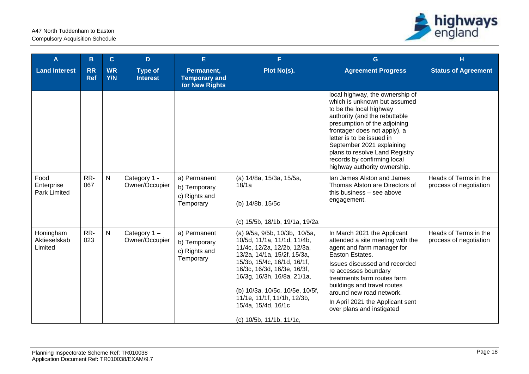

| A                                    | B                       | $\overline{C}$   | D                                 | E                                                           | F.                                                                                                                                                                                                                                                                                                                                           | G                                                                                                                                                                                                                                                                                                                                                      | H.                                              |
|--------------------------------------|-------------------------|------------------|-----------------------------------|-------------------------------------------------------------|----------------------------------------------------------------------------------------------------------------------------------------------------------------------------------------------------------------------------------------------------------------------------------------------------------------------------------------------|--------------------------------------------------------------------------------------------------------------------------------------------------------------------------------------------------------------------------------------------------------------------------------------------------------------------------------------------------------|-------------------------------------------------|
| <b>Land Interest</b>                 | <b>RR</b><br><b>Ref</b> | <b>WR</b><br>Y/N | <b>Type of</b><br><b>Interest</b> | Permanent,<br><b>Temporary and</b><br><b>/or New Rights</b> | Plot No(s).                                                                                                                                                                                                                                                                                                                                  | <b>Agreement Progress</b>                                                                                                                                                                                                                                                                                                                              | <b>Status of Agreement</b>                      |
|                                      |                         |                  |                                   |                                                             |                                                                                                                                                                                                                                                                                                                                              | local highway, the ownership of<br>which is unknown but assumed<br>to be the local highway<br>authority (and the rebuttable<br>presumption of the adjoining<br>frontager does not apply), a<br>letter is to be issued in<br>September 2021 explaining<br>plans to resolve Land Registry<br>records by confirming local<br>highway authority ownership. |                                                 |
| Food<br>Enterprise<br>Park Limited   | RR-<br>067              | $\mathsf{N}$     | Category 1 -<br>Owner/Occupier    | a) Permanent<br>b) Temporary<br>c) Rights and<br>Temporary  | (a) 14/8a, 15/3a, 15/5a,<br>18/1a<br>(b) 14/8b, 15/5c<br>(c) 15/5b, 18/1b, 19/1a, 19/2a                                                                                                                                                                                                                                                      | Ian James Alston and James<br>Thomas Alston are Directors of<br>this business - see above<br>engagement.                                                                                                                                                                                                                                               | Heads of Terms in the<br>process of negotiation |
| Honingham<br>Aktieselskab<br>Limited | RR-<br>023              | $\mathsf{N}$     | Category $1 -$<br>Owner/Occupier  | a) Permanent<br>b) Temporary<br>c) Rights and<br>Temporary  | (a) 9/5a, 9/5b, 10/3b, 10/5a,<br>10/5d, 11/1a, 11/1d, 11/4b,<br>11/4c, 12/2a, 12/2b, 12/3a,<br>13/2a, 14/1a, 15/2f, 15/3a,<br>15/3b, 15/4c, 16/1d, 16/1f,<br>16/3c, 16/3d, 16/3e, 16/3f,<br>16/3g, 16/3h, 16/8a, 21/1a,<br>(b) 10/3a, 10/5c, 10/5e, 10/5f,<br>11/1e, 11/1f, 11/1h, 12/3b,<br>15/4a, 15/4d, 16/1c<br>(c) 10/5b, 11/1b, 11/1c, | In March 2021 the Applicant<br>attended a site meeting with the<br>agent and farm manager for<br>Easton Estates.<br>Issues discussed and recorded<br>re accesses boundary<br>treatments farm routes farm<br>buildings and travel routes<br>around new road network.<br>In April 2021 the Applicant sent<br>over plans and instigated                   | Heads of Terms in the<br>process of negotiation |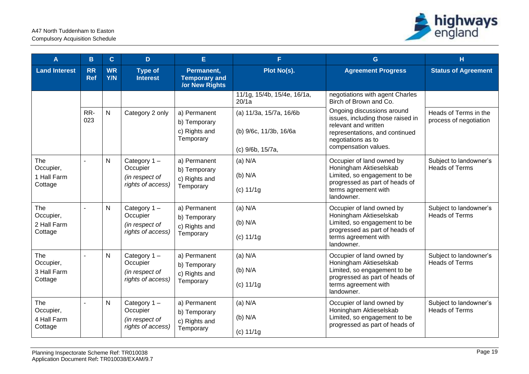

| A                                          | в                       | $\mathbf{C}$            | D                                                                 | E                                                           | F                                                                     | G                                                                                                                                                                       | н                                               |
|--------------------------------------------|-------------------------|-------------------------|-------------------------------------------------------------------|-------------------------------------------------------------|-----------------------------------------------------------------------|-------------------------------------------------------------------------------------------------------------------------------------------------------------------------|-------------------------------------------------|
| <b>Land Interest</b>                       | <b>RR</b><br><b>Ref</b> | <b>WR</b><br><b>Y/N</b> | <b>Type of</b><br><b>Interest</b>                                 | Permanent,<br><b>Temporary and</b><br><b>/or New Rights</b> | Plot No(s).                                                           | <b>Agreement Progress</b>                                                                                                                                               | <b>Status of Agreement</b>                      |
|                                            |                         |                         |                                                                   |                                                             | 11/1g, 15/4b, 15/4e, 16/1a,<br>20/1a                                  | negotiations with agent Charles<br>Birch of Brown and Co.                                                                                                               |                                                 |
|                                            | RR-<br>023              | N                       | Category 2 only                                                   | a) Permanent<br>b) Temporary<br>c) Rights and<br>Temporary  | (a) 11/3a, 15/7a, 16/6b<br>(b) 9/6c, 11/3b, 16/6a<br>(c) 9/6b, 15/7a, | Ongoing discussions around<br>issues, including those raised in<br>relevant and written<br>representations, and continued<br>negotiations as to<br>compensation values. | Heads of Terms in the<br>process of negotiation |
| The<br>Occupier,<br>1 Hall Farm<br>Cottage |                         | $\mathsf{N}$            | Category $1 -$<br>Occupier<br>(in respect of<br>rights of access) | a) Permanent<br>b) Temporary<br>c) Rights and<br>Temporary  | $(a)$ N/A<br>$(b)$ N/A<br>(c) 11/1g                                   | Occupier of land owned by<br>Honingham Aktieselskab<br>Limited, so engagement to be<br>progressed as part of heads of<br>terms agreement with<br>landowner.             | Subject to landowner's<br><b>Heads of Terms</b> |
| The<br>Occupier,<br>2 Hall Farm<br>Cottage |                         | $\mathsf{N}$            | Category 1-<br>Occupier<br>(in respect of<br>rights of access)    | a) Permanent<br>b) Temporary<br>c) Rights and<br>Temporary  | $(a)$ N/A<br>$(b)$ N/A<br>(c) 11/1g                                   | Occupier of land owned by<br>Honingham Aktieselskab<br>Limited, so engagement to be<br>progressed as part of heads of<br>terms agreement with<br>landowner.             | Subject to landowner's<br><b>Heads of Terms</b> |
| The<br>Occupier,<br>3 Hall Farm<br>Cottage |                         | N                       | Category $1 -$<br>Occupier<br>(in respect of<br>rights of access) | a) Permanent<br>b) Temporary<br>c) Rights and<br>Temporary  | $(a)$ N/A<br>$(b)$ N/A<br>(c) 11/1g                                   | Occupier of land owned by<br>Honingham Aktieselskab<br>Limited, so engagement to be<br>progressed as part of heads of<br>terms agreement with<br>landowner.             | Subject to landowner's<br><b>Heads of Terms</b> |
| The<br>Occupier,<br>4 Hall Farm<br>Cottage |                         | $\mathsf{N}$            | Category $1 -$<br>Occupier<br>(in respect of<br>rights of access) | a) Permanent<br>b) Temporary<br>c) Rights and<br>Temporary  | $(a)$ N/A<br>$(b)$ N/A<br>(c) 11/1g                                   | Occupier of land owned by<br>Honingham Aktieselskab<br>Limited, so engagement to be<br>progressed as part of heads of                                                   | Subject to landowner's<br><b>Heads of Terms</b> |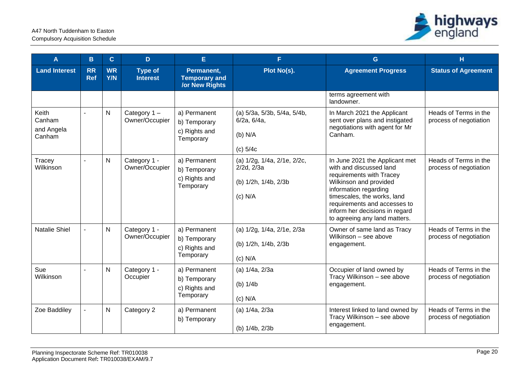

| A                                       | B                       | $\mathbf{C}$     | D                                 | E                                                           | F.                                                                                  | G                                                                                                                                                                                                                                                                          | H                                               |
|-----------------------------------------|-------------------------|------------------|-----------------------------------|-------------------------------------------------------------|-------------------------------------------------------------------------------------|----------------------------------------------------------------------------------------------------------------------------------------------------------------------------------------------------------------------------------------------------------------------------|-------------------------------------------------|
| <b>Land Interest</b>                    | <b>RR</b><br><b>Ref</b> | <b>WR</b><br>Y/N | <b>Type of</b><br><b>Interest</b> | Permanent,<br><b>Temporary and</b><br><b>/or New Rights</b> | Plot No(s).                                                                         | <b>Agreement Progress</b>                                                                                                                                                                                                                                                  | <b>Status of Agreement</b>                      |
|                                         |                         |                  |                                   |                                                             |                                                                                     | terms agreement with<br>landowner.                                                                                                                                                                                                                                         |                                                 |
| Keith<br>Canham<br>and Angela<br>Canham | $\sim$                  | $\mathsf{N}$     | Category 1-<br>Owner/Occupier     | a) Permanent<br>b) Temporary<br>c) Rights and<br>Temporary  | (a) 5/3a, 5/3b, 5/4a, 5/4b,<br>6/2a, 6/4a,<br>(b) N/A<br>$(c)$ 5/4 $c$              | In March 2021 the Applicant<br>sent over plans and instigated<br>negotiations with agent for Mr<br>Canham.                                                                                                                                                                 | Heads of Terms in the<br>process of negotiation |
| Tracey<br>Wilkinson                     | $\overline{a}$          | N                | Category 1 -<br>Owner/Occupier    | a) Permanent<br>b) Temporary<br>c) Rights and<br>Temporary  | (a) 1/2g, 1/4a, 2/1e, 2/2c,<br>$2/2d$ , $2/3a$<br>(b) 1/2h, 1/4b, 2/3b<br>$(c)$ N/A | In June 2021 the Applicant met<br>with and discussed land<br>requirements with Tracey<br>Wilkinson and provided<br>information regarding<br>timescales, the works, land<br>requirements and accesses to<br>inform her decisions in regard<br>to agreeing any land matters. | Heads of Terms in the<br>process of negotiation |
| <b>Natalie Shiel</b>                    |                         | N                | Category 1 -<br>Owner/Occupier    | a) Permanent<br>b) Temporary<br>c) Rights and<br>Temporary  | (a) 1/2g, 1/4a, 2/1e, 2/3a<br>(b) 1/2h, 1/4b, 2/3b<br>$(c)$ N/A                     | Owner of same land as Tracy<br>Wilkinson - see above<br>engagement.                                                                                                                                                                                                        | Heads of Terms in the<br>process of negotiation |
| Sue<br>Wilkinson                        |                         | $\mathsf{N}$     | Category 1 -<br>Occupier          | a) Permanent<br>b) Temporary<br>c) Rights and<br>Temporary  | (a) 1/4a, 2/3a<br>(b) $1/4b$<br>$(c)$ N/A                                           | Occupier of land owned by<br>Tracy Wilkinson - see above<br>engagement.                                                                                                                                                                                                    | Heads of Terms in the<br>process of negotiation |
| Zoe Baddiley                            | $\blacksquare$          | $\mathsf{N}$     | Category 2                        | a) Permanent<br>b) Temporary                                | (a) 1/4a, 2/3a<br>(b) 1/4b, 2/3b                                                    | Interest linked to land owned by<br>Tracy Wilkinson - see above<br>engagement.                                                                                                                                                                                             | Heads of Terms in the<br>process of negotiation |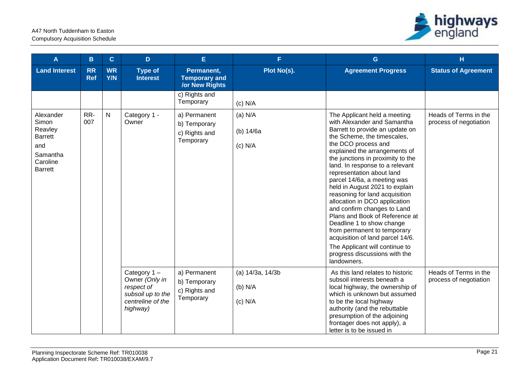

| A                                                                                                | B                       | $\mathbf{C}$            | D                                                                                                    | E                                                           | F.                                       | G                                                                                                                                                                                                                                                                                                                                                                                                                                                                                                                                                                                                                                                                                 | H.                                              |
|--------------------------------------------------------------------------------------------------|-------------------------|-------------------------|------------------------------------------------------------------------------------------------------|-------------------------------------------------------------|------------------------------------------|-----------------------------------------------------------------------------------------------------------------------------------------------------------------------------------------------------------------------------------------------------------------------------------------------------------------------------------------------------------------------------------------------------------------------------------------------------------------------------------------------------------------------------------------------------------------------------------------------------------------------------------------------------------------------------------|-------------------------------------------------|
| <b>Land Interest</b>                                                                             | <b>RR</b><br><b>Ref</b> | <b>WR</b><br><b>Y/N</b> | <b>Type of</b><br><b>Interest</b>                                                                    | Permanent,<br><b>Temporary and</b><br><b>/or New Rights</b> | Plot No(s).                              | <b>Agreement Progress</b>                                                                                                                                                                                                                                                                                                                                                                                                                                                                                                                                                                                                                                                         | <b>Status of Agreement</b>                      |
|                                                                                                  |                         |                         |                                                                                                      | c) Rights and<br>Temporary                                  | $(c)$ N/A                                |                                                                                                                                                                                                                                                                                                                                                                                                                                                                                                                                                                                                                                                                                   |                                                 |
| Alexander<br>Simon<br>Reavley<br><b>Barrett</b><br>and<br>Samantha<br>Caroline<br><b>Barrett</b> | RR-<br>007              | $\mathsf{N}$            | Category 1 -<br>Owner                                                                                | a) Permanent<br>b) Temporary<br>c) Rights and<br>Temporary  | $(a)$ N/A<br>(b) $14/6a$<br>$(c)$ N/A    | The Applicant held a meeting<br>with Alexander and Samantha<br>Barrett to provide an update on<br>the Scheme, the timescales,<br>the DCO process and<br>explained the arrangements of<br>the junctions in proximity to the<br>land. In response to a relevant<br>representation about land<br>parcel 14/6a, a meeting was<br>held in August 2021 to explain<br>reasoning for land acquisition<br>allocation in DCO application<br>and confirm changes to Land<br>Plans and Book of Reference at<br>Deadline 1 to show change<br>from permanent to temporary<br>acquisition of land parcel 14/6.<br>The Applicant will continue to<br>progress discussions with the<br>landowners. | Heads of Terms in the<br>process of negotiation |
|                                                                                                  |                         |                         | Category $1 -$<br>Owner (Only in<br>respect of<br>subsoil up to the<br>centreline of the<br>highway) | a) Permanent<br>b) Temporary<br>c) Rights and<br>Temporary  | (a) 14/3a, 14/3b<br>(b) N/A<br>$(c)$ N/A | As this land relates to historic<br>subsoil interests beneath a<br>local highway, the ownership of<br>which is unknown but assumed<br>to be the local highway<br>authority (and the rebuttable<br>presumption of the adjoining<br>frontager does not apply), a<br>letter is to be issued in                                                                                                                                                                                                                                                                                                                                                                                       | Heads of Terms in the<br>process of negotiation |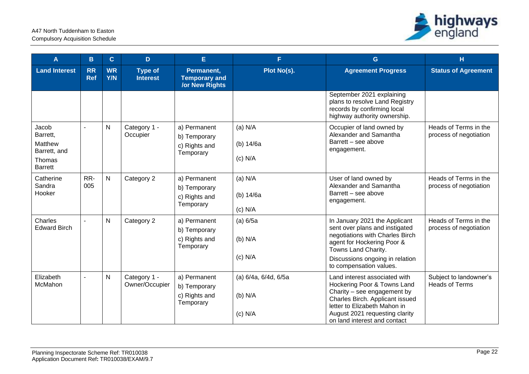

| A                                                                               | B                | $\mathbf{C}$            | D                                 | E                                                           | F.                                             | G                                                                                                                                                                                                                                | н                                               |
|---------------------------------------------------------------------------------|------------------|-------------------------|-----------------------------------|-------------------------------------------------------------|------------------------------------------------|----------------------------------------------------------------------------------------------------------------------------------------------------------------------------------------------------------------------------------|-------------------------------------------------|
| <b>Land Interest</b>                                                            | RR<br><b>Ref</b> | <b>WR</b><br><b>Y/N</b> | <b>Type of</b><br><b>Interest</b> | Permanent,<br><b>Temporary and</b><br><b>/or New Rights</b> | Plot No(s).                                    | <b>Agreement Progress</b>                                                                                                                                                                                                        | <b>Status of Agreement</b>                      |
|                                                                                 |                  |                         |                                   |                                                             |                                                | September 2021 explaining<br>plans to resolve Land Registry<br>records by confirming local<br>highway authority ownership.                                                                                                       |                                                 |
| Jacob<br>Barrett,<br><b>Matthew</b><br>Barrett, and<br>Thomas<br><b>Barrett</b> |                  | $\mathsf{N}$            | Category 1 -<br>Occupier          | a) Permanent<br>b) Temporary<br>c) Rights and<br>Temporary  | $(a)$ N/A<br>(b) 14/6a<br>$(c)$ N/A            | Occupier of land owned by<br>Alexander and Samantha<br>Barrett - see above<br>engagement.                                                                                                                                        | Heads of Terms in the<br>process of negotiation |
| Catherine<br>Sandra<br>Hooker                                                   | RR-<br>005       | $\mathsf{N}$            | Category 2                        | a) Permanent<br>b) Temporary<br>c) Rights and<br>Temporary  | $(a)$ N/A<br>(b) 14/6a<br>$(c)$ N/A            | User of land owned by<br>Alexander and Samantha<br>Barrett - see above<br>engagement.                                                                                                                                            | Heads of Terms in the<br>process of negotiation |
| Charles<br><b>Edward Birch</b>                                                  |                  | $\mathsf{N}$            | Category 2                        | a) Permanent<br>b) Temporary<br>c) Rights and<br>Temporary  | (a) 6/5a<br>$(b)$ N/A<br>$(c)$ N/A             | In January 2021 the Applicant<br>sent over plans and instigated<br>negotiations with Charles Birch<br>agent for Hockering Poor &<br>Towns Land Charity.<br>Discussions ongoing in relation<br>to compensation values.            | Heads of Terms in the<br>process of negotiation |
| Elizabeth<br>McMahon                                                            | $\blacksquare$   | $\mathsf{N}$            | Category 1 -<br>Owner/Occupier    | a) Permanent<br>b) Temporary<br>c) Rights and<br>Temporary  | (a) 6/4a, 6/4d, 6/5a<br>$(b)$ N/A<br>$(c)$ N/A | Land interest associated with<br>Hockering Poor & Towns Land<br>Charity - see engagement by<br>Charles Birch. Applicant issued<br>letter to Elizabeth Mahon in<br>August 2021 requesting clarity<br>on land interest and contact | Subject to landowner's<br><b>Heads of Terms</b> |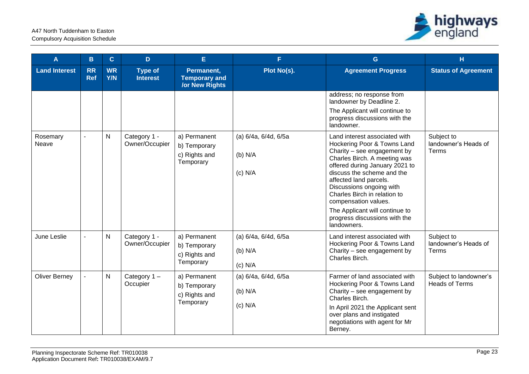

| A                    | $\mathbf{B}$            | $\mathbf{C}$            | D                                 | E.                                                          | F.                                             | $\mathbf{G}$                                                                                                                                                                                                                                                                                                                                                                                | H                                               |
|----------------------|-------------------------|-------------------------|-----------------------------------|-------------------------------------------------------------|------------------------------------------------|---------------------------------------------------------------------------------------------------------------------------------------------------------------------------------------------------------------------------------------------------------------------------------------------------------------------------------------------------------------------------------------------|-------------------------------------------------|
| <b>Land Interest</b> | <b>RR</b><br><b>Ref</b> | <b>WR</b><br><b>Y/N</b> | <b>Type of</b><br><b>Interest</b> | Permanent,<br><b>Temporary and</b><br><b>/or New Rights</b> | Plot No(s).                                    | <b>Agreement Progress</b>                                                                                                                                                                                                                                                                                                                                                                   | <b>Status of Agreement</b>                      |
|                      |                         |                         |                                   |                                                             |                                                | address; no response from<br>landowner by Deadline 2.<br>The Applicant will continue to<br>progress discussions with the<br>landowner.                                                                                                                                                                                                                                                      |                                                 |
| Rosemary<br>Neave    | $\blacksquare$          | $\mathsf{N}$            | Category 1 -<br>Owner/Occupier    | a) Permanent<br>b) Temporary<br>c) Rights and<br>Temporary  | (a) 6/4a, 6/4d, 6/5a<br>(b) N/A<br>$(c)$ N/A   | Land interest associated with<br>Hockering Poor & Towns Land<br>Charity - see engagement by<br>Charles Birch. A meeting was<br>offered during January 2021 to<br>discuss the scheme and the<br>affected land parcels.<br>Discussions ongoing with<br>Charles Birch in relation to<br>compensation values.<br>The Applicant will continue to<br>progress discussions with the<br>landowners. | Subject to<br>landowner's Heads of<br>Terms     |
| June Leslie          |                         | $\mathsf{N}$            | Category 1 -<br>Owner/Occupier    | a) Permanent<br>b) Temporary<br>c) Rights and<br>Temporary  | (a) 6/4a, 6/4d, 6/5a<br>(b) N/A<br>$(c)$ N/A   | Land interest associated with<br>Hockering Poor & Towns Land<br>Charity - see engagement by<br>Charles Birch.                                                                                                                                                                                                                                                                               | Subject to<br>landowner's Heads of<br>Terms     |
| <b>Oliver Berney</b> |                         | $\mathsf{N}$            | Category 1-<br>Occupier           | a) Permanent<br>b) Temporary<br>c) Rights and<br>Temporary  | (a) 6/4a, 6/4d, 6/5a<br>$(b)$ N/A<br>$(c)$ N/A | Farmer of land associated with<br>Hockering Poor & Towns Land<br>Charity - see engagement by<br>Charles Birch.<br>In April 2021 the Applicant sent<br>over plans and instigated<br>negotiations with agent for Mr<br>Berney.                                                                                                                                                                | Subject to landowner's<br><b>Heads of Terms</b> |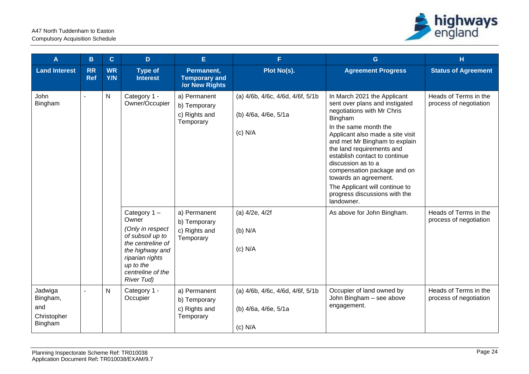

| A                                                    | B                       | $\mathbf{C}$     | D                                                                                                                                  | E                                                                                                           | F.                                                                                                     | $\mathbf G$                                                                                                                                                                                                                                                                                                                                                                                                                                                     | H                                                                                                  |
|------------------------------------------------------|-------------------------|------------------|------------------------------------------------------------------------------------------------------------------------------------|-------------------------------------------------------------------------------------------------------------|--------------------------------------------------------------------------------------------------------|-----------------------------------------------------------------------------------------------------------------------------------------------------------------------------------------------------------------------------------------------------------------------------------------------------------------------------------------------------------------------------------------------------------------------------------------------------------------|----------------------------------------------------------------------------------------------------|
| <b>Land Interest</b>                                 | <b>RR</b><br><b>Ref</b> | <b>WR</b><br>Y/N | <b>Type of</b><br><b>Interest</b>                                                                                                  | Permanent,<br><b>Temporary and</b><br><b>/or New Rights</b>                                                 | Plot No(s).                                                                                            | <b>Agreement Progress</b>                                                                                                                                                                                                                                                                                                                                                                                                                                       | <b>Status of Agreement</b>                                                                         |
| John<br>$\overline{a}$<br>Bingham                    |                         | N                | Category 1 -<br>Owner/Occupier<br>Category 1-<br>Owner<br>(Only in respect                                                         | a) Permanent<br>b) Temporary<br>c) Rights and<br>Temporary<br>a) Permanent<br>b) Temporary<br>c) Rights and | (a) 4/6b, 4/6c, 4/6d, 4/6f, 5/1b<br>(b) 4/6a, 4/6e, 5/1a<br>$(c)$ N/A<br>$(a)$ 4/2e, 4/2f<br>$(b)$ N/A | In March 2021 the Applicant<br>sent over plans and instigated<br>negotiations with Mr Chris<br>Bingham<br>In the same month the<br>Applicant also made a site visit<br>and met Mr Bingham to explain<br>the land requirements and<br>establish contact to continue<br>discussion as to a<br>compensation package and on<br>towards an agreement.<br>The Applicant will continue to<br>progress discussions with the<br>landowner.<br>As above for John Bingham. | Heads of Terms in the<br>process of negotiation<br>Heads of Terms in the<br>process of negotiation |
|                                                      |                         |                  | of subsoil up to<br>the centreline of<br>the highway and<br>riparian rights<br>up to the<br>centreline of the<br><b>River Tud)</b> | Temporary                                                                                                   | $(c)$ N/A                                                                                              |                                                                                                                                                                                                                                                                                                                                                                                                                                                                 |                                                                                                    |
| Jadwiga<br>Bingham,<br>and<br>Christopher<br>Bingham | $\overline{a}$          | Ν                | Category 1 -<br>Occupier                                                                                                           | a) Permanent<br>b) Temporary<br>c) Rights and<br>Temporary                                                  | (a) 4/6b, 4/6c, 4/6d, 4/6f, 5/1b<br>(b) 4/6a, 4/6e, 5/1a<br>$(c)$ N/A                                  | Occupier of land owned by<br>John Bingham - see above<br>engagement.                                                                                                                                                                                                                                                                                                                                                                                            | Heads of Terms in the<br>process of negotiation                                                    |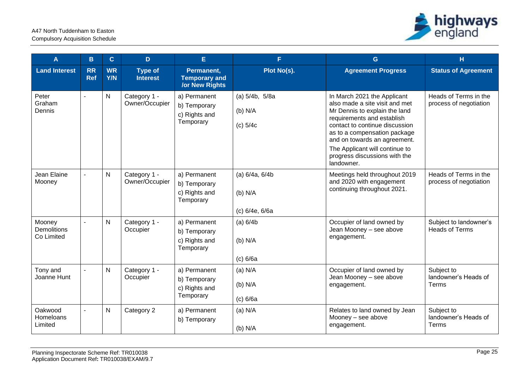

| A                                          | B.               | $\mathbf{C}$            | D                                 | E                                                           | F.                                            | G                                                                                                                                                                                                                                                                                                               | н                                               |
|--------------------------------------------|------------------|-------------------------|-----------------------------------|-------------------------------------------------------------|-----------------------------------------------|-----------------------------------------------------------------------------------------------------------------------------------------------------------------------------------------------------------------------------------------------------------------------------------------------------------------|-------------------------------------------------|
| <b>Land Interest</b>                       | RR<br><b>Ref</b> | <b>WR</b><br><b>Y/N</b> | <b>Type of</b><br><b>Interest</b> | Permanent,<br><b>Temporary and</b><br><b>/or New Rights</b> | Plot No(s).                                   | <b>Agreement Progress</b>                                                                                                                                                                                                                                                                                       | <b>Status of Agreement</b>                      |
| Peter<br>Graham<br>Dennis                  |                  | N                       | Category 1 -<br>Owner/Occupier    | a) Permanent<br>b) Temporary<br>c) Rights and<br>Temporary  | (a) 5/4b, 5/8a<br>$(b)$ N/A<br>$(c)$ 5/4 $c$  | In March 2021 the Applicant<br>also made a site visit and met<br>Mr Dennis to explain the land<br>requirements and establish<br>contact to continue discussion<br>as to a compensation package<br>and on towards an agreement.<br>The Applicant will continue to<br>progress discussions with the<br>landowner. | Heads of Terms in the<br>process of negotiation |
| Jean Elaine<br>Mooney                      |                  | N                       | Category 1 -<br>Owner/Occupier    | a) Permanent<br>b) Temporary<br>c) Rights and<br>Temporary  | (a) 6/4a, 6/4b<br>$(b)$ N/A<br>(c) 6/4e, 6/6a | Meetings held throughout 2019<br>and 2020 with engagement<br>continuing throughout 2021.                                                                                                                                                                                                                        | Heads of Terms in the<br>process of negotiation |
| Mooney<br><b>Demolitions</b><br>Co Limited |                  | N                       | Category 1 -<br>Occupier          | a) Permanent<br>b) Temporary<br>c) Rights and<br>Temporary  | (a) 6/4b<br>$(b)$ N/A<br>(c) 6/6a             | Occupier of land owned by<br>Jean Mooney - see above<br>engagement.                                                                                                                                                                                                                                             | Subject to landowner's<br><b>Heads of Terms</b> |
| Tony and<br>Joanne Hunt                    | $\sim$           | N                       | Category 1 -<br>Occupier          | a) Permanent<br>b) Temporary<br>c) Rights and<br>Temporary  | $(a)$ N/A<br>(b) N/A<br>(c) 6/6a              | Occupier of land owned by<br>Jean Mooney - see above<br>engagement.                                                                                                                                                                                                                                             | Subject to<br>landowner's Heads of<br>Terms     |
| Oakwood<br>Homeloans<br>Limited            |                  | N                       | Category 2                        | a) Permanent<br>b) Temporary                                | $(a)$ N/A<br>$(b)$ N/A                        | Relates to land owned by Jean<br>Mooney - see above<br>engagement.                                                                                                                                                                                                                                              | Subject to<br>landowner's Heads of<br>Terms     |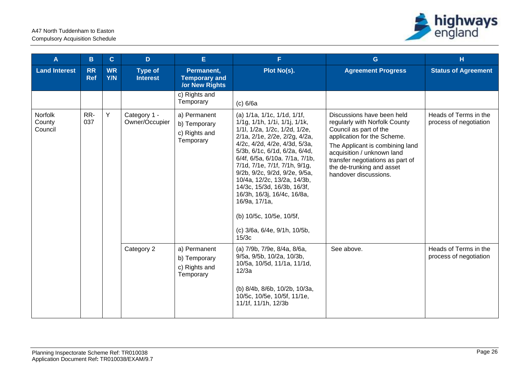

| A                            | B                       | $\mathbf{C}$            | D                                 | E                                                           | F.                                                                                                                                                                                                                                                                                                                                                                                                                                                                                                     | G                                                                                                                                                                                                                                                                               | H                                               |
|------------------------------|-------------------------|-------------------------|-----------------------------------|-------------------------------------------------------------|--------------------------------------------------------------------------------------------------------------------------------------------------------------------------------------------------------------------------------------------------------------------------------------------------------------------------------------------------------------------------------------------------------------------------------------------------------------------------------------------------------|---------------------------------------------------------------------------------------------------------------------------------------------------------------------------------------------------------------------------------------------------------------------------------|-------------------------------------------------|
| <b>Land Interest</b>         | <b>RR</b><br><b>Ref</b> | <b>WR</b><br><b>Y/N</b> | <b>Type of</b><br><b>Interest</b> | Permanent,<br><b>Temporary and</b><br><b>/or New Rights</b> | Plot No(s).                                                                                                                                                                                                                                                                                                                                                                                                                                                                                            | <b>Agreement Progress</b>                                                                                                                                                                                                                                                       | <b>Status of Agreement</b>                      |
|                              |                         |                         |                                   | c) Rights and<br>Temporary                                  | (c) 6/6a                                                                                                                                                                                                                                                                                                                                                                                                                                                                                               |                                                                                                                                                                                                                                                                                 |                                                 |
| Norfolk<br>County<br>Council | RR-<br>037              | Y                       | Category 1 -<br>Owner/Occupier    | a) Permanent<br>b) Temporary<br>c) Rights and<br>Temporary  | (a) 1/1a, 1/1c, 1/1d, 1/1f,<br>$1/1g$ , $1/1h$ , $1/1i$ , $1/1j$ , $1/1k$ ,<br>1/1l, 1/2a, 1/2c, 1/2d, 1/2e,<br>2/1a, 2/1e, 2/2e, 2/2g, 4/2a,<br>4/2c, 4/2d, 4/2e, 4/3d, 5/3a,<br>5/3b, 6/1c, 6/1d, 6/2a, 6/4d,<br>6/4f, 6/5a, 6/10a. 7/1a, 7/1b,<br>7/1d, 7/1e, 7/1f, 7/1h, 9/1g,<br>9/2b, 9/2c, 9/2d, 9/2e, 9/5a,<br>10/4a, 12/2c, 13/2a, 14/3b,<br>14/3c, 15/3d, 16/3b, 16/3f,<br>16/3h, 16/3j, 16/4c, 16/8a,<br>16/9a, 17/1a,<br>(b) 10/5c, 10/5e, 10/5f,<br>(c) 3/6a, 6/4e, 9/1h, 10/5b,<br>15/3c | Discussions have been held<br>regularly with Norfolk County<br>Council as part of the<br>application for the Scheme.<br>The Applicant is combining land<br>acquisition / unknown land<br>transfer negotiations as part of<br>the de-trunking and asset<br>handover discussions. | Heads of Terms in the<br>process of negotiation |
|                              |                         |                         | Category 2                        | a) Permanent<br>b) Temporary<br>c) Rights and<br>Temporary  | (a) 7/9b, 7/9e, 8/4a, 8/6a,<br>9/5a, 9/5b, 10/2a, 10/3b,<br>10/5a, 10/5d, 11/1a, 11/1d,<br>12/3a<br>(b) 8/4b, 8/6b, 10/2b, 10/3a,<br>10/5c, 10/5e, 10/5f, 11/1e,<br>11/1f, 11/1h, 12/3b                                                                                                                                                                                                                                                                                                                | See above.                                                                                                                                                                                                                                                                      | Heads of Terms in the<br>process of negotiation |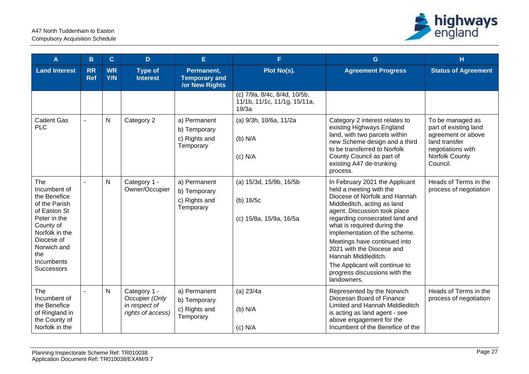

| A                                                                                                                                                                                          | $\mathbf{B}$            | $\mathbf{C}$            | D                                                                    | E                                                           | F.                                                                    | G                                                                                                                                                                                                                                                                                                                                                                                                                                 | H                                                                                                                                          |
|--------------------------------------------------------------------------------------------------------------------------------------------------------------------------------------------|-------------------------|-------------------------|----------------------------------------------------------------------|-------------------------------------------------------------|-----------------------------------------------------------------------|-----------------------------------------------------------------------------------------------------------------------------------------------------------------------------------------------------------------------------------------------------------------------------------------------------------------------------------------------------------------------------------------------------------------------------------|--------------------------------------------------------------------------------------------------------------------------------------------|
| <b>Land Interest</b>                                                                                                                                                                       | <b>RR</b><br><b>Ref</b> | <b>WR</b><br><b>Y/N</b> | <b>Type of</b><br><b>Interest</b>                                    | Permanent,<br><b>Temporary and</b><br><b>/or New Rights</b> | Plot No(s).                                                           | <b>Agreement Progress</b>                                                                                                                                                                                                                                                                                                                                                                                                         | <b>Status of Agreement</b>                                                                                                                 |
|                                                                                                                                                                                            |                         |                         |                                                                      |                                                             | (c) 7/9a, 8/4c, 8/4d, 10/5b,<br>11/1b, 11/1c, 11/1g, 15/11a,<br>19/3a |                                                                                                                                                                                                                                                                                                                                                                                                                                   |                                                                                                                                            |
| <b>Cadent Gas</b><br><b>PLC</b>                                                                                                                                                            | $\blacksquare$          | $\mathsf{N}$            | Category 2                                                           | a) Permanent<br>b) Temporary<br>c) Rights and<br>Temporary  | (a) 9/3h, 10/6a, 11/2a<br>(b) N/A<br>$(c)$ N/A                        | Category 2 interest relates to<br>existing Highways England<br>land, with two parcels within<br>new Scheme design and a third<br>to be transferred to Norfolk<br>County Council as part of<br>existing A47 de-trunking<br>process.                                                                                                                                                                                                | To be managed as<br>part of existing land<br>agreement or above<br>land transfer<br>negotiations with<br><b>Norfolk County</b><br>Council. |
| The<br>Incumbent of<br>the Benefice<br>of the Parish<br>of Easton St<br>Peter in the<br>County of<br>Norfolk in the<br>Diocese of<br>Norwich and<br>the<br>Incumbents<br><b>Successors</b> | $\overline{a}$          | $\mathsf{N}$            | Category 1 -<br>Owner/Occupier                                       | a) Permanent<br>b) Temporary<br>c) Rights and<br>Temporary  | (a) 15/3d, 15/9b, 16/5b<br>(b) 16/5c<br>(c) 15/8a, 15/9a, 16/5a       | In February 2021 the Applicant<br>held a meeting with the<br>Diocese of Norfolk and Hannah<br>Middleditch, acting as land<br>agent. Discussion took place<br>regarding consecrated land and<br>what is required during the<br>implementation of the scheme.<br>Meetings have continued into<br>2021 with the Diocese and<br>Hannah Middleditch.<br>The Applicant will continue to<br>progress discussions with the<br>landowners. | Heads of Terms in the<br>process of negotiation                                                                                            |
| The<br>Incumbent of<br>the Benefice<br>of Ringland in<br>the County of<br>Norfolk in the                                                                                                   | $\overline{a}$          | $\mathsf{N}$            | Category 1 -<br>Occupier (Only<br>in respect of<br>rights of access) | a) Permanent<br>b) Temporary<br>c) Rights and<br>Temporary  | (a) 23/4a<br>$(b)$ N/A<br>$(c)$ N/A                                   | Represented by the Norwich<br>Diocesan Board of Finance<br>Limited and Hannah Middleditch<br>is acting as land agent - see<br>above engagement for the<br>Incumbent of the Benefice of the                                                                                                                                                                                                                                        | Heads of Terms in the<br>process of negotiation                                                                                            |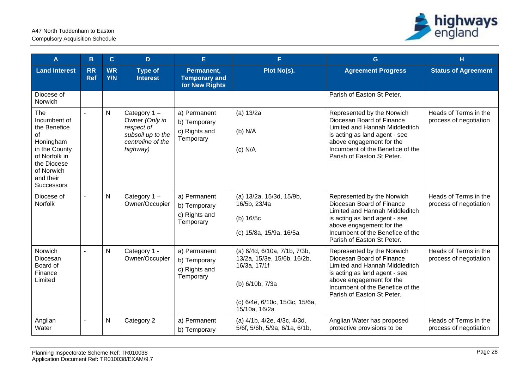

| A                                                                                                                                                       | в                       | $\mathbf{C}$            | D                                                                                                 | E                                                           | F.                                                                                                                                                | G                                                                                                                                                                                                                        | н                                               |
|---------------------------------------------------------------------------------------------------------------------------------------------------------|-------------------------|-------------------------|---------------------------------------------------------------------------------------------------|-------------------------------------------------------------|---------------------------------------------------------------------------------------------------------------------------------------------------|--------------------------------------------------------------------------------------------------------------------------------------------------------------------------------------------------------------------------|-------------------------------------------------|
| <b>Land Interest</b>                                                                                                                                    | <b>RR</b><br><b>Ref</b> | <b>WR</b><br><b>Y/N</b> | <b>Type of</b><br><b>Interest</b>                                                                 | Permanent,<br><b>Temporary and</b><br><b>/or New Rights</b> | Plot No(s).                                                                                                                                       | <b>Agreement Progress</b>                                                                                                                                                                                                | <b>Status of Agreement</b>                      |
| Diocese of<br>Norwich                                                                                                                                   |                         |                         |                                                                                                   |                                                             |                                                                                                                                                   | Parish of Easton St Peter.                                                                                                                                                                                               |                                                 |
| The<br>Incumbent of<br>the Benefice<br>of<br>Honingham<br>in the County<br>of Norfolk in<br>the Diocese<br>of Norwich<br>and their<br><b>Successors</b> |                         | ${\sf N}$               | Category 1-<br>Owner (Only in<br>respect of<br>subsoil up to the<br>centreline of the<br>highway) | a) Permanent<br>b) Temporary<br>c) Rights and<br>Temporary  | (a) 13/2a<br>$(b)$ N/A<br>$(c)$ N/A                                                                                                               | Represented by the Norwich<br>Diocesan Board of Finance<br>Limited and Hannah Middleditch<br>is acting as land agent - see<br>above engagement for the<br>Incumbent of the Benefice of the<br>Parish of Easton St Peter. | Heads of Terms in the<br>process of negotiation |
| Diocese of<br>Norfolk                                                                                                                                   |                         | ${\sf N}$               | Category 1-<br>Owner/Occupier                                                                     | a) Permanent<br>b) Temporary<br>c) Rights and<br>Temporary  | (a) 13/2a, 15/3d, 15/9b,<br>16/5b, 23/4a<br>(b) 16/5c<br>(c) 15/8a, 15/9a, 16/5a                                                                  | Represented by the Norwich<br>Diocesan Board of Finance<br>Limited and Hannah Middleditch<br>is acting as land agent - see<br>above engagement for the<br>Incumbent of the Benefice of the<br>Parish of Easton St Peter. | Heads of Terms in the<br>process of negotiation |
| Norwich<br>Diocesan<br>Board of<br>Finance<br>Limited                                                                                                   | $\blacksquare$          | $\mathsf{N}$            | Category 1 -<br>Owner/Occupier                                                                    | a) Permanent<br>b) Temporary<br>c) Rights and<br>Temporary  | (a) 6/4d, 6/10a, 7/1b, 7/3b,<br>13/2a, 15/3e, 15/6b, 16/2b,<br>16/3a, 17/1f<br>(b) 6/10b, 7/3a<br>(c) 6/4e, 6/10c, 15/3c, 15/6a,<br>15/10a, 16/2a | Represented by the Norwich<br>Diocesan Board of Finance<br>Limited and Hannah Middleditch<br>is acting as land agent - see<br>above engagement for the<br>Incumbent of the Benefice of the<br>Parish of Easton St Peter. | Heads of Terms in the<br>process of negotiation |
| Anglian<br>Water                                                                                                                                        |                         | ${\sf N}$               | Category 2                                                                                        | a) Permanent<br>b) Temporary                                | (a) 4/1b, 4/2e, 4/3c, 4/3d,<br>5/6f, 5/6h, 5/9a, 6/1a, 6/1b,                                                                                      | Anglian Water has proposed<br>protective provisions to be                                                                                                                                                                | Heads of Terms in the<br>process of negotiation |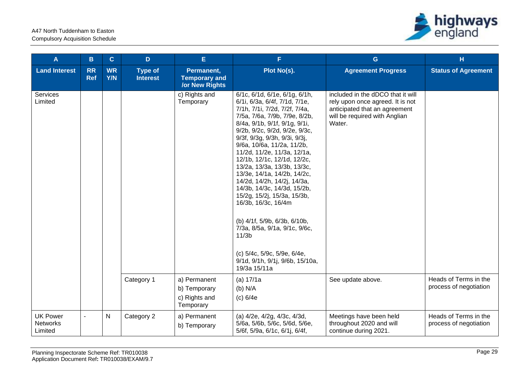

| A                                             | в                       | $\mathbf{C}$            | D                                 | E                                                           | F.                                                                                                                                                                                                                                                                                                                                                                                                                                                                                                                                                                                                                                                                                        | G                                                                                                                                                 | H                                               |
|-----------------------------------------------|-------------------------|-------------------------|-----------------------------------|-------------------------------------------------------------|-------------------------------------------------------------------------------------------------------------------------------------------------------------------------------------------------------------------------------------------------------------------------------------------------------------------------------------------------------------------------------------------------------------------------------------------------------------------------------------------------------------------------------------------------------------------------------------------------------------------------------------------------------------------------------------------|---------------------------------------------------------------------------------------------------------------------------------------------------|-------------------------------------------------|
| <b>Land Interest</b>                          | <b>RR</b><br><b>Ref</b> | <b>WR</b><br><b>Y/N</b> | <b>Type of</b><br><b>Interest</b> | Permanent,<br><b>Temporary and</b><br><b>/or New Rights</b> | Plot No(s).                                                                                                                                                                                                                                                                                                                                                                                                                                                                                                                                                                                                                                                                               | <b>Agreement Progress</b>                                                                                                                         | <b>Status of Agreement</b>                      |
| Services<br>Limited                           |                         |                         |                                   | c) Rights and<br>Temporary                                  | 6/1c, 6/1d, 6/1e, 6/1g, 6/1h,<br>6/1i, 6/3a, 6/4f, 7/1d, 7/1e,<br>7/1h, 7/1i, 7/2d, 7/2f, 7/4a,<br>7/5a, 7/6a, 7/9b, 7/9e, 8/2b,<br>8/4a, 9/1b, 9/1f, 9/1g, 9/1i,<br>9/2b, 9/2c, 9/2d, 9/2e, 9/3c,<br>9/3f, 9/3g, 9/3h, 9/3i, 9/3j,<br>9/6a, 10/6a, 11/2a, 11/2b,<br>11/2d, 11/2e, 11/3a, 12/1a,<br>12/1b, 12/1c, 12/1d, 12/2c,<br>13/2a, 13/3a, 13/3b, 13/3c,<br>13/3e, 14/1a, 14/2b, 14/2c,<br>14/2d, 14/2h, 14/2j, 14/3a,<br>14/3b, 14/3c, 14/3d, 15/2b,<br>15/2g, 15/2j, 15/3a, 15/3b,<br>16/3b, 16/3c, 16/4m<br>(b) 4/1f, 5/9b, 6/3b, 6/10b,<br>7/3a, 8/5a, 9/1a, 9/1c, 9/6c,<br>11/3 <sub>b</sub><br>(c) 5/4c, 5/9c, 5/9e, 6/4e,<br>9/1d, 9/1h, 9/1j, 9/6b, 15/10a,<br>19/3a 15/11a | included in the dDCO that it will<br>rely upon once agreed. It is not<br>anticipated that an agreement<br>will be required with Anglian<br>Water. |                                                 |
|                                               |                         |                         | Category 1                        | a) Permanent<br>b) Temporary<br>c) Rights and<br>Temporary  | (a) 17/1a<br>(b) N/A<br>(c) 6/4e                                                                                                                                                                                                                                                                                                                                                                                                                                                                                                                                                                                                                                                          | See update above.                                                                                                                                 | Heads of Terms in the<br>process of negotiation |
| <b>UK Power</b><br><b>Networks</b><br>Limited | $\blacksquare$          | $\mathsf{N}$            | Category 2                        | a) Permanent<br>b) Temporary                                | (a) 4/2e, 4/2g, 4/3c, 4/3d,<br>5/6a, 5/6b, 5/6c, 5/6d, 5/6e,<br>5/6f, 5/9a, 6/1c, 6/1j, 6/4f,                                                                                                                                                                                                                                                                                                                                                                                                                                                                                                                                                                                             | Meetings have been held<br>throughout 2020 and will<br>continue during 2021.                                                                      | Heads of Terms in the<br>process of negotiation |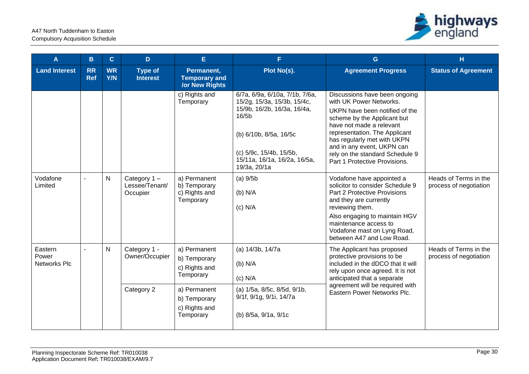

| A                                       | B                       | $\mathbf{C}$                    | D                                         | E.                                                          | F.                                                                                                                                                                                                                     | G                                                                                                                                                                                                                                                                                                                       | н                                               |                                                                                                                                                                   |                                                 |
|-----------------------------------------|-------------------------|---------------------------------|-------------------------------------------|-------------------------------------------------------------|------------------------------------------------------------------------------------------------------------------------------------------------------------------------------------------------------------------------|-------------------------------------------------------------------------------------------------------------------------------------------------------------------------------------------------------------------------------------------------------------------------------------------------------------------------|-------------------------------------------------|-------------------------------------------------------------------------------------------------------------------------------------------------------------------|-------------------------------------------------|
| <b>Land Interest</b>                    | <b>RR</b><br><b>Ref</b> | <b>WR</b><br>Y/N                | <b>Type of</b><br><b>Interest</b>         | Permanent,<br><b>Temporary and</b><br><b>/or New Rights</b> | Plot No(s).                                                                                                                                                                                                            | <b>Agreement Progress</b>                                                                                                                                                                                                                                                                                               | <b>Status of Agreement</b>                      |                                                                                                                                                                   |                                                 |
|                                         |                         |                                 |                                           | c) Rights and<br>Temporary                                  | 6/7a, 6/9a, 6/10a, 7/1b, 7/6a,<br>15/2g, 15/3a, 15/3b, 15/4c,<br>15/9b, 16/2b, 16/3a, 16/4a,<br>16/5 <sub>b</sub><br>(b) 6/10b, 8/5a, 16/5c<br>(c) 5/9c, 15/4b, 15/5b,<br>15/11a, 16/1a, 16/2a, 16/5a,<br>19/3a, 20/1a | Discussions have been ongoing<br>with UK Power Networks.<br>UKPN have been notified of the<br>scheme by the Applicant but<br>have not made a relevant<br>representation. The Applicant<br>has regularly met with UKPN<br>and in any event, UKPN can<br>rely on the standard Schedule 9<br>Part 1 Protective Provisions. |                                                 |                                                                                                                                                                   |                                                 |
| Vodafone<br>Limited                     | $\blacksquare$          | $\mathsf{N}$                    | Category 1-<br>Lessee/Tenant/<br>Occupier | a) Permanent<br>b) Temporary<br>c) Rights and<br>Temporary  | $(a)$ 9/5 $b$<br>$(b)$ N/A<br>$(c)$ N/A                                                                                                                                                                                | Vodafone have appointed a<br>solicitor to consider Schedule 9<br>Part 2 Protective Provisions<br>and they are currently<br>reviewing them.<br>Also engaging to maintain HGV<br>maintenance access to<br>Vodafone mast on Lyng Road,<br>between A47 and Low Road.                                                        | Heads of Terms in the<br>process of negotiation |                                                                                                                                                                   |                                                 |
| Eastern<br>Power<br><b>Networks Plc</b> |                         | N<br>Category 1 -<br>Category 2 |                                           |                                                             | Owner/Occupier                                                                                                                                                                                                         | a) Permanent<br>b) Temporary<br>c) Rights and<br>Temporary                                                                                                                                                                                                                                                              | (a) 14/3b, 14/7a<br>$(b)$ N/A<br>$(c)$ N/A      | The Applicant has proposed<br>protective provisions to be<br>included in the dDCO that it will<br>rely upon once agreed. It is not<br>anticipated that a separate | Heads of Terms in the<br>process of negotiation |
|                                         |                         |                                 |                                           | a) Permanent<br>b) Temporary<br>c) Rights and<br>Temporary  | (a) 1/5a, 8/5c, 8/5d, 9/1b,<br>9/1f, 9/1g, 9/1i, 14/7a<br>(b) 8/5a, 9/1a, 9/1c                                                                                                                                         | agreement will be required with<br>Eastern Power Networks Plc.                                                                                                                                                                                                                                                          |                                                 |                                                                                                                                                                   |                                                 |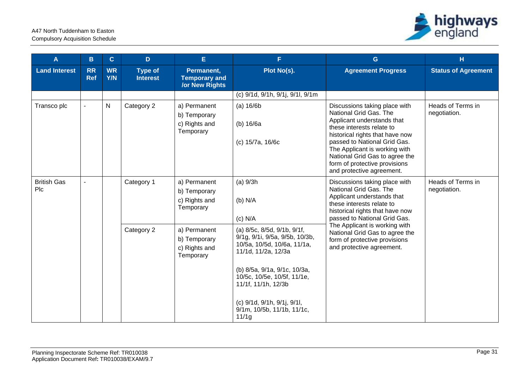

| A                         | B                       | $\mathbf{C}$     | D                                 | E.                                                          | F.                                                                                                                                                                                 | G                                                                                                                                                                                                                                                                                                                      | H                                 |
|---------------------------|-------------------------|------------------|-----------------------------------|-------------------------------------------------------------|------------------------------------------------------------------------------------------------------------------------------------------------------------------------------------|------------------------------------------------------------------------------------------------------------------------------------------------------------------------------------------------------------------------------------------------------------------------------------------------------------------------|-----------------------------------|
| <b>Land Interest</b>      | <b>RR</b><br><b>Ref</b> | <b>WR</b><br>Y/N | <b>Type of</b><br><b>Interest</b> | Permanent,<br><b>Temporary and</b><br><b>/or New Rights</b> | Plot No(s).                                                                                                                                                                        | <b>Agreement Progress</b>                                                                                                                                                                                                                                                                                              | <b>Status of Agreement</b>        |
|                           |                         |                  |                                   |                                                             | (c) 9/1d, 9/1h, 9/1j, 9/1l, 9/1m                                                                                                                                                   |                                                                                                                                                                                                                                                                                                                        |                                   |
| Transco plc               |                         | ${\sf N}$        | Category 2                        | a) Permanent<br>b) Temporary<br>c) Rights and<br>Temporary  | (a) 16/6b<br>(b) 16/6a<br>(c) 15/7a, 16/6c                                                                                                                                         | Discussions taking place with<br>National Grid Gas. The<br>Applicant understands that<br>these interests relate to<br>historical rights that have now<br>passed to National Grid Gas.<br>The Applicant is working with<br>National Grid Gas to agree the<br>form of protective provisions<br>and protective agreement. | Heads of Terms in<br>negotiation. |
| <b>British Gas</b><br>Plc |                         |                  | Category 1                        | a) Permanent<br>b) Temporary<br>c) Rights and<br>Temporary  | (a) 9/3h<br>$(b)$ N/A<br>$(c)$ N/A                                                                                                                                                 | Discussions taking place with<br>National Grid Gas. The<br>Applicant understands that<br>these interests relate to<br>historical rights that have now<br>passed to National Grid Gas.                                                                                                                                  | Heads of Terms in<br>negotiation. |
|                           |                         |                  | Category 2                        | a) Permanent<br>b) Temporary<br>c) Rights and<br>Temporary  | (a) 8/5c, 8/5d, 9/1b, 9/1f,<br>9/1g, 9/1i, 9/5a, 9/5b, 10/3b,<br>10/5a, 10/5d, 10/6a, 11/1a,<br>11/1d, 11/2a, 12/3a<br>(b) 8/5a, 9/1a, 9/1c, 10/3a,<br>10/5c, 10/5e, 10/5f, 11/1e, | The Applicant is working with<br>National Grid Gas to agree the<br>form of protective provisions<br>and protective agreement.                                                                                                                                                                                          |                                   |
|                           |                         |                  |                                   |                                                             | 11/1f, 11/1h, 12/3b<br>(c) 9/1d, 9/1h, 9/1j, 9/1l,<br>9/1m, 10/5b, 11/1b, 11/1c,<br>11/1g                                                                                          |                                                                                                                                                                                                                                                                                                                        |                                   |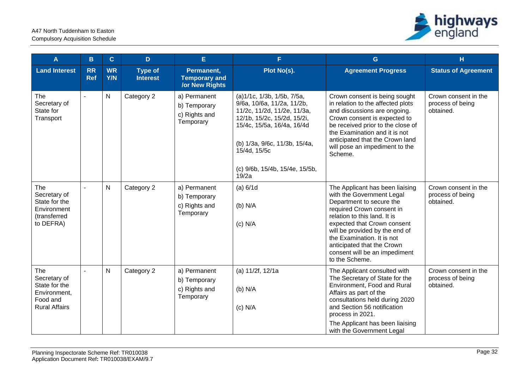

| A                                                                                        | B                       | $\mathbf{C}$     | D                                 | E.                                                          | F.                                                                                                                                                                                                                                               | G                                                                                                                                                                                                                                                                                                                                     | H                                                     |
|------------------------------------------------------------------------------------------|-------------------------|------------------|-----------------------------------|-------------------------------------------------------------|--------------------------------------------------------------------------------------------------------------------------------------------------------------------------------------------------------------------------------------------------|---------------------------------------------------------------------------------------------------------------------------------------------------------------------------------------------------------------------------------------------------------------------------------------------------------------------------------------|-------------------------------------------------------|
| <b>Land Interest</b>                                                                     | <b>RR</b><br><b>Ref</b> | <b>WR</b><br>Y/N | <b>Type of</b><br><b>Interest</b> | Permanent,<br><b>Temporary and</b><br><b>/or New Rights</b> | Plot No(s).                                                                                                                                                                                                                                      | <b>Agreement Progress</b>                                                                                                                                                                                                                                                                                                             | <b>Status of Agreement</b>                            |
| The<br>Secretary of<br>State for<br>Transport                                            |                         | N                | Category 2                        | a) Permanent<br>b) Temporary<br>c) Rights and<br>Temporary  | (a)1/1c, 1/3b, 1/5b, 7/5a,<br>9/6a, 10/6a, 11/2a, 11/2b,<br>11/2c, 11/2d, 11/2e, 11/3a,<br>12/1b, 15/2c, 15/2d, 15/2i,<br>15/4c, 15/5a, 16/4a, 16/4d<br>(b) 1/3a, 9/6c, 11/3b, 15/4a,<br>15/4d, 15/5c<br>(c) 9/6b, 15/4b, 15/4e, 15/5b,<br>19/2a | Crown consent is being sought<br>in relation to the affected plots<br>and discussions are ongoing.<br>Crown consent is expected to<br>be received prior to the close of<br>the Examination and it is not<br>anticipated that the Crown land<br>will pose an impediment to the<br>Scheme.                                              | Crown consent in the<br>process of being<br>obtained. |
| The<br>Secretary of<br>State for the<br>Environment<br>(transferred<br>to DEFRA)         |                         | N                | Category 2                        | a) Permanent<br>b) Temporary<br>c) Rights and<br>Temporary  | (a) 6/1d<br>$(b)$ N/A<br>$(c)$ N/A                                                                                                                                                                                                               | The Applicant has been liaising<br>with the Government Legal<br>Department to secure the<br>required Crown consent in<br>relation to this land. It is<br>expected that Crown consent<br>will be provided by the end of<br>the Examination. It is not<br>anticipated that the Crown<br>consent will be an impediment<br>to the Scheme. | Crown consent in the<br>process of being<br>obtained. |
| The<br>Secretary of<br>State for the<br>Environment,<br>Food and<br><b>Rural Affairs</b> |                         | N                | Category 2                        | a) Permanent<br>b) Temporary<br>c) Rights and<br>Temporary  | (a) 11/2f, 12/1a<br>$(b)$ N/A<br>$(c)$ N/A                                                                                                                                                                                                       | The Applicant consulted with<br>The Secretary of State for the<br>Environment, Food and Rural<br>Affairs as part of the<br>consultations held during 2020<br>and Section 56 notification<br>process in 2021.<br>The Applicant has been liaising<br>with the Government Legal                                                          | Crown consent in the<br>process of being<br>obtained. |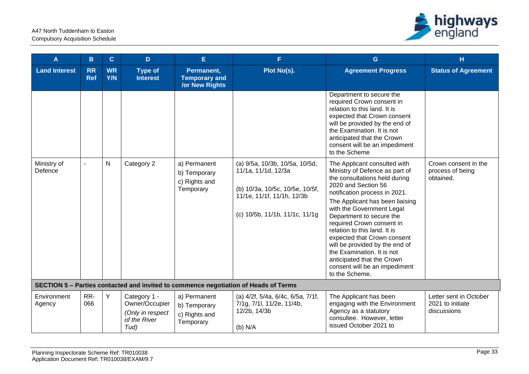

| A                      | B                       | $\mathbf{C}$     | D.                                                                         | E                                                           | F                                                                                                                                                        | $\mathbf{G}$                                                                                                                                                                                                                                                                                                                                                                                                                                                                                     | H                                                         |
|------------------------|-------------------------|------------------|----------------------------------------------------------------------------|-------------------------------------------------------------|----------------------------------------------------------------------------------------------------------------------------------------------------------|--------------------------------------------------------------------------------------------------------------------------------------------------------------------------------------------------------------------------------------------------------------------------------------------------------------------------------------------------------------------------------------------------------------------------------------------------------------------------------------------------|-----------------------------------------------------------|
| <b>Land Interest</b>   | <b>RR</b><br><b>Ref</b> | <b>WR</b><br>Y/N | <b>Type of</b><br><b>Interest</b>                                          | Permanent,<br><b>Temporary and</b><br><b>/or New Rights</b> | Plot No(s).                                                                                                                                              | <b>Agreement Progress</b>                                                                                                                                                                                                                                                                                                                                                                                                                                                                        | <b>Status of Agreement</b>                                |
|                        |                         |                  |                                                                            |                                                             |                                                                                                                                                          | Department to secure the<br>required Crown consent in<br>relation to this land. It is<br>expected that Crown consent<br>will be provided by the end of<br>the Examination. It is not<br>anticipated that the Crown<br>consent will be an impediment<br>to the Scheme                                                                                                                                                                                                                             |                                                           |
| Ministry of<br>Defence |                         | $\mathsf{N}$     | Category 2                                                                 | a) Permanent<br>b) Temporary<br>c) Rights and<br>Temporary  | (a) 9/5a, 10/3b, 10/5a, 10/5d,<br>11/1a, 11/1d, 12/3a<br>(b) 10/3a, 10/5c, 10/5e, 10/5f,<br>11/1e, 11/1f, 11/1h, 12/3b<br>(c) 10/5b, 11/1b, 11/1c, 11/1g | The Applicant consulted with<br>Ministry of Defence as part of<br>the consultations held during<br>2020 and Section 56<br>notification process in 2021.<br>The Applicant has been liaising<br>with the Government Legal<br>Department to secure the<br>required Crown consent in<br>relation to this land. It is<br>expected that Crown consent<br>will be provided by the end of<br>the Examination. It is not<br>anticipated that the Crown<br>consent will be an impediment<br>to the Scheme. | Crown consent in the<br>process of being<br>obtained.     |
|                        |                         |                  |                                                                            |                                                             | SECTION 5 - Parties contacted and invited to commence negotiation of Heads of Terms                                                                      |                                                                                                                                                                                                                                                                                                                                                                                                                                                                                                  |                                                           |
| Environment<br>Agency  | RR-<br>066              | Y                | Category 1 -<br>Owner/Occupier<br>(Only in respect<br>of the River<br>Tud) | a) Permanent<br>b) Temporary<br>c) Rights and<br>Temporary  | (a) 4/2f, 5/4a, 6/4c, 6/5a, 7/1f,<br>7/1g, 7/1l, 11/2e, 11/4b,<br>12/2b, 14/3b<br>$(b)$ N/A                                                              | The Applicant has been<br>engaging with the Environment<br>Agency as a statutory<br>consultee. However, letter<br>issued October 2021 to                                                                                                                                                                                                                                                                                                                                                         | Letter sent in October<br>2021 to initiate<br>discussions |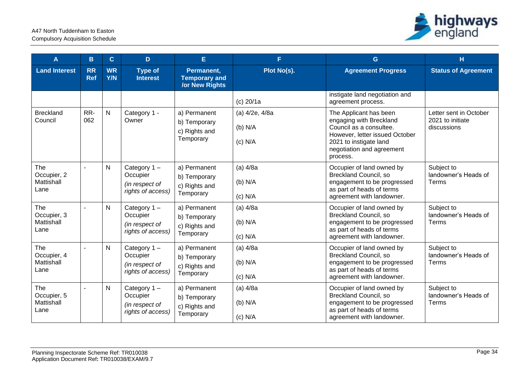

| A                                        | B                       | $\mathbf{C}$            | D                                                                 | E                                                           | F.                                       | G                                                                                                                                                                                 | н                                                         |
|------------------------------------------|-------------------------|-------------------------|-------------------------------------------------------------------|-------------------------------------------------------------|------------------------------------------|-----------------------------------------------------------------------------------------------------------------------------------------------------------------------------------|-----------------------------------------------------------|
| <b>Land Interest</b>                     | <b>RR</b><br><b>Ref</b> | <b>WR</b><br><b>Y/N</b> | <b>Type of</b><br><b>Interest</b>                                 | Permanent,<br><b>Temporary and</b><br><b>/or New Rights</b> | Plot No(s).                              | <b>Agreement Progress</b>                                                                                                                                                         | <b>Status of Agreement</b>                                |
|                                          |                         |                         |                                                                   |                                                             | $(c)$ 20/1a                              | instigate land negotiation and<br>agreement process.                                                                                                                              |                                                           |
| <b>Breckland</b><br>Council              | RR-<br>062              | $\mathsf{N}$            | Category 1 -<br>Owner                                             | a) Permanent<br>b) Temporary<br>c) Rights and<br>Temporary  | (a) 4/2e, 4/8a<br>$(b)$ N/A<br>$(c)$ N/A | The Applicant has been<br>engaging with Breckland<br>Council as a consultee.<br>However, letter issued October<br>2021 to instigate land<br>negotiation and agreement<br>process. | Letter sent in October<br>2021 to initiate<br>discussions |
| The<br>Occupier, 2<br>Mattishall<br>Lane | $\mathbf{r}$            | $\mathsf{N}$            | Category $1 -$<br>Occupier<br>(in respect of<br>rights of access) | a) Permanent<br>b) Temporary<br>c) Rights and<br>Temporary  | $(a)$ 4/8a<br>$(b)$ N/A<br>$(c)$ N/A     | Occupier of land owned by<br><b>Breckland Council, so</b><br>engagement to be progressed<br>as part of heads of terms<br>agreement with landowner.                                | Subject to<br>landowner's Heads of<br>Terms               |
| The<br>Occupier, 3<br>Mattishall<br>Lane |                         | $\mathsf{N}$            | Category $1 -$<br>Occupier<br>(in respect of<br>rights of access) | a) Permanent<br>b) Temporary<br>c) Rights and<br>Temporary  | $(a)$ 4/8a<br>$(b)$ N/A<br>$(c)$ N/A     | Occupier of land owned by<br><b>Breckland Council, so</b><br>engagement to be progressed<br>as part of heads of terms<br>agreement with landowner.                                | Subject to<br>landowner's Heads of<br>Terms               |
| The<br>Occupier, 4<br>Mattishall<br>Lane |                         | N                       | Category $1 -$<br>Occupier<br>(in respect of<br>rights of access) | a) Permanent<br>b) Temporary<br>c) Rights and<br>Temporary  | $(a)$ 4/8a<br>$(b)$ N/A<br>$(c)$ N/A     | Occupier of land owned by<br>Breckland Council, so<br>engagement to be progressed<br>as part of heads of terms<br>agreement with landowner.                                       | Subject to<br>landowner's Heads of<br>Terms               |
| The<br>Occupier, 5<br>Mattishall<br>Lane |                         | N                       | Category 1-<br>Occupier<br>(in respect of<br>rights of access)    | a) Permanent<br>b) Temporary<br>c) Rights and<br>Temporary  | $(a)$ 4/8a<br>$(b)$ N/A<br>$(c)$ N/A     | Occupier of land owned by<br><b>Breckland Council, so</b><br>engagement to be progressed<br>as part of heads of terms<br>agreement with landowner.                                | Subject to<br>landowner's Heads of<br>Terms               |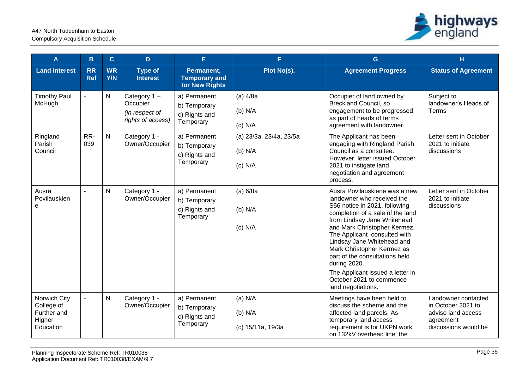

| A                                                                | B                       | $\mathbf C$             | D                                                                 | E                                                           | F                                               | G                                                                                                                                                                                                                                                                                                                                                                                                                                   | H                                                                                                    |
|------------------------------------------------------------------|-------------------------|-------------------------|-------------------------------------------------------------------|-------------------------------------------------------------|-------------------------------------------------|-------------------------------------------------------------------------------------------------------------------------------------------------------------------------------------------------------------------------------------------------------------------------------------------------------------------------------------------------------------------------------------------------------------------------------------|------------------------------------------------------------------------------------------------------|
| <b>Land Interest</b>                                             | <b>RR</b><br><b>Ref</b> | <b>WR</b><br><b>Y/N</b> | <b>Type of</b><br><b>Interest</b>                                 | Permanent,<br><b>Temporary and</b><br><b>/or New Rights</b> | Plot No(s).                                     | <b>Agreement Progress</b>                                                                                                                                                                                                                                                                                                                                                                                                           | <b>Status of Agreement</b>                                                                           |
| <b>Timothy Paul</b><br>McHugh                                    |                         | $\mathsf{N}$            | Category $1 -$<br>Occupier<br>(in respect of<br>rights of access) | a) Permanent<br>b) Temporary<br>c) Rights and<br>Temporary  | $(a)$ 4/8a<br>(b) N/A<br>$(c)$ N/A              | Occupier of land owned by<br><b>Breckland Council, so</b><br>engagement to be progressed<br>as part of heads of terms<br>agreement with landowner.                                                                                                                                                                                                                                                                                  | Subject to<br>landowner's Heads of<br><b>Terms</b>                                                   |
| Ringland<br>Parish<br>Council                                    | RR-<br>039              | $\mathsf{N}$            | Category 1 -<br>Owner/Occupier                                    | a) Permanent<br>b) Temporary<br>c) Rights and<br>Temporary  | (a) 23/3a, 23/4a, 23/5a<br>(b) N/A<br>$(c)$ N/A | The Applicant has been<br>engaging with Ringland Parish<br>Council as a consultee.<br>However, letter issued October<br>2021 to instigate land<br>negotiation and agreement<br>process.                                                                                                                                                                                                                                             | Letter sent in October<br>2021 to initiate<br>discussions                                            |
| Ausra<br>Povilauskien<br>е                                       |                         | $\mathsf{N}$            | Category 1 -<br>Owner/Occupier                                    | a) Permanent<br>b) Temporary<br>c) Rights and<br>Temporary  | (a) 6/8a<br>$(b)$ N/A<br>$(c)$ N/A              | Ausra Povilauskiene was a new<br>landowner who received the<br>S56 notice in 2021, following<br>completion of a sale of the land<br>from Lindsay Jane Whitehead<br>and Mark Christopher Kermez.<br>The Applicant consulted with<br>Lindsay Jane Whitehead and<br>Mark Christopher Kermez as<br>part of the consultations held<br>during 2020.<br>The Applicant issued a letter in<br>October 2021 to commence<br>land negotiations. | Letter sent in October<br>2021 to initiate<br>discussions                                            |
| Norwich City<br>College of<br>Further and<br>Higher<br>Education |                         | $\mathsf{N}$            | Category 1 -<br>Owner/Occupier                                    | a) Permanent<br>b) Temporary<br>c) Rights and<br>Temporary  | $(a)$ N/A<br>$(b)$ N/A<br>(c) 15/11a, 19/3a     | Meetings have been held to<br>discuss the scheme and the<br>affected land parcels. As<br>temporary land access<br>requirement is for UKPN work<br>on 132kV overhead line, the                                                                                                                                                                                                                                                       | Landowner contacted<br>in October 2021 to<br>advise land access<br>agreement<br>discussions would be |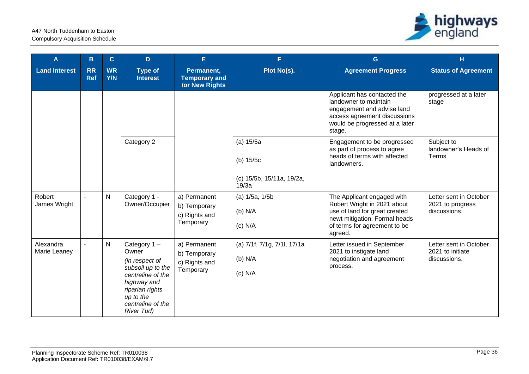

| A                         | B                       | $\mathbf{C}$     | D                                                                                                                                                                         | E.                                                          | F.                                                             | G                                                                                                                                                                      | H                                                          |
|---------------------------|-------------------------|------------------|---------------------------------------------------------------------------------------------------------------------------------------------------------------------------|-------------------------------------------------------------|----------------------------------------------------------------|------------------------------------------------------------------------------------------------------------------------------------------------------------------------|------------------------------------------------------------|
| <b>Land Interest</b>      | <b>RR</b><br><b>Ref</b> | <b>WR</b><br>Y/N | <b>Type of</b><br><b>Interest</b>                                                                                                                                         | Permanent,<br><b>Temporary and</b><br><b>/or New Rights</b> | Plot No(s).                                                    | <b>Agreement Progress</b>                                                                                                                                              | <b>Status of Agreement</b>                                 |
|                           |                         |                  |                                                                                                                                                                           |                                                             |                                                                | Applicant has contacted the<br>landowner to maintain<br>engagement and advise land<br>access agreement discussions<br>would be progressed at a later<br>stage.         | progressed at a later<br>stage                             |
|                           |                         |                  | Category 2                                                                                                                                                                |                                                             | (a) 15/5a<br>(b) $15/5c$<br>(c) 15/5b, 15/11a, 19/2a,<br>19/3a | Engagement to be progressed<br>as part of process to agree<br>heads of terms with affected<br>landowners.                                                              | Subject to<br>landowner's Heads of<br>Terms                |
| Robert<br>James Wright    |                         | $\mathsf{N}$     | Category 1 -<br>Owner/Occupier                                                                                                                                            | a) Permanent<br>b) Temporary<br>c) Rights and<br>Temporary  | $(a)$ 1/5a, 1/5b<br>$(b)$ N/A<br>$(c)$ N/A                     | The Applicant engaged with<br>Robert Wright in 2021 about<br>use of land for great created<br>newt mitigation. Formal heads<br>of terms for agreement to be<br>agreed. | Letter sent in October<br>2021 to progress<br>discussions. |
| Alexandra<br>Marie Leaney |                         | $\mathsf{N}$     | Category 1-<br>Owner<br>(in respect of<br>subsoil up to the<br>centreline of the<br>highway and<br>riparian rights<br>up to the<br>centreline of the<br><b>River Tud)</b> | a) Permanent<br>b) Temporary<br>c) Rights and<br>Temporary  | (a) 7/1f, 7/1g, 7/1l, 17/1a<br>$(b)$ N/A<br>$(c)$ N/A          | Letter issued in September<br>2021 to instigate land<br>negotiation and agreement<br>process.                                                                          | Letter sent in October<br>2021 to initiate<br>discussions. |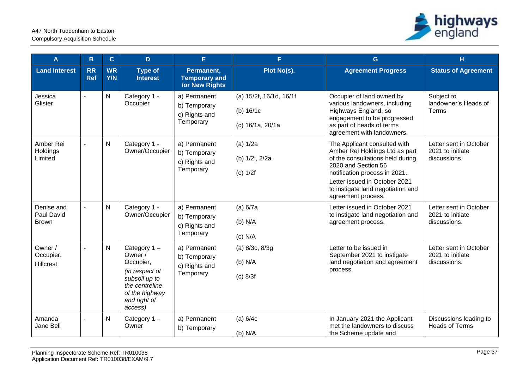

| A                                        | в                       | $\mathbf{C}$            | D                                                                                                                                     | E                                                           | F.                                                         | G                                                                                                                                                                                                                                                      | H                                                          |
|------------------------------------------|-------------------------|-------------------------|---------------------------------------------------------------------------------------------------------------------------------------|-------------------------------------------------------------|------------------------------------------------------------|--------------------------------------------------------------------------------------------------------------------------------------------------------------------------------------------------------------------------------------------------------|------------------------------------------------------------|
| <b>Land Interest</b>                     | <b>RR</b><br><b>Ref</b> | <b>WR</b><br><b>Y/N</b> | <b>Type of</b><br><b>Interest</b>                                                                                                     | Permanent,<br><b>Temporary and</b><br><b>/or New Rights</b> | Plot No(s).                                                | <b>Agreement Progress</b>                                                                                                                                                                                                                              | <b>Status of Agreement</b>                                 |
| Jessica<br>Glister                       |                         | $\mathsf{N}$            | Category 1 -<br>Occupier                                                                                                              | a) Permanent<br>b) Temporary<br>c) Rights and<br>Temporary  | (a) 15/2f, 16/1d, 16/1f<br>(b) $16/1c$<br>(c) 16/1a, 20/1a | Occupier of land owned by<br>various landowners, including<br>Highways England, so<br>engagement to be progressed<br>as part of heads of terms<br>agreement with landowners.                                                                           | Subject to<br>landowner's Heads of<br>Terms                |
| Amber Rei<br>Holdings<br>Limited         | $\overline{a}$          | $\overline{N}$          | Category 1 -<br>Owner/Occupier                                                                                                        | a) Permanent<br>b) Temporary<br>c) Rights and<br>Temporary  | (a) 1/2a<br>(b) 1/2i, 2/2a<br>$(c)$ 1/2f                   | The Applicant consulted with<br>Amber Rei Holdings Ltd as part<br>of the consultations held during<br>2020 and Section 56<br>notification process in 2021.<br>Letter issued in October 2021<br>to instigate land negotiation and<br>agreement process. | Letter sent in October<br>2021 to initiate<br>discussions. |
| Denise and<br>Paul David<br><b>Brown</b> | $\overline{a}$          | $\mathsf{N}$            | Category 1 -<br>Owner/Occupier                                                                                                        | a) Permanent<br>b) Temporary<br>c) Rights and<br>Temporary  | (a) 6/7a<br>$(b)$ N/A<br>$(c)$ N/A                         | Letter issued in October 2021<br>to instigate land negotiation and<br>agreement process.                                                                                                                                                               | Letter sent in October<br>2021 to initiate<br>discussions. |
| Owner /<br>Occupier,<br><b>Hillcrest</b> | $\blacksquare$          | $\mathsf{N}$            | Category 1-<br>Owner /<br>Occupier,<br>(in respect of<br>subsoil up to<br>the centreline<br>of the highway<br>and right of<br>access) | a) Permanent<br>b) Temporary<br>c) Rights and<br>Temporary  | (a) 8/3c, 8/3g<br>$(b)$ N/A<br>$(c)$ 8/3f                  | Letter to be issued in<br>September 2021 to instigate<br>land negotiation and agreement<br>process.                                                                                                                                                    | Letter sent in October<br>2021 to initiate<br>discussions. |
| Amanda<br>Jane Bell                      | $\blacksquare$          | N                       | Category $1 -$<br>Owner                                                                                                               | a) Permanent<br>b) Temporary                                | (a) $6/4c$<br>$(b)$ N/A                                    | In January 2021 the Applicant<br>met the landowners to discuss<br>the Scheme update and                                                                                                                                                                | Discussions leading to<br><b>Heads of Terms</b>            |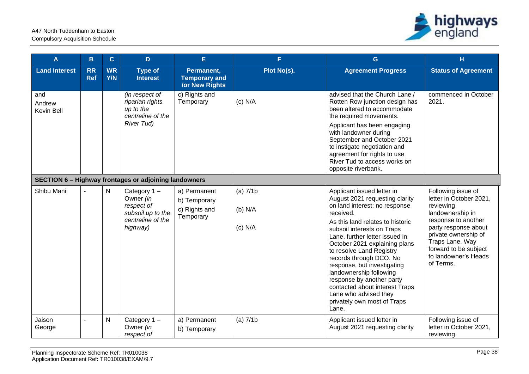

| A                                  | B                       | $\mathbf{C}$            | D                                                                                               | E.                                                          | F.                                      | G                                                                                                                                                                                                                                                                                                                                                                                                                                                                                                | H                                                                                                                                                                                                                                      |
|------------------------------------|-------------------------|-------------------------|-------------------------------------------------------------------------------------------------|-------------------------------------------------------------|-----------------------------------------|--------------------------------------------------------------------------------------------------------------------------------------------------------------------------------------------------------------------------------------------------------------------------------------------------------------------------------------------------------------------------------------------------------------------------------------------------------------------------------------------------|----------------------------------------------------------------------------------------------------------------------------------------------------------------------------------------------------------------------------------------|
| <b>Land Interest</b>               | <b>RR</b><br><b>Ref</b> | <b>WR</b><br><b>Y/N</b> | <b>Type of</b><br><b>Interest</b>                                                               | Permanent,<br><b>Temporary and</b><br><b>/or New Rights</b> | Plot No(s).                             | <b>Agreement Progress</b>                                                                                                                                                                                                                                                                                                                                                                                                                                                                        | <b>Status of Agreement</b>                                                                                                                                                                                                             |
| and<br>Andrew<br><b>Kevin Bell</b> |                         |                         | (in respect of<br>riparian rights<br>up to the<br>centreline of the<br><b>River Tud)</b>        | c) Rights and<br>Temporary                                  | $(c)$ N/A                               | advised that the Church Lane /<br>Rotten Row junction design has<br>been altered to accommodate<br>the required movements.<br>Applicant has been engaging<br>with landowner during<br>September and October 2021<br>to instigate negotiation and<br>agreement for rights to use<br>River Tud to access works on<br>opposite riverbank.                                                                                                                                                           | commenced in October<br>2021.                                                                                                                                                                                                          |
|                                    |                         |                         | <b>SECTION 6 - Highway frontages or adjoining landowners</b>                                    |                                                             |                                         |                                                                                                                                                                                                                                                                                                                                                                                                                                                                                                  |                                                                                                                                                                                                                                        |
| Shibu Mani                         |                         | $\mathsf{N}$            | Category $1 -$<br>Owner (in<br>respect of<br>subsoil up to the<br>centreline of the<br>highway) | a) Permanent<br>b) Temporary<br>c) Rights and<br>Temporary  | $(a)$ 7/1 $b$<br>$(b)$ N/A<br>$(c)$ N/A | Applicant issued letter in<br>August 2021 requesting clarity<br>on land interest; no response<br>received.<br>As this land relates to historic<br>subsoil interests on Traps<br>Lane, further letter issued in<br>October 2021 explaining plans<br>to resolve Land Registry<br>records through DCO. No<br>response, but investigating<br>landownership following<br>response by another party<br>contacted about interest Traps<br>Lane who advised they<br>privately own most of Traps<br>Lane. | Following issue of<br>letter in October 2021,<br>reviewing<br>landownership in<br>response to another<br>party response about<br>private ownership of<br>Traps Lane. Way<br>forward to be subject<br>to landowner's Heads<br>of Terms. |
| Jaison<br>George                   |                         | N                       | Category 1-<br>Owner (in<br>respect of                                                          | a) Permanent<br>b) Temporary                                | (a) $7/1b$                              | Applicant issued letter in<br>August 2021 requesting clarity                                                                                                                                                                                                                                                                                                                                                                                                                                     | Following issue of<br>letter in October 2021,<br>reviewing                                                                                                                                                                             |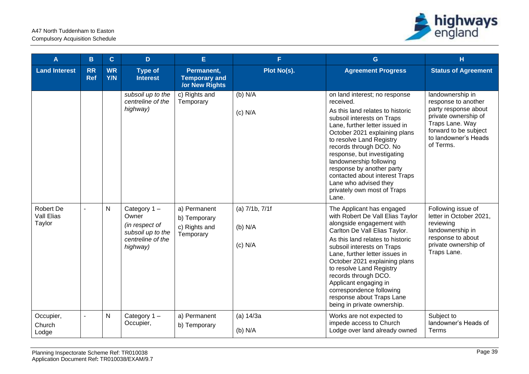

| A                                               | B                       | $\mathbf{C}$            | D.                                                                                              | E.                                                          | F.                                         | G                                                                                                                                                                                                                                                                                                                                                                                                                                     | H                                                                                                                                                                        |
|-------------------------------------------------|-------------------------|-------------------------|-------------------------------------------------------------------------------------------------|-------------------------------------------------------------|--------------------------------------------|---------------------------------------------------------------------------------------------------------------------------------------------------------------------------------------------------------------------------------------------------------------------------------------------------------------------------------------------------------------------------------------------------------------------------------------|--------------------------------------------------------------------------------------------------------------------------------------------------------------------------|
| <b>Land Interest</b>                            | <b>RR</b><br><b>Ref</b> | <b>WR</b><br><b>Y/N</b> | <b>Type of</b><br><b>Interest</b>                                                               | Permanent,<br><b>Temporary and</b><br><b>/or New Rights</b> | Plot No(s).                                | <b>Agreement Progress</b>                                                                                                                                                                                                                                                                                                                                                                                                             | <b>Status of Agreement</b>                                                                                                                                               |
|                                                 |                         |                         | subsoil up to the<br>centreline of the<br>highway)                                              | c) Rights and<br>Temporary                                  | (b) N/A<br>$(c)$ N/A                       | on land interest; no response<br>received.<br>As this land relates to historic<br>subsoil interests on Traps<br>Lane, further letter issued in<br>October 2021 explaining plans<br>to resolve Land Registry<br>records through DCO. No<br>response, but investigating<br>landownership following<br>response by another party<br>contacted about interest Traps<br>Lane who advised they<br>privately own most of Traps<br>Lane.      | landownership in<br>response to another<br>party response about<br>private ownership of<br>Traps Lane. Way<br>forward to be subject<br>to landowner's Heads<br>of Terms. |
| <b>Robert De</b><br><b>Vall Elias</b><br>Taylor |                         | N                       | Category $1 -$<br>Owner<br>(in respect of<br>subsoil up to the<br>centreline of the<br>highway) | a) Permanent<br>b) Temporary<br>c) Rights and<br>Temporary  | $(a)$ 7/1b, 7/1f<br>$(b)$ N/A<br>$(c)$ N/A | The Applicant has engaged<br>with Robert De Vall Elias Taylor<br>alongside engagement with<br>Carlton De Vall Elias Taylor.<br>As this land relates to historic<br>subsoil interests on Traps<br>Lane, further letter issues in<br>October 2021 explaining plans<br>to resolve Land Registry<br>records through DCO.<br>Applicant engaging in<br>correspondence following<br>response about Traps Lane<br>being in private ownership. | Following issue of<br>letter in October 2021,<br>reviewing<br>landownership in<br>response to about<br>private ownership of<br>Traps Lane.                               |
| Occupier,<br>Church<br>Lodge                    |                         | ${\sf N}$               | Category 1-<br>Occupier,                                                                        | a) Permanent<br>b) Temporary                                | (a) 14/3a<br>$(b)$ N/A                     | Works are not expected to<br>impede access to Church<br>Lodge over land already owned                                                                                                                                                                                                                                                                                                                                                 | Subject to<br>landowner's Heads of<br>Terms                                                                                                                              |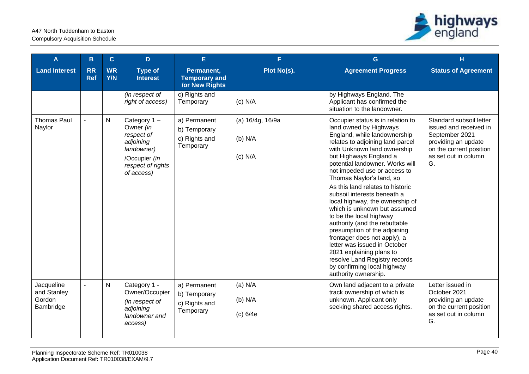

| A                                                | B                       | $\mathbf{C}$            | D                                                                                                                        | E                                                           | F.                                       | G                                                                                                                                                                                                                                                                                                                                                                                                                                                                                                                                                                                                                                                                                                             | н                                                                                                                                                   |
|--------------------------------------------------|-------------------------|-------------------------|--------------------------------------------------------------------------------------------------------------------------|-------------------------------------------------------------|------------------------------------------|---------------------------------------------------------------------------------------------------------------------------------------------------------------------------------------------------------------------------------------------------------------------------------------------------------------------------------------------------------------------------------------------------------------------------------------------------------------------------------------------------------------------------------------------------------------------------------------------------------------------------------------------------------------------------------------------------------------|-----------------------------------------------------------------------------------------------------------------------------------------------------|
| <b>Land Interest</b>                             | <b>RR</b><br><b>Ref</b> | <b>WR</b><br><b>Y/N</b> | <b>Type of</b><br><b>Interest</b>                                                                                        | Permanent,<br><b>Temporary and</b><br><b>/or New Rights</b> | Plot No(s).                              | <b>Agreement Progress</b>                                                                                                                                                                                                                                                                                                                                                                                                                                                                                                                                                                                                                                                                                     | <b>Status of Agreement</b>                                                                                                                          |
|                                                  |                         |                         | (in respect of<br>right of access)                                                                                       | c) Rights and<br>Temporary                                  | $(c)$ N/A                                | by Highways England. The<br>Applicant has confirmed the<br>situation to the landowner.                                                                                                                                                                                                                                                                                                                                                                                                                                                                                                                                                                                                                        |                                                                                                                                                     |
| <b>Thomas Paul</b><br>Naylor                     |                         | $\mathsf{N}$            | Category $1 -$<br>Owner (in<br>respect of<br>adjoining<br>landowner)<br>/Occupier (in<br>respect of rights<br>of access) | a) Permanent<br>b) Temporary<br>c) Rights and<br>Temporary  | (a) 16/4g, 16/9a<br>(b) N/A<br>$(c)$ N/A | Occupier status is in relation to<br>land owned by Highways<br>England, while landownership<br>relates to adjoining land parcel<br>with Unknown land ownership<br>but Highways England a<br>potential landowner. Works will<br>not impeded use or access to<br>Thomas Naylor's land, so<br>As this land relates to historic<br>subsoil interests beneath a<br>local highway, the ownership of<br>which is unknown but assumed<br>to be the local highway<br>authority (and the rebuttable<br>presumption of the adjoining<br>frontager does not apply), a<br>letter was issued in October<br>2021 explaining plans to<br>resolve Land Registry records<br>by confirming local highway<br>authority ownership. | Standard subsoil letter<br>issued and received in<br>September 2021<br>providing an update<br>on the current position<br>as set out in column<br>G. |
| Jacqueline<br>and Stanley<br>Gordon<br>Bambridge | $\overline{a}$          | N                       | Category 1 -<br>Owner/Occupier<br>(in respect of<br>adjoining<br>landowner and<br>access)                                | a) Permanent<br>b) Temporary<br>c) Rights and<br>Temporary  | $(a)$ N/A<br>(b) N/A<br>(c) 6/4e         | Own land adjacent to a private<br>track ownership of which is<br>unknown. Applicant only<br>seeking shared access rights.                                                                                                                                                                                                                                                                                                                                                                                                                                                                                                                                                                                     | Letter issued in<br>October 2021<br>providing an update<br>on the current position<br>as set out in column<br>G.                                    |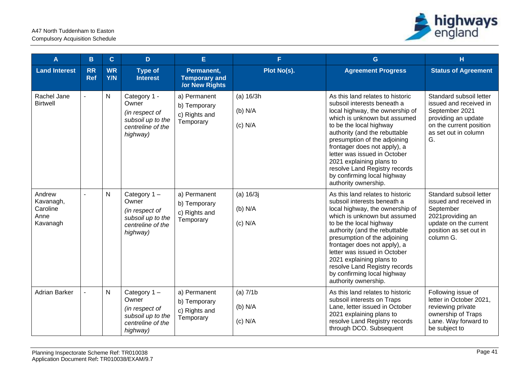

| A                                                   | B                       | $\mathbf{C}$            | D                                                                                               | E                                                           | F.                                    | G                                                                                                                                                                                                                                                                                                                                                                                                                  | н                                                                                                                                                   |
|-----------------------------------------------------|-------------------------|-------------------------|-------------------------------------------------------------------------------------------------|-------------------------------------------------------------|---------------------------------------|--------------------------------------------------------------------------------------------------------------------------------------------------------------------------------------------------------------------------------------------------------------------------------------------------------------------------------------------------------------------------------------------------------------------|-----------------------------------------------------------------------------------------------------------------------------------------------------|
| <b>Land Interest</b>                                | <b>RR</b><br><b>Ref</b> | <b>WR</b><br><b>Y/N</b> | <b>Type of</b><br><b>Interest</b>                                                               | Permanent,<br><b>Temporary and</b><br><b>/or New Rights</b> | Plot No(s).                           | <b>Agreement Progress</b>                                                                                                                                                                                                                                                                                                                                                                                          | <b>Status of Agreement</b>                                                                                                                          |
| Rachel Jane<br><b>Birtwell</b>                      |                         | N                       | Category 1 -<br>Owner<br>(in respect of<br>subsoil up to the<br>centreline of the<br>highway)   | a) Permanent<br>b) Temporary<br>c) Rights and<br>Temporary  | (a) 16/3h<br>$(b)$ N/A<br>$(c)$ N/A   | As this land relates to historic<br>subsoil interests beneath a<br>local highway, the ownership of<br>which is unknown but assumed<br>to be the local highway<br>authority (and the rebuttable<br>presumption of the adjoining<br>frontager does not apply), a<br>letter was issued in October<br>2021 explaining plans to<br>resolve Land Registry records<br>by confirming local highway<br>authority ownership. | Standard subsoil letter<br>issued and received in<br>September 2021<br>providing an update<br>on the current position<br>as set out in column<br>G. |
| Andrew<br>Kavanagh,<br>Caroline<br>Anne<br>Kavanagh | $\sim$                  | ${\sf N}$               | Category 1-<br>Owner<br>(in respect of<br>subsoil up to the<br>centreline of the<br>highway)    | a) Permanent<br>b) Temporary<br>c) Rights and<br>Temporary  | (a) 16/3j<br>$(b)$ N/A<br>$(c)$ N/A   | As this land relates to historic<br>subsoil interests beneath a<br>local highway, the ownership of<br>which is unknown but assumed<br>to be the local highway<br>authority (and the rebuttable<br>presumption of the adjoining<br>frontager does not apply), a<br>letter was issued in October<br>2021 explaining plans to<br>resolve Land Registry records<br>by confirming local highway<br>authority ownership. | Standard subsoil letter<br>issued and received in<br>September<br>2021 providing an<br>update on the current<br>position as set out in<br>column G. |
| <b>Adrian Barker</b>                                |                         | N                       | Category $1 -$<br>Owner<br>(in respect of<br>subsoil up to the<br>centreline of the<br>highway) | a) Permanent<br>b) Temporary<br>c) Rights and<br>Temporary  | $(a)$ 7/1 $b$<br>(b) N/A<br>$(c)$ N/A | As this land relates to historic<br>subsoil interests on Traps<br>Lane, letter issued in October<br>2021 explaining plans to<br>resolve Land Registry records<br>through DCO. Subsequent                                                                                                                                                                                                                           | Following issue of<br>letter in October 2021,<br>reviewing private<br>ownership of Traps<br>Lane. Way forward to<br>be subject to                   |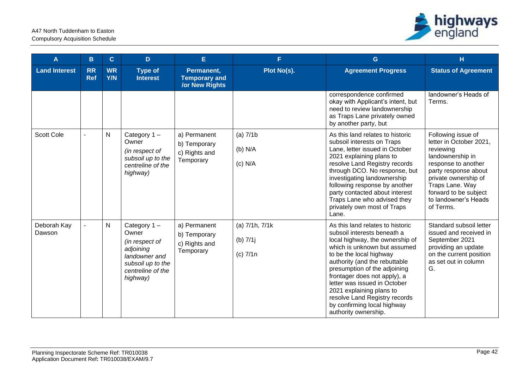

| A                     | B                       | $\mathbf C$      | D                                                                                                                          | E.                                                          | F.                                            | $\mathbf{G}$                                                                                                                                                                                                                                                                                                                                                                                                       | H                                                                                                                                                                                                                                      |
|-----------------------|-------------------------|------------------|----------------------------------------------------------------------------------------------------------------------------|-------------------------------------------------------------|-----------------------------------------------|--------------------------------------------------------------------------------------------------------------------------------------------------------------------------------------------------------------------------------------------------------------------------------------------------------------------------------------------------------------------------------------------------------------------|----------------------------------------------------------------------------------------------------------------------------------------------------------------------------------------------------------------------------------------|
| <b>Land Interest</b>  | <b>RR</b><br><b>Ref</b> | <b>WR</b><br>Y/N | <b>Type of</b><br><b>Interest</b>                                                                                          | Permanent,<br><b>Temporary and</b><br><b>/or New Rights</b> | Plot No(s).                                   | <b>Agreement Progress</b>                                                                                                                                                                                                                                                                                                                                                                                          | <b>Status of Agreement</b>                                                                                                                                                                                                             |
|                       |                         |                  |                                                                                                                            |                                                             |                                               | correspondence confirmed<br>okay with Applicant's intent, but<br>need to review landownership<br>as Traps Lane privately owned<br>by another party, but                                                                                                                                                                                                                                                            | landowner's Heads of<br>Terms.                                                                                                                                                                                                         |
| <b>Scott Cole</b>     |                         | $\mathsf{N}$     | Category 1-<br>Owner<br>(in respect of<br>subsoil up to the<br>centreline of the<br>highway)                               | a) Permanent<br>b) Temporary<br>c) Rights and<br>Temporary  | $(a)$ 7/1 $b$<br>$(b)$ N/A<br>$(c)$ N/A       | As this land relates to historic<br>subsoil interests on Traps<br>Lane, letter issued in October<br>2021 explaining plans to<br>resolve Land Registry records<br>through DCO. No response, but<br>investigating landownership<br>following response by another<br>party contacted about interest<br>Traps Lane who advised they<br>privately own most of Traps<br>Lane.                                            | Following issue of<br>letter in October 2021,<br>reviewing<br>landownership in<br>response to another<br>party response about<br>private ownership of<br>Traps Lane. Way<br>forward to be subject<br>to landowner's Heads<br>of Terms. |
| Deborah Kay<br>Dawson |                         | $\mathsf{N}$     | Category 1-<br>Owner<br>(in respect of<br>adjoining<br>landowner and<br>subsoil up to the<br>centreline of the<br>highway) | a) Permanent<br>b) Temporary<br>c) Rights and<br>Temporary  | (a) 7/1h, 7/1k<br>(b) $7/1j$<br>$(c)$ 7/1 $n$ | As this land relates to historic<br>subsoil interests beneath a<br>local highway, the ownership of<br>which is unknown but assumed<br>to be the local highway<br>authority (and the rebuttable<br>presumption of the adjoining<br>frontager does not apply), a<br>letter was issued in October<br>2021 explaining plans to<br>resolve Land Registry records<br>by confirming local highway<br>authority ownership. | Standard subsoil letter<br>issued and received in<br>September 2021<br>providing an update<br>on the current position<br>as set out in column<br>G.                                                                                    |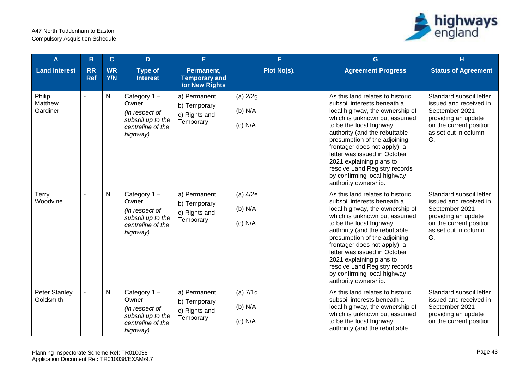

| A                                 | в                       | $\mathbf{C}$            | D                                                                                               | E                                                           | F                                    | G                                                                                                                                                                                                                                                                                                                                                                                                                  | н                                                                                                                                                   |
|-----------------------------------|-------------------------|-------------------------|-------------------------------------------------------------------------------------------------|-------------------------------------------------------------|--------------------------------------|--------------------------------------------------------------------------------------------------------------------------------------------------------------------------------------------------------------------------------------------------------------------------------------------------------------------------------------------------------------------------------------------------------------------|-----------------------------------------------------------------------------------------------------------------------------------------------------|
| <b>Land Interest</b>              | <b>RR</b><br><b>Ref</b> | <b>WR</b><br><b>Y/N</b> | <b>Type of</b><br><b>Interest</b>                                                               | Permanent,<br><b>Temporary and</b><br><b>/or New Rights</b> | Plot No(s).                          | <b>Agreement Progress</b>                                                                                                                                                                                                                                                                                                                                                                                          | <b>Status of Agreement</b>                                                                                                                          |
| Philip<br>Matthew<br>Gardiner     | $\blacksquare$          | ${\sf N}$               | Category 1-<br>Owner<br>(in respect of<br>subsoil up to the<br>centreline of the<br>highway)    | a) Permanent<br>b) Temporary<br>c) Rights and<br>Temporary  | $(a)$ 2/2g<br>$(b)$ N/A<br>$(c)$ N/A | As this land relates to historic<br>subsoil interests beneath a<br>local highway, the ownership of<br>which is unknown but assumed<br>to be the local highway<br>authority (and the rebuttable<br>presumption of the adjoining<br>frontager does not apply), a<br>letter was issued in October<br>2021 explaining plans to<br>resolve Land Registry records<br>by confirming local highway<br>authority ownership. | Standard subsoil letter<br>issued and received in<br>September 2021<br>providing an update<br>on the current position<br>as set out in column<br>G. |
| Terry<br>Woodvine                 |                         | $\mathsf{N}$            | Category $1 -$<br>Owner<br>(in respect of<br>subsoil up to the<br>centreline of the<br>highway) | a) Permanent<br>b) Temporary<br>c) Rights and<br>Temporary  | $(a)$ 4/2e<br>$(b)$ N/A<br>$(c)$ N/A | As this land relates to historic<br>subsoil interests beneath a<br>local highway, the ownership of<br>which is unknown but assumed<br>to be the local highway<br>authority (and the rebuttable<br>presumption of the adjoining<br>frontager does not apply), a<br>letter was issued in October<br>2021 explaining plans to<br>resolve Land Registry records<br>by confirming local highway<br>authority ownership. | Standard subsoil letter<br>issued and received in<br>September 2021<br>providing an update<br>on the current position<br>as set out in column<br>G. |
| <b>Peter Stanley</b><br>Goldsmith |                         | $\mathsf{N}$            | Category $1 -$<br>Owner<br>(in respect of<br>subsoil up to the<br>centreline of the<br>highway) | a) Permanent<br>b) Temporary<br>c) Rights and<br>Temporary  | $(a)$ 7/1d<br>$(b)$ N/A<br>$(c)$ N/A | As this land relates to historic<br>subsoil interests beneath a<br>local highway, the ownership of<br>which is unknown but assumed<br>to be the local highway<br>authority (and the rebuttable                                                                                                                                                                                                                     | Standard subsoil letter<br>issued and received in<br>September 2021<br>providing an update<br>on the current position                               |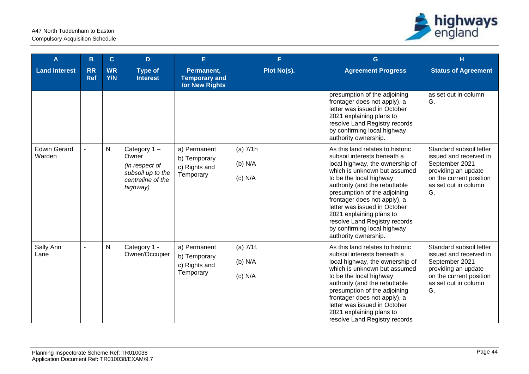

| A                             | B                       | $\mathbf{C}$     | D                                                                                               | E.                                                          | F.                                    | G                                                                                                                                                                                                                                                                                                                                                                                                                  | H                                                                                                                                                   |
|-------------------------------|-------------------------|------------------|-------------------------------------------------------------------------------------------------|-------------------------------------------------------------|---------------------------------------|--------------------------------------------------------------------------------------------------------------------------------------------------------------------------------------------------------------------------------------------------------------------------------------------------------------------------------------------------------------------------------------------------------------------|-----------------------------------------------------------------------------------------------------------------------------------------------------|
| <b>Land Interest</b>          | <b>RR</b><br><b>Ref</b> | <b>WR</b><br>Y/N | <b>Type of</b><br><b>Interest</b>                                                               | Permanent,<br><b>Temporary and</b><br><b>/or New Rights</b> | Plot No(s).                           | <b>Agreement Progress</b>                                                                                                                                                                                                                                                                                                                                                                                          | <b>Status of Agreement</b>                                                                                                                          |
|                               |                         |                  |                                                                                                 |                                                             |                                       | presumption of the adjoining<br>frontager does not apply), a<br>letter was issued in October<br>2021 explaining plans to<br>resolve Land Registry records<br>by confirming local highway<br>authority ownership.                                                                                                                                                                                                   | as set out in column<br>G.                                                                                                                          |
| <b>Edwin Gerard</b><br>Warden |                         | N                | Category $1 -$<br>Owner<br>(in respect of<br>subsoil up to the<br>centreline of the<br>highway) | a) Permanent<br>b) Temporary<br>c) Rights and<br>Temporary  | $(a)$ 7/1h<br>$(b)$ N/A<br>$(c)$ N/A  | As this land relates to historic<br>subsoil interests beneath a<br>local highway, the ownership of<br>which is unknown but assumed<br>to be the local highway<br>authority (and the rebuttable<br>presumption of the adjoining<br>frontager does not apply), a<br>letter was issued in October<br>2021 explaining plans to<br>resolve Land Registry records<br>by confirming local highway<br>authority ownership. | Standard subsoil letter<br>issued and received in<br>September 2021<br>providing an update<br>on the current position<br>as set out in column<br>G. |
| Sally Ann<br>Lane             |                         | ${\sf N}$        | Category 1 -<br>Owner/Occupier                                                                  | a) Permanent<br>b) Temporary<br>c) Rights and<br>Temporary  | $(a)$ 7/1f,<br>$(b)$ N/A<br>$(c)$ N/A | As this land relates to historic<br>subsoil interests beneath a<br>local highway, the ownership of<br>which is unknown but assumed<br>to be the local highway<br>authority (and the rebuttable<br>presumption of the adjoining<br>frontager does not apply), a<br>letter was issued in October<br>2021 explaining plans to<br>resolve Land Registry records                                                        | Standard subsoil letter<br>issued and received in<br>September 2021<br>providing an update<br>on the current position<br>as set out in column<br>G. |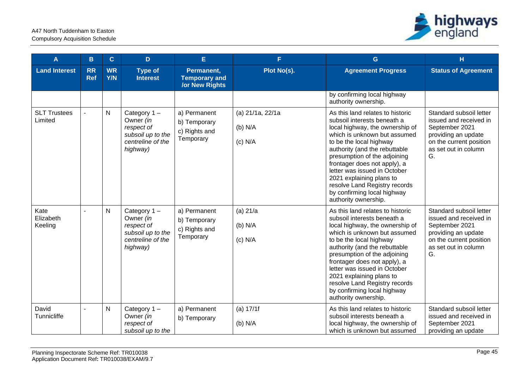

| A                              | B                       | $\mathbf{C}$            | D                                                                                               | E.                                                          | F.                                       | G                                                                                                                                                                                                                                                                                                                                                                                                                  | H                                                                                                                                                   |
|--------------------------------|-------------------------|-------------------------|-------------------------------------------------------------------------------------------------|-------------------------------------------------------------|------------------------------------------|--------------------------------------------------------------------------------------------------------------------------------------------------------------------------------------------------------------------------------------------------------------------------------------------------------------------------------------------------------------------------------------------------------------------|-----------------------------------------------------------------------------------------------------------------------------------------------------|
| <b>Land Interest</b>           | <b>RR</b><br><b>Ref</b> | <b>WR</b><br><b>Y/N</b> | <b>Type of</b><br><b>Interest</b>                                                               | Permanent,<br><b>Temporary and</b><br><b>/or New Rights</b> | Plot No(s).                              | <b>Agreement Progress</b>                                                                                                                                                                                                                                                                                                                                                                                          | <b>Status of Agreement</b>                                                                                                                          |
|                                |                         |                         |                                                                                                 |                                                             |                                          | by confirming local highway<br>authority ownership.                                                                                                                                                                                                                                                                                                                                                                |                                                                                                                                                     |
| <b>SLT Trustees</b><br>Limited |                         | N                       | Category 1-<br>Owner (in<br>respect of<br>subsoil up to the<br>centreline of the<br>highway)    | a) Permanent<br>b) Temporary<br>c) Rights and<br>Temporary  | (a) 21/1a, 22/1a<br>(b) N/A<br>$(c)$ N/A | As this land relates to historic<br>subsoil interests beneath a<br>local highway, the ownership of<br>which is unknown but assumed<br>to be the local highway<br>authority (and the rebuttable<br>presumption of the adjoining<br>frontager does not apply), a<br>letter was issued in October<br>2021 explaining plans to<br>resolve Land Registry records<br>by confirming local highway<br>authority ownership. | Standard subsoil letter<br>issued and received in<br>September 2021<br>providing an update<br>on the current position<br>as set out in column<br>G. |
| Kate<br>Elizabeth<br>Keeling   |                         | N                       | Category $1 -$<br>Owner (in<br>respect of<br>subsoil up to the<br>centreline of the<br>highway) | a) Permanent<br>b) Temporary<br>c) Rights and<br>Temporary  | $(a)$ 21/a<br>(b) N/A<br>$(c)$ N/A       | As this land relates to historic<br>subsoil interests beneath a<br>local highway, the ownership of<br>which is unknown but assumed<br>to be the local highway<br>authority (and the rebuttable<br>presumption of the adjoining<br>frontager does not apply), a<br>letter was issued in October<br>2021 explaining plans to<br>resolve Land Registry records<br>by confirming local highway<br>authority ownership. | Standard subsoil letter<br>issued and received in<br>September 2021<br>providing an update<br>on the current position<br>as set out in column<br>G. |
| David<br>Tunnicliffe           |                         | N                       | Category $1 -$<br>Owner (in<br>respect of<br>subsoil up to the                                  | a) Permanent<br>b) Temporary                                | (a) 17/1f<br>(b) N/A                     | As this land relates to historic<br>subsoil interests beneath a<br>local highway, the ownership of<br>which is unknown but assumed                                                                                                                                                                                                                                                                                 | Standard subsoil letter<br>issued and received in<br>September 2021<br>providing an update                                                          |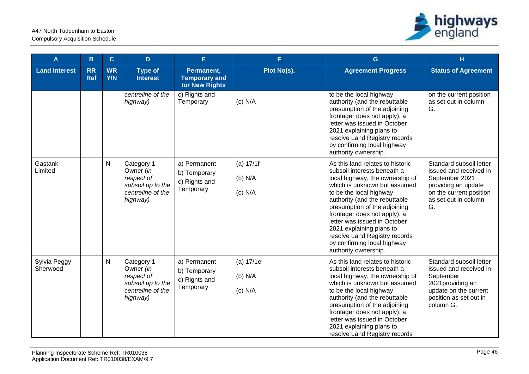

| A                        | B                       | $\mathbf C$             | D                                                                                            | Ė.                                                          | F.                                | G                                                                                                                                                                                                                                                                                                                                                                                                                  | H                                                                                                                                                   |
|--------------------------|-------------------------|-------------------------|----------------------------------------------------------------------------------------------|-------------------------------------------------------------|-----------------------------------|--------------------------------------------------------------------------------------------------------------------------------------------------------------------------------------------------------------------------------------------------------------------------------------------------------------------------------------------------------------------------------------------------------------------|-----------------------------------------------------------------------------------------------------------------------------------------------------|
| <b>Land Interest</b>     | <b>RR</b><br><b>Ref</b> | <b>WR</b><br><b>Y/N</b> | <b>Type of</b><br><b>Interest</b>                                                            | Permanent,<br><b>Temporary and</b><br><b>/or New Rights</b> | Plot No(s).                       | <b>Agreement Progress</b>                                                                                                                                                                                                                                                                                                                                                                                          | <b>Status of Agreement</b>                                                                                                                          |
|                          |                         |                         | centreline of the<br>highway)                                                                | c) Rights and<br>Temporary                                  | $(c)$ N/A                         | to be the local highway<br>authority (and the rebuttable<br>presumption of the adjoining<br>frontager does not apply), a<br>letter was issued in October<br>2021 explaining plans to<br>resolve Land Registry records<br>by confirming local highway<br>authority ownership.                                                                                                                                       | on the current position<br>as set out in column<br>G.                                                                                               |
| Gastank<br>Limited       |                         | N                       | Category 1-<br>Owner (in<br>respect of<br>subsoil up to the<br>centreline of the<br>highway) | a) Permanent<br>b) Temporary<br>c) Rights and<br>Temporary  | (a) 17/1f<br>(b) N/A<br>$(c)$ N/A | As this land relates to historic<br>subsoil interests beneath a<br>local highway, the ownership of<br>which is unknown but assumed<br>to be the local highway<br>authority (and the rebuttable<br>presumption of the adjoining<br>frontager does not apply), a<br>letter was issued in October<br>2021 explaining plans to<br>resolve Land Registry records<br>by confirming local highway<br>authority ownership. | Standard subsoil letter<br>issued and received in<br>September 2021<br>providing an update<br>on the current position<br>as set out in column<br>G. |
| Sylvia Peggy<br>Sherwood |                         | N                       | Category 1-<br>Owner (in<br>respect of<br>subsoil up to the<br>centreline of the<br>highway) | a) Permanent<br>b) Temporary<br>c) Rights and<br>Temporary  | (a) 17/1e<br>(b) N/A<br>$(c)$ N/A | As this land relates to historic<br>subsoil interests beneath a<br>local highway, the ownership of<br>which is unknown but assumed<br>to be the local highway<br>authority (and the rebuttable<br>presumption of the adjoining<br>frontager does not apply), a<br>letter was issued in October<br>2021 explaining plans to<br>resolve Land Registry records                                                        | Standard subsoil letter<br>issued and received in<br>September<br>2021 providing an<br>update on the current<br>position as set out in<br>column G. |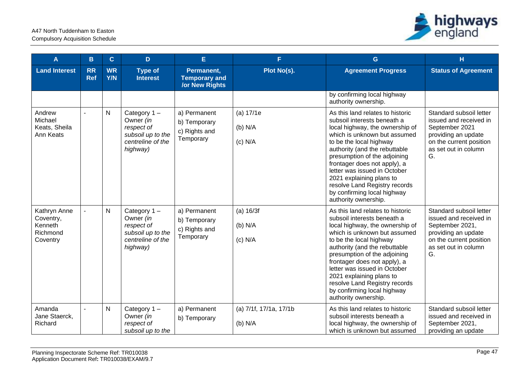

| A                                                            | B                       | $\mathbf{C}$            | D                                                                                               | E.                                                          | F.                                  | G                                                                                                                                                                                                                                                                                                                                                                                                                  | н                                                                                                                                                    |
|--------------------------------------------------------------|-------------------------|-------------------------|-------------------------------------------------------------------------------------------------|-------------------------------------------------------------|-------------------------------------|--------------------------------------------------------------------------------------------------------------------------------------------------------------------------------------------------------------------------------------------------------------------------------------------------------------------------------------------------------------------------------------------------------------------|------------------------------------------------------------------------------------------------------------------------------------------------------|
| <b>Land Interest</b>                                         | <b>RR</b><br><b>Ref</b> | <b>WR</b><br><b>Y/N</b> | <b>Type of</b><br><b>Interest</b>                                                               | Permanent,<br><b>Temporary and</b><br><b>/or New Rights</b> | Plot No(s).                         | <b>Agreement Progress</b>                                                                                                                                                                                                                                                                                                                                                                                          | <b>Status of Agreement</b>                                                                                                                           |
|                                                              |                         |                         |                                                                                                 |                                                             |                                     | by confirming local highway<br>authority ownership.                                                                                                                                                                                                                                                                                                                                                                |                                                                                                                                                      |
| Andrew<br>Michael<br>Keats, Sheila<br>Ann Keats              |                         | N                       | Category 1-<br>Owner (in<br>respect of<br>subsoil up to the<br>centreline of the<br>highway)    | a) Permanent<br>b) Temporary<br>c) Rights and<br>Temporary  | (a) 17/1e<br>$(b)$ N/A<br>$(c)$ N/A | As this land relates to historic<br>subsoil interests beneath a<br>local highway, the ownership of<br>which is unknown but assumed<br>to be the local highway<br>authority (and the rebuttable<br>presumption of the adjoining<br>frontager does not apply), a<br>letter was issued in October<br>2021 explaining plans to<br>resolve Land Registry records<br>by confirming local highway<br>authority ownership. | Standard subsoil letter<br>issued and received in<br>September 2021<br>providing an update<br>on the current position<br>as set out in column<br>G.  |
| Kathryn Anne<br>Coventry,<br>Kenneth<br>Richmond<br>Coventry |                         | N                       | Category $1 -$<br>Owner (in<br>respect of<br>subsoil up to the<br>centreline of the<br>highway) | a) Permanent<br>b) Temporary<br>c) Rights and<br>Temporary  | (a) 16/3f<br>(b) N/A<br>$(c)$ N/A   | As this land relates to historic<br>subsoil interests beneath a<br>local highway, the ownership of<br>which is unknown but assumed<br>to be the local highway<br>authority (and the rebuttable<br>presumption of the adjoining<br>frontager does not apply), a<br>letter was issued in October<br>2021 explaining plans to<br>resolve Land Registry records<br>by confirming local highway<br>authority ownership. | Standard subsoil letter<br>issued and received in<br>September 2021,<br>providing an update<br>on the current position<br>as set out in column<br>G. |
| Amanda<br>Jane Staerck,<br>Richard                           |                         | N                       | Category $1 -$<br>Owner (in<br>respect of<br>subsoil up to the                                  | a) Permanent<br>b) Temporary                                | (a) 7/1f, 17/1a, 17/1b<br>$(b)$ N/A | As this land relates to historic<br>subsoil interests beneath a<br>local highway, the ownership of<br>which is unknown but assumed                                                                                                                                                                                                                                                                                 | Standard subsoil letter<br>issued and received in<br>September 2021,<br>providing an update                                                          |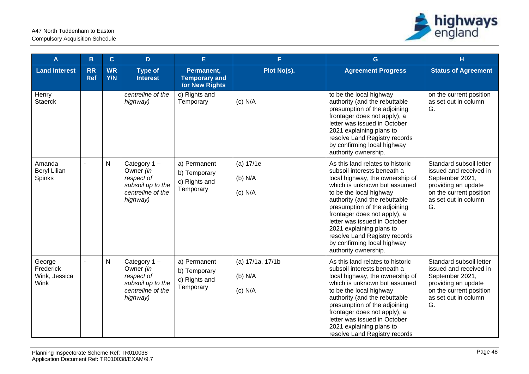

| A                                            | B                       | $\mathbf{C}$            | D                                                                                            | E                                                           | F.                                       | $\mathbf G$                                                                                                                                                                                                                                                                                                                                                                                                        | H                                                                                                                                                    |
|----------------------------------------------|-------------------------|-------------------------|----------------------------------------------------------------------------------------------|-------------------------------------------------------------|------------------------------------------|--------------------------------------------------------------------------------------------------------------------------------------------------------------------------------------------------------------------------------------------------------------------------------------------------------------------------------------------------------------------------------------------------------------------|------------------------------------------------------------------------------------------------------------------------------------------------------|
| <b>Land Interest</b>                         | <b>RR</b><br><b>Ref</b> | <b>WR</b><br><b>Y/N</b> | <b>Type of</b><br><b>Interest</b>                                                            | Permanent,<br><b>Temporary and</b><br><b>/or New Rights</b> | Plot No(s).                              | <b>Agreement Progress</b>                                                                                                                                                                                                                                                                                                                                                                                          | <b>Status of Agreement</b>                                                                                                                           |
| Henry<br>Staerck                             |                         |                         | centreline of the<br>highway)                                                                | c) Rights and<br>Temporary                                  | $(c)$ N/A                                | to be the local highway<br>authority (and the rebuttable<br>presumption of the adjoining<br>frontager does not apply), a<br>letter was issued in October<br>2021 explaining plans to<br>resolve Land Registry records<br>by confirming local highway<br>authority ownership.                                                                                                                                       | on the current position<br>as set out in column<br>G.                                                                                                |
| Amanda<br><b>Beryl Lilian</b><br>Spinks      | $\overline{a}$          | $\mathsf{N}$            | Category 1-<br>Owner (in<br>respect of<br>subsoil up to the<br>centreline of the<br>highway) | a) Permanent<br>b) Temporary<br>c) Rights and<br>Temporary  | (a) 17/1e<br>(b) N/A<br>$(c)$ N/A        | As this land relates to historic<br>subsoil interests beneath a<br>local highway, the ownership of<br>which is unknown but assumed<br>to be the local highway<br>authority (and the rebuttable<br>presumption of the adjoining<br>frontager does not apply), a<br>letter was issued in October<br>2021 explaining plans to<br>resolve Land Registry records<br>by confirming local highway<br>authority ownership. | Standard subsoil letter<br>issued and received in<br>September 2021,<br>providing an update<br>on the current position<br>as set out in column<br>G. |
| George<br>Frederick<br>Wink, Jessica<br>Wink |                         | N                       | Category 1-<br>Owner (in<br>respect of<br>subsoil up to the<br>centreline of the<br>highway) | a) Permanent<br>b) Temporary<br>c) Rights and<br>Temporary  | (a) 17/1a, 17/1b<br>(b) N/A<br>$(c)$ N/A | As this land relates to historic<br>subsoil interests beneath a<br>local highway, the ownership of<br>which is unknown but assumed<br>to be the local highway<br>authority (and the rebuttable<br>presumption of the adjoining<br>frontager does not apply), a<br>letter was issued in October<br>2021 explaining plans to<br>resolve Land Registry records                                                        | Standard subsoil letter<br>issued and received in<br>September 2021,<br>providing an update<br>on the current position<br>as set out in column<br>G. |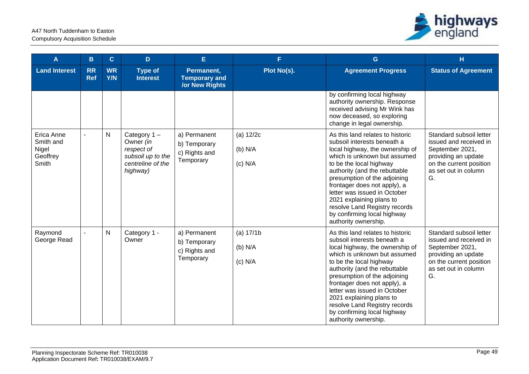

| A                                                     | B                       | $\overline{C}$          | D                                                                                               | E                                                           | F.                                    | G                                                                                                                                                                                                                                                                                                                                                                                                                  | H                                                                                                                                                    |
|-------------------------------------------------------|-------------------------|-------------------------|-------------------------------------------------------------------------------------------------|-------------------------------------------------------------|---------------------------------------|--------------------------------------------------------------------------------------------------------------------------------------------------------------------------------------------------------------------------------------------------------------------------------------------------------------------------------------------------------------------------------------------------------------------|------------------------------------------------------------------------------------------------------------------------------------------------------|
| <b>Land Interest</b>                                  | <b>RR</b><br><b>Ref</b> | <b>WR</b><br><b>Y/N</b> | <b>Type of</b><br><b>Interest</b>                                                               | Permanent,<br><b>Temporary and</b><br><b>/or New Rights</b> | Plot No(s).                           | <b>Agreement Progress</b>                                                                                                                                                                                                                                                                                                                                                                                          | <b>Status of Agreement</b>                                                                                                                           |
|                                                       |                         |                         |                                                                                                 |                                                             |                                       | by confirming local highway<br>authority ownership. Response<br>received advising Mr Wink has<br>now deceased, so exploring<br>change in legal ownership.                                                                                                                                                                                                                                                          |                                                                                                                                                      |
| Erica Anne<br>Smith and<br>Nigel<br>Geoffrey<br>Smith | $\blacksquare$          | $\mathsf{N}$            | Category $1 -$<br>Owner (in<br>respect of<br>subsoil up to the<br>centreline of the<br>highway) | a) Permanent<br>b) Temporary<br>c) Rights and<br>Temporary  | (a) 12/2c<br>$(b)$ N/A<br>$(c)$ N/A   | As this land relates to historic<br>subsoil interests beneath a<br>local highway, the ownership of<br>which is unknown but assumed<br>to be the local highway<br>authority (and the rebuttable<br>presumption of the adjoining<br>frontager does not apply), a<br>letter was issued in October<br>2021 explaining plans to<br>resolve Land Registry records<br>by confirming local highway<br>authority ownership. | Standard subsoil letter<br>issued and received in<br>September 2021,<br>providing an update<br>on the current position<br>as set out in column<br>G. |
| Raymond<br>George Read                                | $\blacksquare$          | ${\sf N}$               | Category 1 -<br>Owner                                                                           | a) Permanent<br>b) Temporary<br>c) Rights and<br>Temporary  | (a) $17/1b$<br>$(b)$ N/A<br>$(c)$ N/A | As this land relates to historic<br>subsoil interests beneath a<br>local highway, the ownership of<br>which is unknown but assumed<br>to be the local highway<br>authority (and the rebuttable<br>presumption of the adjoining<br>frontager does not apply), a<br>letter was issued in October<br>2021 explaining plans to<br>resolve Land Registry records<br>by confirming local highway<br>authority ownership. | Standard subsoil letter<br>issued and received in<br>September 2021,<br>providing an update<br>on the current position<br>as set out in column<br>G. |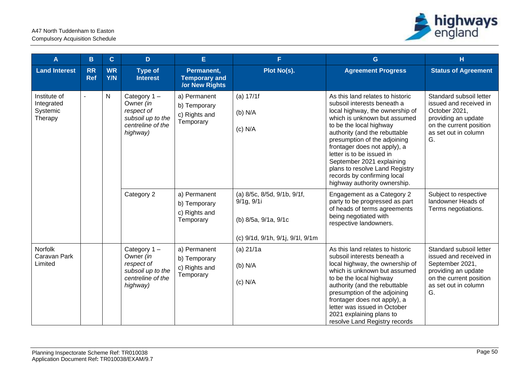

| A                                                 | B                       | $\mathbf{C}$     | D                                                                                               | E.                                                          | F.                                                                                                    | G                                                                                                                                                                                                                                                                                                                                                                                                                         | H                                                                                                                                                    |
|---------------------------------------------------|-------------------------|------------------|-------------------------------------------------------------------------------------------------|-------------------------------------------------------------|-------------------------------------------------------------------------------------------------------|---------------------------------------------------------------------------------------------------------------------------------------------------------------------------------------------------------------------------------------------------------------------------------------------------------------------------------------------------------------------------------------------------------------------------|------------------------------------------------------------------------------------------------------------------------------------------------------|
| <b>Land Interest</b>                              | <b>RR</b><br><b>Ref</b> | <b>WR</b><br>Y/N | <b>Type of</b><br><b>Interest</b>                                                               | Permanent,<br><b>Temporary and</b><br><b>/or New Rights</b> | Plot No(s).                                                                                           | <b>Agreement Progress</b>                                                                                                                                                                                                                                                                                                                                                                                                 | <b>Status of Agreement</b>                                                                                                                           |
| Institute of<br>Integrated<br>Systemic<br>Therapy |                         | $\mathsf{N}$     | Category $1 -$<br>Owner (in<br>respect of<br>subsoil up to the<br>centreline of the<br>highway) | a) Permanent<br>b) Temporary<br>c) Rights and<br>Temporary  | (a) 17/1f<br>(b) N/A<br>$(c)$ N/A                                                                     | As this land relates to historic<br>subsoil interests beneath a<br>local highway, the ownership of<br>which is unknown but assumed<br>to be the local highway<br>authority (and the rebuttable<br>presumption of the adjoining<br>frontager does not apply), a<br>letter is to be issued in<br>September 2021 explaining<br>plans to resolve Land Registry<br>records by confirming local<br>highway authority ownership. | Standard subsoil letter<br>issued and received in<br>October 2021,<br>providing an update<br>on the current position<br>as set out in column<br>G.   |
|                                                   |                         |                  | Category 2                                                                                      | a) Permanent<br>b) Temporary<br>c) Rights and<br>Temporary  | (a) 8/5c, 8/5d, 9/1b, 9/1f,<br>9/1g, 9/1i<br>(b) 8/5a, 9/1a, 9/1c<br>(c) 9/1d, 9/1h, 9/1j, 9/1l, 9/1m | Engagement as a Category 2<br>party to be progressed as part<br>of heads of terms agreements<br>being negotiated with<br>respective landowners.                                                                                                                                                                                                                                                                           | Subject to respective<br>landowner Heads of<br>Terms negotiations.                                                                                   |
| Norfolk<br>Caravan Park<br>Limited                |                         |                  | Category $1 -$<br>Owner (in<br>respect of<br>subsoil up to the<br>centreline of the<br>highway) | a) Permanent<br>b) Temporary<br>c) Rights and<br>Temporary  | (a) 21/1a<br>(b) N/A<br>$(c)$ N/A                                                                     | As this land relates to historic<br>subsoil interests beneath a<br>local highway, the ownership of<br>which is unknown but assumed<br>to be the local highway<br>authority (and the rebuttable<br>presumption of the adjoining<br>frontager does not apply), a<br>letter was issued in October<br>2021 explaining plans to<br>resolve Land Registry records                                                               | Standard subsoil letter<br>issued and received in<br>September 2021,<br>providing an update<br>on the current position<br>as set out in column<br>G. |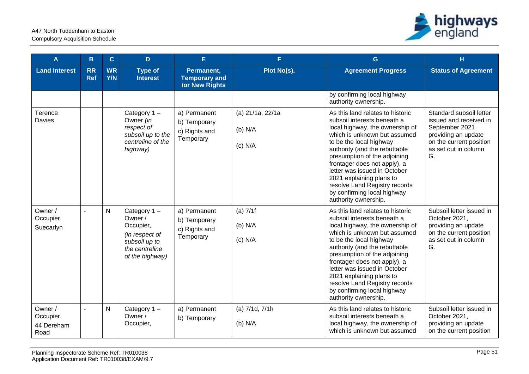

| A                                          | B                       | $\mathbf{C}$            | D.                                                                                                          | E.                                                          | F.                                       | G                                                                                                                                                                                                                                                                                                                                                                                                                  | H                                                                                                                                                   |
|--------------------------------------------|-------------------------|-------------------------|-------------------------------------------------------------------------------------------------------------|-------------------------------------------------------------|------------------------------------------|--------------------------------------------------------------------------------------------------------------------------------------------------------------------------------------------------------------------------------------------------------------------------------------------------------------------------------------------------------------------------------------------------------------------|-----------------------------------------------------------------------------------------------------------------------------------------------------|
| <b>Land Interest</b>                       | <b>RR</b><br><b>Ref</b> | <b>WR</b><br><b>Y/N</b> | <b>Type of</b><br><b>Interest</b>                                                                           | Permanent,<br><b>Temporary and</b><br><b>/or New Rights</b> | Plot No(s).                              | <b>Agreement Progress</b>                                                                                                                                                                                                                                                                                                                                                                                          | <b>Status of Agreement</b>                                                                                                                          |
|                                            |                         |                         |                                                                                                             |                                                             |                                          | by confirming local highway<br>authority ownership.                                                                                                                                                                                                                                                                                                                                                                |                                                                                                                                                     |
| Terence<br><b>Davies</b>                   |                         |                         | Category $1 -$<br>Owner (in<br>respect of<br>subsoil up to the<br>centreline of the<br>highway)             | a) Permanent<br>b) Temporary<br>c) Rights and<br>Temporary  | (a) 21/1a, 22/1a<br>(b) N/A<br>$(c)$ N/A | As this land relates to historic<br>subsoil interests beneath a<br>local highway, the ownership of<br>which is unknown but assumed<br>to be the local highway<br>authority (and the rebuttable<br>presumption of the adjoining<br>frontager does not apply), a<br>letter was issued in October<br>2021 explaining plans to<br>resolve Land Registry records<br>by confirming local highway<br>authority ownership. | Standard subsoil letter<br>issued and received in<br>September 2021<br>providing an update<br>on the current position<br>as set out in column<br>G. |
| Owner /<br>Occupier,<br>Suecarlyn          |                         | N                       | Category 1-<br>Owner /<br>Occupier,<br>(in respect of<br>subsoil up to<br>the centreline<br>of the highway) | a) Permanent<br>b) Temporary<br>c) Rights and<br>Temporary  | $(a)$ 7/1f<br>$(b)$ N/A<br>$(c)$ N/A     | As this land relates to historic<br>subsoil interests beneath a<br>local highway, the ownership of<br>which is unknown but assumed<br>to be the local highway<br>authority (and the rebuttable<br>presumption of the adjoining<br>frontager does not apply), a<br>letter was issued in October<br>2021 explaining plans to<br>resolve Land Registry records<br>by confirming local highway<br>authority ownership. | Subsoil letter issued in<br>October 2021,<br>providing an update<br>on the current position<br>as set out in column<br>G.                           |
| Owner /<br>Occupier,<br>44 Dereham<br>Road |                         | N                       | Category $1 -$<br>Owner /<br>Occupier,                                                                      | a) Permanent<br>b) Temporary                                | (a) 7/1d, 7/1h<br>(b) N/A                | As this land relates to historic<br>subsoil interests beneath a<br>local highway, the ownership of<br>which is unknown but assumed                                                                                                                                                                                                                                                                                 | Subsoil letter issued in<br>October 2021,<br>providing an update<br>on the current position                                                         |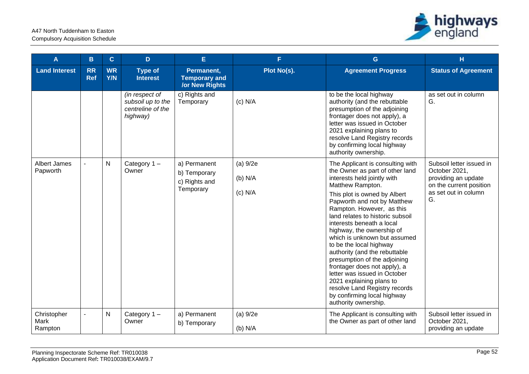

| A                              | $\mathbf{B}$            | $\mathbf{C}$            | D                                                                    | E.                                                          | F.                                 | G                                                                                                                                                                                                                                                                                                                                                                                                                                                                                                                                                                                                                                | H                                                                                                                         |
|--------------------------------|-------------------------|-------------------------|----------------------------------------------------------------------|-------------------------------------------------------------|------------------------------------|----------------------------------------------------------------------------------------------------------------------------------------------------------------------------------------------------------------------------------------------------------------------------------------------------------------------------------------------------------------------------------------------------------------------------------------------------------------------------------------------------------------------------------------------------------------------------------------------------------------------------------|---------------------------------------------------------------------------------------------------------------------------|
| <b>Land Interest</b>           | <b>RR</b><br><b>Ref</b> | <b>WR</b><br><b>Y/N</b> | <b>Type of</b><br><b>Interest</b>                                    | Permanent,<br><b>Temporary and</b><br><b>/or New Rights</b> | Plot No(s).                        | <b>Agreement Progress</b>                                                                                                                                                                                                                                                                                                                                                                                                                                                                                                                                                                                                        | <b>Status of Agreement</b>                                                                                                |
|                                |                         |                         | (in respect of<br>subsoil up to the<br>centreline of the<br>highway) | c) Rights and<br>Temporary                                  | $(c)$ N/A                          | to be the local highway<br>authority (and the rebuttable<br>presumption of the adjoining<br>frontager does not apply), a<br>letter was issued in October<br>2021 explaining plans to<br>resolve Land Registry records<br>by confirming local highway<br>authority ownership.                                                                                                                                                                                                                                                                                                                                                     | as set out in column<br>G.                                                                                                |
| Albert James<br>Papworth       |                         | $\mathsf{N}$            | Category 1-<br>Owner                                                 | a) Permanent<br>b) Temporary<br>c) Rights and<br>Temporary  | (a) 9/2e<br>$(b)$ N/A<br>$(c)$ N/A | The Applicant is consulting with<br>the Owner as part of other land<br>interests held jointly with<br>Matthew Rampton.<br>This plot is owned by Albert<br>Papworth and not by Matthew<br>Rampton. However, as this<br>land relates to historic subsoil<br>interests beneath a local<br>highway, the ownership of<br>which is unknown but assumed<br>to be the local highway<br>authority (and the rebuttable<br>presumption of the adjoining<br>frontager does not apply), a<br>letter was issued in October<br>2021 explaining plans to<br>resolve Land Registry records<br>by confirming local highway<br>authority ownership. | Subsoil letter issued in<br>October 2021,<br>providing an update<br>on the current position<br>as set out in column<br>G. |
| Christopher<br>Mark<br>Rampton | $\blacksquare$          | ${\sf N}$               | Category 1-<br>Owner                                                 | a) Permanent<br>b) Temporary                                | (a) 9/2e<br>(b) N/A                | The Applicant is consulting with<br>the Owner as part of other land                                                                                                                                                                                                                                                                                                                                                                                                                                                                                                                                                              | Subsoil letter issued in<br>October 2021,<br>providing an update                                                          |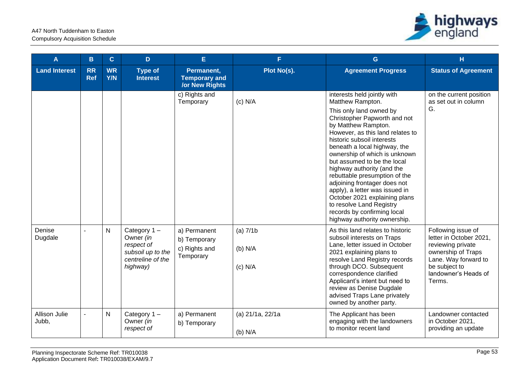

| A                      | B                       | $\mathbf{C}$     | D.                                                                                              | E                                                           | F.                                      | G                                                                                                                                                                                                                                                                                                                                                                                                                                                                                                                                                                | H                                                                                                                                                                   |
|------------------------|-------------------------|------------------|-------------------------------------------------------------------------------------------------|-------------------------------------------------------------|-----------------------------------------|------------------------------------------------------------------------------------------------------------------------------------------------------------------------------------------------------------------------------------------------------------------------------------------------------------------------------------------------------------------------------------------------------------------------------------------------------------------------------------------------------------------------------------------------------------------|---------------------------------------------------------------------------------------------------------------------------------------------------------------------|
| <b>Land Interest</b>   | <b>RR</b><br><b>Ref</b> | <b>WR</b><br>Y/N | <b>Type of</b><br><b>Interest</b>                                                               | Permanent,<br><b>Temporary and</b><br><b>/or New Rights</b> | Plot No(s).                             | <b>Agreement Progress</b>                                                                                                                                                                                                                                                                                                                                                                                                                                                                                                                                        | <b>Status of Agreement</b>                                                                                                                                          |
|                        |                         |                  |                                                                                                 | c) Rights and<br>Temporary                                  | $(c)$ N/A                               | interests held jointly with<br>Matthew Rampton.<br>This only land owned by<br>Christopher Papworth and not<br>by Matthew Rampton.<br>However, as this land relates to<br>historic subsoil interests<br>beneath a local highway, the<br>ownership of which is unknown<br>but assumed to be the local<br>highway authority (and the<br>rebuttable presumption of the<br>adjoining frontager does not<br>apply), a letter was issued in<br>October 2021 explaining plans<br>to resolve Land Registry<br>records by confirming local<br>highway authority ownership. | on the current position<br>as set out in column<br>G.                                                                                                               |
| Denise<br>Dugdale      | $\sim$                  | N                | Category $1 -$<br>Owner (in<br>respect of<br>subsoil up to the<br>centreline of the<br>highway) | a) Permanent<br>b) Temporary<br>c) Rights and<br>Temporary  | $(a)$ 7/1 $b$<br>$(b)$ N/A<br>$(c)$ N/A | As this land relates to historic<br>subsoil interests on Traps<br>Lane, letter issued in October<br>2021 explaining plans to<br>resolve Land Registry records<br>through DCO. Subsequent<br>correspondence clarified<br>Applicant's intent but need to<br>review as Denise Dugdale<br>advised Traps Lane privately<br>owned by another party.                                                                                                                                                                                                                    | Following issue of<br>letter in October 2021,<br>reviewing private<br>ownership of Traps<br>Lane. Way forward to<br>be subject to<br>landowner's Heads of<br>Terms. |
| Allison Julie<br>Jubb, | $\sim$                  | $\mathsf{N}$     | Category $1 -$<br>Owner (in<br>respect of                                                       | a) Permanent<br>b) Temporary                                | (a) 21/1a, 22/1a<br>$(b)$ N/A           | The Applicant has been<br>engaging with the landowners<br>to monitor recent land                                                                                                                                                                                                                                                                                                                                                                                                                                                                                 | Landowner contacted<br>in October 2021,<br>providing an update                                                                                                      |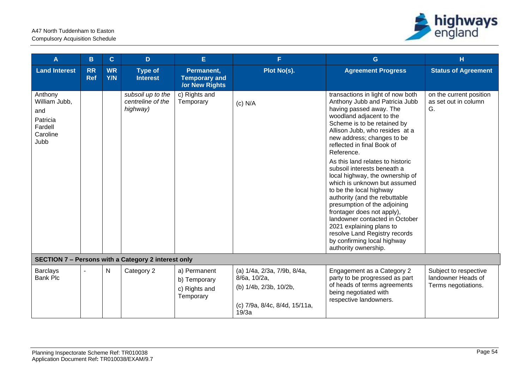

| $\mathbf{A}$                                                               | B                       | $\mathbf{C}$            | D                                                   | E.                                                         | F.                                                                                                              | G                                                                                                                                                                                                                                                                                                                                                                                                                                                                                                                                                                                                                                                                                           | H                                                                  |
|----------------------------------------------------------------------------|-------------------------|-------------------------|-----------------------------------------------------|------------------------------------------------------------|-----------------------------------------------------------------------------------------------------------------|---------------------------------------------------------------------------------------------------------------------------------------------------------------------------------------------------------------------------------------------------------------------------------------------------------------------------------------------------------------------------------------------------------------------------------------------------------------------------------------------------------------------------------------------------------------------------------------------------------------------------------------------------------------------------------------------|--------------------------------------------------------------------|
| <b>Land Interest</b>                                                       | <b>RR</b><br><b>Ref</b> | <b>WR</b><br><b>Y/N</b> | <b>Type of</b><br><b>Interest</b>                   | Permanent,<br><b>Temporary and</b><br>/or New Rights       | Plot No(s).                                                                                                     | <b>Agreement Progress</b>                                                                                                                                                                                                                                                                                                                                                                                                                                                                                                                                                                                                                                                                   | <b>Status of Agreement</b>                                         |
| Anthony<br>William Jubb,<br>and<br>Patricia<br>Fardell<br>Caroline<br>Jubb |                         |                         | subsoil up to the<br>centreline of the<br>highway)  | c) Rights and<br>Temporary                                 | $(c)$ N/A                                                                                                       | transactions in light of now both<br>Anthony Jubb and Patricia Jubb<br>having passed away. The<br>woodland adjacent to the<br>Scheme is to be retained by<br>Allison Jubb, who resides at a<br>new address; changes to be<br>reflected in final Book of<br>Reference.<br>As this land relates to historic<br>subsoil interests beneath a<br>local highway, the ownership of<br>which is unknown but assumed<br>to be the local highway<br>authority (and the rebuttable<br>presumption of the adjoining<br>frontager does not apply),<br>landowner contacted in October<br>2021 explaining plans to<br>resolve Land Registry records<br>by confirming local highway<br>authority ownership. | on the current position<br>as set out in column<br>G.              |
|                                                                            |                         |                         | SECTION 7 - Persons with a Category 2 interest only |                                                            |                                                                                                                 |                                                                                                                                                                                                                                                                                                                                                                                                                                                                                                                                                                                                                                                                                             |                                                                    |
| <b>Barclays</b><br><b>Bank Plc</b>                                         |                         | N                       | Category 2                                          | a) Permanent<br>b) Temporary<br>c) Rights and<br>Temporary | (a) 1/4a, 2/3a, 7/9b, 8/4a,<br>8/6a, 10/2a,<br>(b) 1/4b, 2/3b, 10/2b,<br>(c) 7/9a, 8/4c, 8/4d, 15/11a,<br>19/3a | Engagement as a Category 2<br>party to be progressed as part<br>of heads of terms agreements<br>being negotiated with<br>respective landowners.                                                                                                                                                                                                                                                                                                                                                                                                                                                                                                                                             | Subject to respective<br>landowner Heads of<br>Terms negotiations. |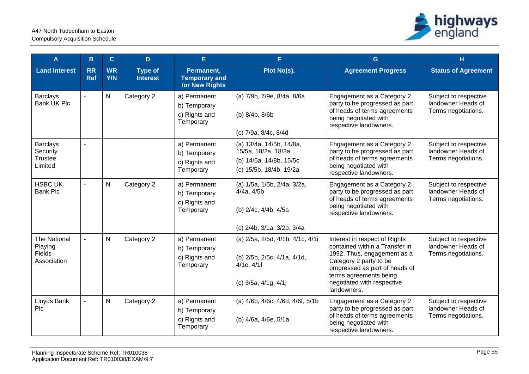

| A                                                              | B                       | $\mathbf{C}$            | D.                                | E                                                           | F.                                                                                                    | G.                                                                                                                                                                                                                                | H                                                                  |
|----------------------------------------------------------------|-------------------------|-------------------------|-----------------------------------|-------------------------------------------------------------|-------------------------------------------------------------------------------------------------------|-----------------------------------------------------------------------------------------------------------------------------------------------------------------------------------------------------------------------------------|--------------------------------------------------------------------|
| <b>Land Interest</b>                                           | <b>RR</b><br><b>Ref</b> | <b>WR</b><br><b>Y/N</b> | <b>Type of</b><br><b>Interest</b> | Permanent,<br><b>Temporary and</b><br><b>/or New Rights</b> | Plot No(s).                                                                                           | <b>Agreement Progress</b>                                                                                                                                                                                                         | <b>Status of Agreement</b>                                         |
| <b>Barclays</b><br><b>Bank UK Plc</b>                          | $\overline{a}$          | $\mathsf{N}$            | Category 2                        | a) Permanent<br>b) Temporary<br>c) Rights and<br>Temporary  | (a) 7/9b, 7/9e, 8/4a, 8/6a<br>(b) 8/4b, 8/6b<br>(c) 7/9a, 8/4c, 8/4d                                  | Engagement as a Category 2<br>party to be progressed as part<br>of heads of terms agreements<br>being negotiated with<br>respective landowners.                                                                                   | Subject to respective<br>landowner Heads of<br>Terms negotiations. |
| <b>Barclays</b><br>Security<br><b>Trustee</b><br>Limited       | $\mathbf{r}$            |                         |                                   | a) Permanent<br>b) Temporary<br>c) Rights and<br>Temporary  | (a) 13/4a, 14/5b, 14/8a,<br>15/5a, 18/2a, 18/3a<br>(b) 14/5a, 14/8b, 15/5c<br>(c) 15/5b, 18/4b, 19/2a | Engagement as a Category 2<br>party to be progressed as part<br>of heads of terms agreements<br>being negotiated with<br>respective landowners.                                                                                   | Subject to respective<br>landowner Heads of<br>Terms negotiations. |
| <b>HSBC UK</b><br><b>Bank Plc</b>                              |                         | N                       | Category 2                        | a) Permanent<br>b) Temporary<br>c) Rights and<br>Temporary  | (a) 1/5a, 1/5b, 2/4a, 3/2a,<br>4/4a, 4/5b<br>(b) 2/4c, 4/4b, 4/5a<br>(c) 2/4b, 3/1a, 3/2b, 3/4a       | Engagement as a Category 2<br>party to be progressed as part<br>of heads of terms agreements<br>being negotiated with<br>respective landowners.                                                                                   | Subject to respective<br>landowner Heads of<br>Terms negotiations. |
| <b>The National</b><br>Playing<br><b>Fields</b><br>Association |                         | $\mathsf{N}$            | Category 2                        | a) Permanent<br>b) Temporary<br>c) Rights and<br>Temporary  | (a) 2/5a, 2/5d, 4/1b, 4/1c, 4/1i<br>(b) 2/5b, 2/5c, 4/1a, 4/1d,<br>4/1e, 4/1f<br>(c) 3/5a, 4/1g, 4/1j | Interest in respect of Rights<br>contained within a Transfer in<br>1992. Thus, engagement as a<br>Category 2 party to be<br>progressed as part of heads of<br>terms agreements being<br>negotiated with respective<br>landowners. | Subject to respective<br>landowner Heads of<br>Terms negotiations. |
| Lloyds Bank<br>Plc                                             | $\blacksquare$          | $\mathsf{N}$            | Category 2                        | a) Permanent<br>b) Temporary<br>c) Rights and<br>Temporary  | (a) 4/6b, 4/6c, 4/6d, 4/6f, 5/1b<br>(b) 4/6a, 4/6e, 5/1a                                              | Engagement as a Category 2<br>party to be progressed as part<br>of heads of terms agreements<br>being negotiated with<br>respective landowners.                                                                                   | Subject to respective<br>landowner Heads of<br>Terms negotiations. |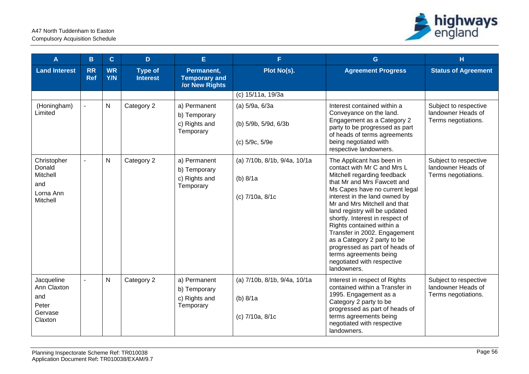

| A                                                                 | B                       | $\mathbf{C}$     | D                                 | E                                                          | F.                                                          | G                                                                                                                                                                                                                                                                                                                                                                                                                                                                                                  | н                                                                  |
|-------------------------------------------------------------------|-------------------------|------------------|-----------------------------------|------------------------------------------------------------|-------------------------------------------------------------|----------------------------------------------------------------------------------------------------------------------------------------------------------------------------------------------------------------------------------------------------------------------------------------------------------------------------------------------------------------------------------------------------------------------------------------------------------------------------------------------------|--------------------------------------------------------------------|
| <b>Land Interest</b>                                              | <b>RR</b><br><b>Ref</b> | <b>WR</b><br>Y/N | <b>Type of</b><br><b>Interest</b> | Permanent,<br><b>Temporary and</b><br>/or New Rights       | Plot No(s).                                                 | <b>Agreement Progress</b>                                                                                                                                                                                                                                                                                                                                                                                                                                                                          | <b>Status of Agreement</b>                                         |
|                                                                   |                         |                  |                                   |                                                            | (c) 15/11a, 19/3a                                           |                                                                                                                                                                                                                                                                                                                                                                                                                                                                                                    |                                                                    |
| (Honingham)<br>Limited                                            | $\blacksquare$          | $\mathsf{N}$     | Category 2                        | a) Permanent<br>b) Temporary<br>c) Rights and<br>Temporary | (a) 5/9a, 6/3a<br>(b) 5/9b, 5/9d, 6/3b<br>(c) 5/9c, 5/9e    | Interest contained within a<br>Conveyance on the land.<br>Engagement as a Category 2<br>party to be progressed as part<br>of heads of terms agreements<br>being negotiated with<br>respective landowners.                                                                                                                                                                                                                                                                                          | Subject to respective<br>landowner Heads of<br>Terms negotiations. |
| Christopher<br>Donald<br>Mitchell<br>and<br>Lorna Ann<br>Mitchell | $\blacksquare$          | $\mathsf{N}$     | Category 2                        | a) Permanent<br>b) Temporary<br>c) Rights and<br>Temporary | (a) 7/10b, 8/1b, 9/4a, 10/1a<br>(b) 8/1a<br>(c) 7/10a, 8/1c | The Applicant has been in<br>contact with Mr C and Mrs L<br>Mitchell regarding feedback<br>that Mr and Mrs Fawcett and<br>Ms Capes have no current legal<br>interest in the land owned by<br>Mr and Mrs Mitchell and that<br>land registry will be updated<br>shortly. Interest in respect of<br>Rights contained within a<br>Transfer in 2002. Engagement<br>as a Category 2 party to be<br>progressed as part of heads of<br>terms agreements being<br>negotiated with respective<br>landowners. | Subject to respective<br>landowner Heads of<br>Terms negotiations. |
| Jacqueline<br>Ann Claxton<br>and<br>Peter<br>Gervase<br>Claxton   | $\blacksquare$          | $\mathsf{N}$     | Category 2                        | a) Permanent<br>b) Temporary<br>c) Rights and<br>Temporary | (a) 7/10b, 8/1b, 9/4a, 10/1a<br>(b) 8/1a<br>(c) 7/10a, 8/1c | Interest in respect of Rights<br>contained within a Transfer in<br>1995. Engagement as a<br>Category 2 party to be<br>progressed as part of heads of<br>terms agreements being<br>negotiated with respective<br>landowners.                                                                                                                                                                                                                                                                        | Subject to respective<br>landowner Heads of<br>Terms negotiations. |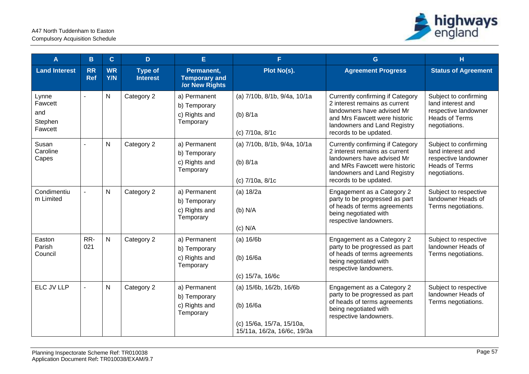

| A                                             | B                       | $\mathbf{C}$     | D                                 | E.                                                          | F.                                                                                               | G                                                                                                                                                                                                 | H                                                                                                            |
|-----------------------------------------------|-------------------------|------------------|-----------------------------------|-------------------------------------------------------------|--------------------------------------------------------------------------------------------------|---------------------------------------------------------------------------------------------------------------------------------------------------------------------------------------------------|--------------------------------------------------------------------------------------------------------------|
| <b>Land Interest</b>                          | <b>RR</b><br><b>Ref</b> | <b>WR</b><br>Y/N | <b>Type of</b><br><b>Interest</b> | Permanent,<br><b>Temporary and</b><br><b>/or New Rights</b> | Plot No(s).                                                                                      | <b>Agreement Progress</b>                                                                                                                                                                         | <b>Status of Agreement</b>                                                                                   |
| Lynne<br>Fawcett<br>and<br>Stephen<br>Fawcett |                         | $\mathsf{N}$     | Category 2                        | a) Permanent<br>b) Temporary<br>c) Rights and<br>Temporary  | (a) 7/10b, 8/1b, 9/4a, 10/1a<br>(b) 8/1a<br>(c) 7/10a, 8/1c                                      | <b>Currently confirming if Category</b><br>2 interest remains as current<br>landowners have advised Mr<br>and Mrs Fawcett were historic<br>landowners and Land Registry<br>records to be updated. | Subject to confirming<br>land interest and<br>respective landowner<br>Heads of Terms<br>negotiations.        |
| Susan<br>Caroline<br>Capes                    |                         | $\mathsf{N}$     | Category 2                        | a) Permanent<br>b) Temporary<br>c) Rights and<br>Temporary  | (a) 7/10b, 8/1b, 9/4a, 10/1a<br>(b) $8/1a$<br>(c) 7/10a, 8/1c                                    | <b>Currently confirming if Category</b><br>2 interest remains as current<br>landowners have advised Mr<br>and MRs Fawcett were historic<br>landowners and Land Registry<br>records to be updated. | Subject to confirming<br>land interest and<br>respective landowner<br><b>Heads of Terms</b><br>negotiations. |
| Condimentiu<br>m Limited                      | $\overline{a}$          | $\mathsf{N}$     | Category 2                        | a) Permanent<br>b) Temporary<br>c) Rights and<br>Temporary  | (a) 18/2a<br>(b) N/A<br>$(c)$ N/A                                                                | Engagement as a Category 2<br>party to be progressed as part<br>of heads of terms agreements<br>being negotiated with<br>respective landowners.                                                   | Subject to respective<br>landowner Heads of<br>Terms negotiations.                                           |
| Easton<br>Parish<br>Council                   | RR-<br>021              | $\mathsf{N}$     | Category 2                        | a) Permanent<br>b) Temporary<br>c) Rights and<br>Temporary  | (a) 16/6b<br>(b) 16/6a<br>(c) 15/7a, 16/6c                                                       | Engagement as a Category 2<br>party to be progressed as part<br>of heads of terms agreements<br>being negotiated with<br>respective landowners.                                                   | Subject to respective<br>landowner Heads of<br>Terms negotiations.                                           |
| ELC JV LLP                                    | $\sim$                  | $\mathsf{N}$     | Category 2                        | a) Permanent<br>b) Temporary<br>c) Rights and<br>Temporary  | (a) 15/6b, 16/2b, 16/6b<br>(b) 16/6a<br>(c) 15/6a, 15/7a, 15/10a,<br>15/11a, 16/2a, 16/6c, 19/3a | Engagement as a Category 2<br>party to be progressed as part<br>of heads of terms agreements<br>being negotiated with<br>respective landowners.                                                   | Subject to respective<br>landowner Heads of<br>Terms negotiations.                                           |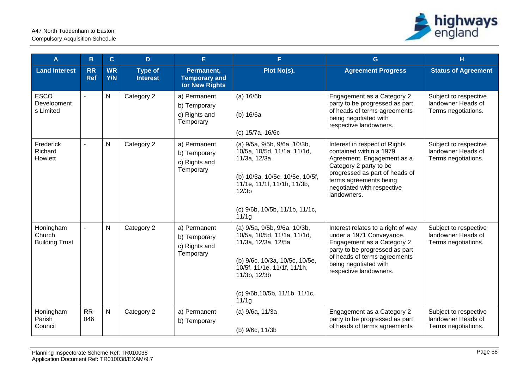

| A                                            | B                       | $\mathbf{C}$            | D                                 | E                                                          | F.                                                                                                                                                                                                                         | G                                                                                                                                                                                                                         | н                                                                  |
|----------------------------------------------|-------------------------|-------------------------|-----------------------------------|------------------------------------------------------------|----------------------------------------------------------------------------------------------------------------------------------------------------------------------------------------------------------------------------|---------------------------------------------------------------------------------------------------------------------------------------------------------------------------------------------------------------------------|--------------------------------------------------------------------|
| <b>Land Interest</b>                         | <b>RR</b><br><b>Ref</b> | <b>WR</b><br><b>Y/N</b> | <b>Type of</b><br><b>Interest</b> | Permanent,<br><b>Temporary and</b><br>/or New Rights       | Plot No(s).                                                                                                                                                                                                                | <b>Agreement Progress</b>                                                                                                                                                                                                 | <b>Status of Agreement</b>                                         |
| <b>ESCO</b><br>Development<br>s Limited      |                         | N                       | Category 2                        | a) Permanent<br>b) Temporary<br>c) Rights and<br>Temporary | (a) 16/6b<br>(b) 16/6a<br>(c) 15/7a, 16/6c                                                                                                                                                                                 | Engagement as a Category 2<br>party to be progressed as part<br>of heads of terms agreements<br>being negotiated with<br>respective landowners.                                                                           | Subject to respective<br>landowner Heads of<br>Terms negotiations. |
| Frederick<br>Richard<br>Howlett              |                         | N                       | Category 2                        | a) Permanent<br>b) Temporary<br>c) Rights and<br>Temporary | (a) 9/5a, 9/5b, 9/6a, 10/3b,<br>10/5a, 10/5d, 11/1a, 11/1d,<br>11/3a, 12/3a<br>(b) 10/3a, 10/5c, 10/5e, 10/5f,<br>11/1e, 11/1f, 11/1h, 11/3b,<br>12/3 <sub>b</sub><br>(c) 9/6b, 10/5b, 11/1b, 11/1c,<br>11/1 <sub>q</sub>  | Interest in respect of Rights<br>contained within a 1979<br>Agreement. Engagement as a<br>Category 2 party to be<br>progressed as part of heads of<br>terms agreements being<br>negotiated with respective<br>landowners. | Subject to respective<br>landowner Heads of<br>Terms negotiations. |
| Honingham<br>Church<br><b>Building Trust</b> |                         | N                       | Category 2                        | a) Permanent<br>b) Temporary<br>c) Rights and<br>Temporary | (a) 9/5a, 9/5b, 9/6a, 10/3b,<br>10/5a, 10/5d, 11/1a, 11/1d,<br>11/3a, 12/3a, 12/5a<br>(b) 9/6c, 10/3a, 10/5c, 10/5e,<br>10/5f, 11/1e, 11/1f, 11/1h,<br>11/3b, 12/3b<br>(c) 9/6b, 10/5b, 11/1b, 11/1c,<br>11/1 <sub>q</sub> | Interest relates to a right of way<br>under a 1971 Conveyance.<br>Engagement as a Category 2<br>party to be progressed as part<br>of heads of terms agreements<br>being negotiated with<br>respective landowners.         | Subject to respective<br>landowner Heads of<br>Terms negotiations. |
| Honingham<br>Parish<br>Council               | RR-<br>046              | $\mathsf{N}$            | Category 2                        | a) Permanent<br>b) Temporary                               | (a) 9/6a, 11/3a<br>(b) 9/6c, 11/3b                                                                                                                                                                                         | Engagement as a Category 2<br>party to be progressed as part<br>of heads of terms agreements                                                                                                                              | Subject to respective<br>landowner Heads of<br>Terms negotiations. |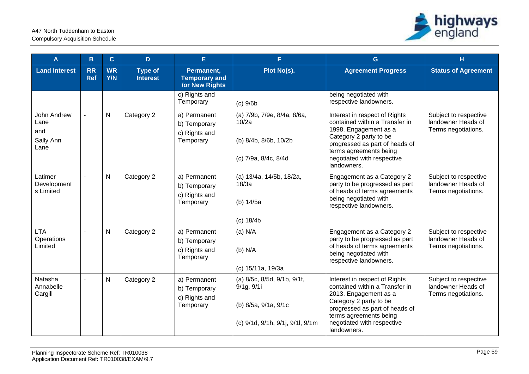

| A                                               | B                       | $\mathbf{C}$            | D                                 | E                                                           | F.                                                                                                    | G                                                                                                                                                                                                                           | н                                                                  |
|-------------------------------------------------|-------------------------|-------------------------|-----------------------------------|-------------------------------------------------------------|-------------------------------------------------------------------------------------------------------|-----------------------------------------------------------------------------------------------------------------------------------------------------------------------------------------------------------------------------|--------------------------------------------------------------------|
| <b>Land Interest</b>                            | <b>RR</b><br><b>Ref</b> | <b>WR</b><br><b>Y/N</b> | <b>Type of</b><br><b>Interest</b> | Permanent,<br><b>Temporary and</b><br><b>/or New Rights</b> | Plot No(s).                                                                                           | <b>Agreement Progress</b>                                                                                                                                                                                                   | <b>Status of Agreement</b>                                         |
|                                                 |                         |                         |                                   | c) Rights and<br>Temporary                                  | $(c)$ 9/6b                                                                                            | being negotiated with<br>respective landowners.                                                                                                                                                                             |                                                                    |
| John Andrew<br>Lane<br>and<br>Sally Ann<br>Lane |                         | $\mathsf{N}$            | Category 2                        | a) Permanent<br>b) Temporary<br>c) Rights and<br>Temporary  | (a) 7/9b, 7/9e, 8/4a, 8/6a,<br>10/2a<br>(b) 8/4b, 8/6b, 10/2b<br>(c) 7/9a, 8/4c, 8/4d                 | Interest in respect of Rights<br>contained within a Transfer in<br>1998. Engagement as a<br>Category 2 party to be<br>progressed as part of heads of<br>terms agreements being<br>negotiated with respective<br>landowners. | Subject to respective<br>landowner Heads of<br>Terms negotiations. |
| Latimer<br>Development<br>s Limited             | $\overline{a}$          | $\mathsf{N}$            | Category 2                        | a) Permanent<br>b) Temporary<br>c) Rights and<br>Temporary  | (a) 13/4a, 14/5b, 18/2a,<br>18/3a<br>(b) 14/5a<br>(c) 18/4b                                           | Engagement as a Category 2<br>party to be progressed as part<br>of heads of terms agreements<br>being negotiated with<br>respective landowners.                                                                             | Subject to respective<br>landowner Heads of<br>Terms negotiations. |
| <b>LTA</b><br>Operations<br>Limited             |                         | $\mathsf{N}$            | Category 2                        | a) Permanent<br>b) Temporary<br>c) Rights and<br>Temporary  | $(a)$ N/A<br>(b) N/A<br>(c) 15/11a, 19/3a                                                             | Engagement as a Category 2<br>party to be progressed as part<br>of heads of terms agreements<br>being negotiated with<br>respective landowners.                                                                             | Subject to respective<br>landowner Heads of<br>Terms negotiations. |
| Natasha<br>Annabelle<br>Cargill                 | $\sim$                  | $\mathsf{N}$            | Category 2                        | a) Permanent<br>b) Temporary<br>c) Rights and<br>Temporary  | (a) 8/5c, 8/5d, 9/1b, 9/1f,<br>9/1g, 9/1i<br>(b) 8/5a, 9/1a, 9/1c<br>(c) 9/1d, 9/1h, 9/1j, 9/1l, 9/1m | Interest in respect of Rights<br>contained within a Transfer in<br>2013. Engagement as a<br>Category 2 party to be<br>progressed as part of heads of<br>terms agreements being<br>negotiated with respective<br>landowners. | Subject to respective<br>landowner Heads of<br>Terms negotiations. |